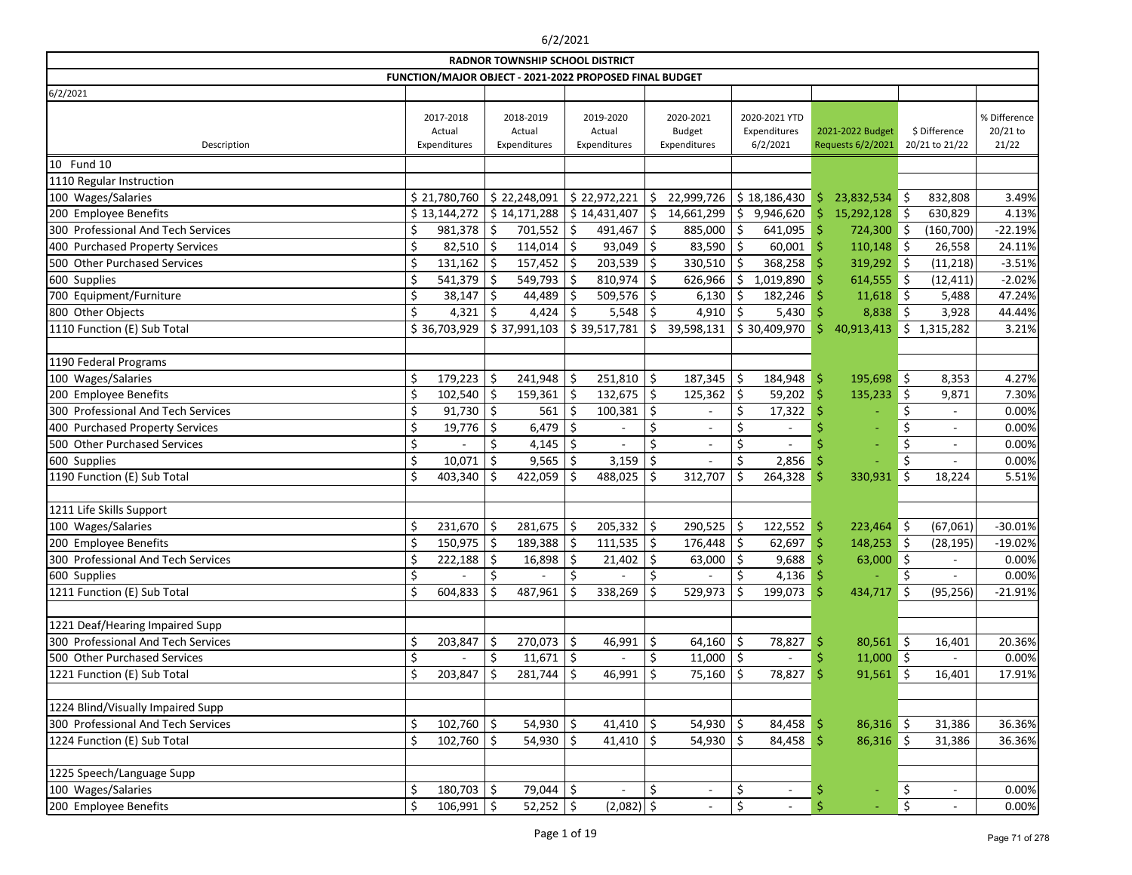|                                    |    |                                     |     | <b>RADNOR TOWNSHIP SCHOOL DISTRICT</b>                  |    |                                     |    |                                            |                                           |     |                                       |      |                                 |                                   |
|------------------------------------|----|-------------------------------------|-----|---------------------------------------------------------|----|-------------------------------------|----|--------------------------------------------|-------------------------------------------|-----|---------------------------------------|------|---------------------------------|-----------------------------------|
|                                    |    |                                     |     | FUNCTION/MAJOR OBJECT - 2021-2022 PROPOSED FINAL BUDGET |    |                                     |    |                                            |                                           |     |                                       |      |                                 |                                   |
| 6/2/2021                           |    |                                     |     |                                                         |    |                                     |    |                                            |                                           |     |                                       |      |                                 |                                   |
| Description                        |    | 2017-2018<br>Actual<br>Expenditures |     | 2018-2019<br>Actual<br>Expenditures                     |    | 2019-2020<br>Actual<br>Expenditures |    | 2020-2021<br><b>Budget</b><br>Expenditures | 2020-2021 YTD<br>Expenditures<br>6/2/2021 |     | 2021-2022 Budget<br>Requests 6/2/2021 |      | \$ Difference<br>20/21 to 21/22 | % Difference<br>20/21 to<br>21/22 |
| 10 Fund 10                         |    |                                     |     |                                                         |    |                                     |    |                                            |                                           |     |                                       |      |                                 |                                   |
| 1110 Regular Instruction           |    |                                     |     |                                                         |    |                                     |    |                                            |                                           |     |                                       |      |                                 |                                   |
| 100 Wages/Salaries                 |    | \$21,780,760                        |     | \$22,248,091                                            |    | \$22,972,221                        | \$ | 22,999,726                                 | \$18,186,430                              | \$  | 23,832,534 \$                         |      | 832,808                         | 3.49%                             |
| 200 Employee Benefits              |    | \$13,144,272                        |     | \$14,171,288                                            |    | \$14,431,407                        | \$ | 14,661,299                                 | \$<br>9,946,620                           | Š.  | 15,292,128                            | ∥\$  | 630,829                         | 4.13%                             |
| 300 Professional And Tech Services | \$ | 981,378                             |     | 701,552                                                 | \$ | 491,467                             | \$ | 885,000                                    | \$<br>641,095                             | -Ŝ  | 724,300                               | - 15 | (160, 700)                      | $-22.19%$                         |
| 400 Purchased Property Services    | \$ | 82,510                              | \$  | 114,014                                                 | \$ | 93,049                              | \$ | 83,590 $\vert$ \$                          | 60,001                                    | Ŝ   | $110,148$ \$                          |      | 26,558                          | 24.11%                            |
| 500 Other Purchased Services       | \$ | $131,162$ \$                        |     | $157,452$ \$                                            |    | $203,539$ \$                        |    | $330,510$ \$                               | 368,258                                   | -S  | $319,292$ \$                          |      | (11, 218)                       | $-3.51%$                          |
| 600 Supplies                       | \$ | 541,379                             | \$  | 549,793                                                 |    | 810,974                             | \$ | 626,966                                    | \$<br>1,019,890                           |     | $614,555$ \$                          |      | (12, 411)                       | $-2.02%$                          |
| 700 Equipment/Furniture            | \$ | 38,147                              | \$  | 44,489                                                  |    | 509,576                             | \$ | 6,130                                      | \$<br>182,246                             |     | $11,618$ \$                           |      | 5,488                           | 47.24%                            |
| 800 Other Objects                  |    | 4,321                               |     | 4,424                                                   |    | 5,548                               |    | 4,910                                      | \$<br>5,430                               |     | 8,838                                 | \$   | 3,928                           | 44.44%                            |
| 1110 Function (E) Sub Total        |    | \$36,703,929                        |     | \$37,991,103                                            |    | \$39,517,781                        | \$ | 39,598,131                                 | \$30,409,970                              | Ś   | 40,913,413                            | \$   | 1,315,282                       | 3.21%                             |
|                                    |    |                                     |     |                                                         |    |                                     |    |                                            |                                           |     |                                       |      |                                 |                                   |
| 1190 Federal Programs              |    |                                     |     |                                                         |    |                                     |    |                                            |                                           |     |                                       |      |                                 |                                   |
| 100 Wages/Salaries                 | \$ | 179,223                             | \$  | 241,948                                                 | S  | 251,810                             | \$ | 187,345                                    | \$<br>184,948                             | -\$ | 195,698                               | \$   | 8,353                           | 4.27%                             |
| 200 Employee Benefits              | \$ | 102,540                             |     | 159,361                                                 |    | 132,675                             | Ś. | 125,362                                    | \$<br>59,202                              | Ŝ   | 135,233                               | \$   | 9,871                           | 7.30%                             |
| 300 Professional And Tech Services |    | 91,730                              | \$  | 561                                                     |    | 100,381                             | \$ |                                            | \$<br>17,322                              |     |                                       |      | $\overline{\phantom{a}}$        | 0.00%                             |
| 400 Purchased Property Services    | \$ | 19,776                              | \$. | 6,479                                                   | \$ |                                     |    | $\overline{a}$                             | \$                                        |     |                                       |      | $\overline{\phantom{a}}$        | 0.00%                             |
| 500 Other Purchased Services       | \$ |                                     | Ś.  | 4,145                                                   | Ś  |                                     | Ś  |                                            | \$                                        |     |                                       | Ś    |                                 | 0.00%                             |
| 600 Supplies                       | \$ | 10,071                              |     | 9,565                                                   |    | 3,159                               |    |                                            | \$<br>2,856                               |     |                                       |      |                                 | 0.00%                             |
| 1190 Function (E) Sub Total        | \$ | 403,340                             |     | 422,059                                                 |    | 488,025                             | \$ | 312,707                                    | \$<br>264,328                             | S   | 330,931                               | \$   | 18,224                          | 5.51%                             |
|                                    |    |                                     |     |                                                         |    |                                     |    |                                            |                                           |     |                                       |      |                                 |                                   |
| 1211 Life Skills Support           |    |                                     |     |                                                         |    |                                     |    |                                            |                                           |     |                                       |      |                                 |                                   |
| 100 Wages/Salaries                 | \$ | 231,670                             | .S  | 281,675                                                 | Ś  | 205,332                             | \$ | 290,525                                    | \$<br>122,552                             | \$  | $223,464$ \$                          |      | (67,061)                        | $-30.01%$                         |
| 200 Employee Benefits              |    | 150,975                             | \$  | 189,388                                                 |    | 111,535                             | \$ | 176,448                                    | \$<br>62,697                              |     | 148,253                               | - 15 | (28, 195)                       | $-19.02%$                         |
| 300 Professional And Tech Services | Ś. | 222,188                             | S.  | 16,898                                                  | Ś. | 21,402                              | Ś. | 63,000                                     | \$<br>9,688                               | Ŝ   | 63,000                                | \$   |                                 | 0.00%                             |
| 600 Supplies                       | \$ |                                     | \$  |                                                         | \$ |                                     | \$ |                                            | \$<br>$4,136$ \$                          |     |                                       | \$   |                                 | 0.00%                             |
| 1211 Function (E) Sub Total        | \$ | 604,833                             |     | 487,961                                                 |    | 338,269                             | Ŝ  | 529,973                                    | \$<br>199,073 \$                          |     | 434,717                               | \$   | (95, 256)                       | $-21.91%$                         |
|                                    |    |                                     |     |                                                         |    |                                     |    |                                            |                                           |     |                                       |      |                                 |                                   |
| 1221 Deaf/Hearing Impaired Supp    |    |                                     |     |                                                         |    |                                     |    |                                            |                                           |     |                                       |      |                                 |                                   |
| 300 Professional And Tech Services | \$ | 203,847                             | \$  | 270,073                                                 | \$ | 46,991                              | \$ | 64,160                                     | \$<br>78,827                              |     | $80,561$ \$                           |      | 16,401                          | 20.36%                            |
| 500 Other Purchased Services       | \$ |                                     |     | 11,671                                                  | \$ |                                     |    | $11,000$ \$                                |                                           |     | $11,000$ \$                           |      |                                 | 0.00%                             |
| 1221 Function (E) Sub Total        | \$ | 203,847                             |     | 281,744                                                 | S  | 46,991                              |    | 75,160                                     | \$<br>78,827                              |     | $91,561$ \$                           |      | 16,401                          | 17.91%                            |
|                                    |    |                                     |     |                                                         |    |                                     |    |                                            |                                           |     |                                       |      |                                 |                                   |
| 1224 Blind/Visually Impaired Supp  |    |                                     |     |                                                         |    |                                     |    |                                            |                                           |     |                                       |      |                                 |                                   |
| 300 Professional And Tech Services | \$ | 102,760                             | \$  | 54,930                                                  | \$ | 41,410                              | \$ | $54,930$ \$                                | 84,458                                    |     | $86,316$ \$                           |      | 31,386                          | 36.36%                            |
| 1224 Function (E) Sub Total        | \$ | 102,760                             | \$  | 54,930                                                  | \$ | $41,410$ \$                         |    | 54,930 $\vert$ \$                          | 84,458                                    | Ŝ   | $86,316$ \$                           |      | 31,386                          | 36.36%                            |
|                                    |    |                                     |     |                                                         |    |                                     |    |                                            |                                           |     |                                       |      |                                 |                                   |
| 1225 Speech/Language Supp          |    |                                     |     |                                                         |    |                                     |    |                                            |                                           |     |                                       |      |                                 |                                   |
| 100 Wages/Salaries                 | \$ | 180,703                             | \$  | 79,044                                                  | \$ | $\overline{\phantom{a}}$            | \$ | $\overline{a}$                             | \$                                        |     |                                       | \$   | $\blacksquare$                  | 0.00%                             |
| 200 Employee Benefits              | \$ | 106,991                             | S   | $52,252$ \$                                             |    | $(2,082)$ \$                        |    |                                            | \$                                        |     |                                       | \$   | $\overline{\phantom{a}}$        | 0.00%                             |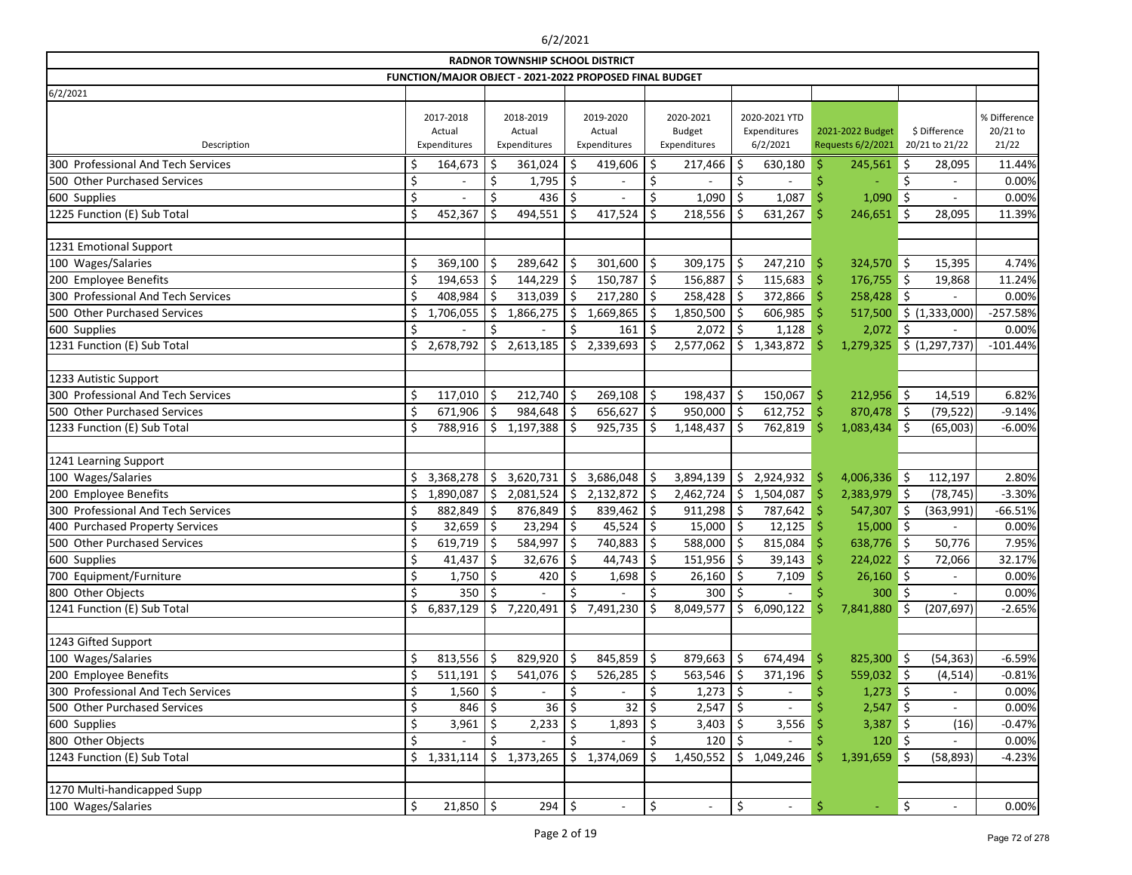|                                    |                                     |     | <b>RADNOR TOWNSHIP SCHOOL DISTRICT</b>                  |         |                                     |    |                                            |                     |                                           |     |                                       |         |                                 |                                   |
|------------------------------------|-------------------------------------|-----|---------------------------------------------------------|---------|-------------------------------------|----|--------------------------------------------|---------------------|-------------------------------------------|-----|---------------------------------------|---------|---------------------------------|-----------------------------------|
|                                    |                                     |     | FUNCTION/MAJOR OBJECT - 2021-2022 PROPOSED FINAL BUDGET |         |                                     |    |                                            |                     |                                           |     |                                       |         |                                 |                                   |
| 6/2/2021                           |                                     |     |                                                         |         |                                     |    |                                            |                     |                                           |     |                                       |         |                                 |                                   |
| Description                        | 2017-2018<br>Actual<br>Expenditures |     | 2018-2019<br>Actual<br>Expenditures                     |         | 2019-2020<br>Actual<br>Expenditures |    | 2020-2021<br><b>Budget</b><br>Expenditures |                     | 2020-2021 YTD<br>Expenditures<br>6/2/2021 |     | 2021-2022 Budget<br>Requests 6/2/2021 |         | \$ Difference<br>20/21 to 21/22 | % Difference<br>20/21 to<br>21/22 |
| 300 Professional And Tech Services | \$<br>164,673                       | \$. | 361,024                                                 | S       | 419,606                             | S  | 217,466                                    | \$                  | 630,180                                   | Ŝ   | $245,561$ \$                          |         | 28,095                          | 11.44%                            |
| 500 Other Purchased Services       | \$                                  | S   | 1,795                                                   |         |                                     |    |                                            |                     |                                           |     |                                       |         |                                 | 0.00%                             |
| 600 Supplies                       | \$                                  | \$  | 436                                                     |         |                                     |    | 1,090                                      | \$                  | 1,087                                     |     | 1,090                                 | \$      | $\overline{\phantom{a}}$        | 0.00%                             |
| 1225 Function (E) Sub Total        | \$<br>452,367                       |     | 494,551                                                 | S       | 417,524                             |    | 218,556                                    | Ŝ                   | 631,267                                   | S   | 246,651                               | -\$     | 28,095                          | 11.39%                            |
|                                    |                                     |     |                                                         |         |                                     |    |                                            |                     |                                           |     |                                       |         |                                 |                                   |
| 1231 Emotional Support             |                                     |     |                                                         |         |                                     |    |                                            |                     |                                           |     |                                       |         |                                 |                                   |
| 100 Wages/Salaries                 | \$<br>369,100                       | \$  | 289,642                                                 |         | 301,600                             | \$ | 309,175                                    | \$                  | 247,210                                   | \$  | 324,570 \$                            |         | 15,395                          | 4.74%                             |
| 200 Employee Benefits              | \$<br>$194,653$ \$                  |     | 144,229                                                 |         | 150,787                             | \$ | 156,887                                    | \$                  | 115,683                                   | -Ŝ  | $176,755$ \$                          |         | 19,868                          | 11.24%                            |
| 300 Professional And Tech Services | \$<br>$408,984$ \$                  |     | 313,039                                                 | S       | 217,280                             | \$ | 258,428                                    | \$                  | 372,866                                   | -Ŝ  | 258,428 \$                            |         |                                 | 0.00%                             |
| 500 Other Purchased Services       | \$<br>1,706,055                     | S   | 1,866,275                                               | S       | 1,669,865                           |    | 1,850,500                                  | -Ŝ                  | 606,985                                   |     | 517,500                               |         | \$ (1,333,000)                  | $-257.58%$                        |
| 600 Supplies                       | \$                                  | \$  |                                                         | Ś.      | 161                                 | Ŝ  | 2,072                                      | \$                  | 1,128                                     |     | 2,072                                 | \$      |                                 | 0.00%                             |
| 1231 Function (E) Sub Total        | \$<br>2,678,792                     | \$  | 2,613,185                                               | Ŝ.      | 2,339,693                           |    | 2,577,062                                  | \$                  | 1,343,872                                 |     | 1,279,325                             |         | \$ (1,297,737)                  | $-101.44%$                        |
|                                    |                                     |     |                                                         |         |                                     |    |                                            |                     |                                           |     |                                       |         |                                 |                                   |
| 1233 Autistic Support              |                                     |     |                                                         |         |                                     |    |                                            |                     |                                           |     |                                       |         |                                 |                                   |
| 300 Professional And Tech Services | \$<br>$117,010$ \$                  |     | 212,740                                                 | .S      | 269,108                             | \$ | 198,437                                    | \$                  | 150,067                                   | -\$ | $212,956$ \$                          |         | 14,519                          | 6.82%                             |
| 500 Other Purchased Services       | \$<br>$671,906$ \$                  |     | 984,648                                                 | Ŝ       | 656,627                             | \$ | 950,000                                    | \$                  | 612,752                                   | \$  | 870,478 \$                            |         | (79, 522)                       | $-9.14%$                          |
| 1233 Function (E) Sub Total        | \$<br>788,916                       | \$  | 1,197,388                                               |         | 925,735                             |    | 1,148,437                                  | Ŝ.                  | 762,819                                   |     | 1,083,434                             | Ŝ.      | (65,003)                        | $-6.00%$                          |
|                                    |                                     |     |                                                         |         |                                     |    |                                            |                     |                                           |     |                                       |         |                                 |                                   |
| 1241 Learning Support              |                                     |     |                                                         |         |                                     |    |                                            |                     |                                           |     |                                       |         |                                 |                                   |
| 100 Wages/Salaries                 | \$<br>3,368,278                     | Ŝ   | 3,620,731                                               | \$      | 3,686,048                           |    | 3,894,139                                  | \$                  | 2,924,932                                 | S   | $4,006,336$ \$                        |         | 112,197                         | 2.80%                             |
| 200 Employee Benefits              | \$<br>1,890,087                     | \$  | 2,081,524                                               | \$      | 2,132,872                           | \$ | 2,462,724                                  | \$                  | 1,504,087                                 | S   | $2,383,979$ \$                        |         | (78, 745)                       | $-3.30%$                          |
| 300 Professional And Tech Services | \$<br>882,849                       | Ś   | 876,849                                                 |         | 839,462                             | \$ | 911,298                                    | \$                  | 787,642                                   |     | 547,307                               | Š.      | (363,991)                       | $-66.51%$                         |
| 400 Purchased Property Services    | \$<br>32,659                        | \$  | 23,294                                                  |         | 45,524                              | \$ | 15,000                                     | \$                  | 12,125                                    | -Ŝ  | $15,000$ \$                           |         |                                 | 0.00%                             |
| 500 Other Purchased Services       | \$<br>619,719                       | ∣\$ | 584,997                                                 | S       | 740,883                             |    | 588,000                                    | Ŝ.                  | 815,084                                   |     | 638,776 \$                            |         | 50,776                          | 7.95%                             |
| 600 Supplies                       | \$<br>41,437                        | -Ś  | 32,676                                                  | $\zeta$ | 44,743                              | S. | 151,956                                    | <sup>5</sup>        | 39,143                                    |     | 224,022                               | $\zeta$ | 72,066                          | 32.17%                            |
| 700 Equipment/Furniture            | \$<br>$1,750$ \$                    |     | 420                                                     | \$      | 1,698                               | Ś. | 26,160                                     | \$                  | 7,109                                     |     | $26,160$ \$                           |         |                                 | 0.00%                             |
| 800 Other Objects                  | \$<br>350                           |     |                                                         |         |                                     |    | 300                                        | \$                  |                                           |     | 300                                   | \$      |                                 | 0.00%                             |
| 1241 Function (E) Sub Total        | \$<br>6,837,129                     | \$. | 7,220,491                                               | \$.     | 7,491,230                           |    | 8,049,577                                  | $\ddot{\mathsf{S}}$ | 6,090,122                                 |     | 7,841,880                             | \$      | (207, 697)                      | $-2.65%$                          |
|                                    |                                     |     |                                                         |         |                                     |    |                                            |                     |                                           |     |                                       |         |                                 |                                   |
| 1243 Gifted Support                |                                     |     |                                                         |         |                                     |    |                                            |                     |                                           |     |                                       |         |                                 |                                   |
| 100 Wages/Salaries                 | \$<br>$813,556$ \$                  |     | 829,920                                                 | \$      | 845,859                             | \$ | 879,663                                    | \$                  | 674,494                                   | -Ş  | 825,300 \$                            |         | (54, 363)                       | $-6.59%$                          |
| 200 Employee Benefits              | \$<br>511,191                       | \$  | 541,076                                                 |         | 526,285                             |    | 563,546                                    | \$                  | 371,196                                   |     | 559,032 \$                            |         | (4, 514)                        | $-0.81%$                          |
| 300 Professional And Tech Services | \$<br>$1,560$   \$                  |     |                                                         |         |                                     |    | $1,273$ \$                                 |                     |                                           |     | 1,273                                 | ∥\$     |                                 | 0.00%                             |
| 500 Other Purchased Services       | \$<br>846 5                         |     | 36                                                      |         | 32                                  |    | 2,547                                      | \$                  |                                           |     | 2,547                                 | - 15    |                                 | 0.00%                             |
| 600 Supplies                       | \$<br>$3,961$ \$                    |     | 2,233                                                   |         | 1,893                               |    | 3,403                                      |                     | 3,556                                     |     | $3,387$ \$                            |         | (16)                            | $-0.47%$                          |
| 800 Other Objects                  | \$                                  |     |                                                         |         |                                     |    | 120                                        |                     |                                           |     | 120                                   | ∥\$     |                                 | 0.00%                             |
| 1243 Function (E) Sub Total        | \$<br>1,331,114                     | \$  | 1,373,265                                               | \$      | 1,374,069                           |    | 1,450,552                                  | \$.                 | 1,049,246                                 |     | 1,391,659                             | \$      | (58, 893)                       | $-4.23%$                          |
|                                    |                                     |     |                                                         |         |                                     |    |                                            |                     |                                           |     |                                       |         |                                 |                                   |
| 1270 Multi-handicapped Supp        |                                     |     |                                                         |         |                                     |    |                                            |                     |                                           |     |                                       |         |                                 |                                   |
| 100 Wages/Salaries                 | \$<br>$21,850$ \$                   |     | $294 \mid 5$                                            |         | $\overline{\phantom{a}}$            | \$ | $\overline{\phantom{a}}$                   | \$                  | $\blacksquare$                            | \$  | $\equiv$                              | \$      | $\overline{\phantom{a}}$        | 0.00%                             |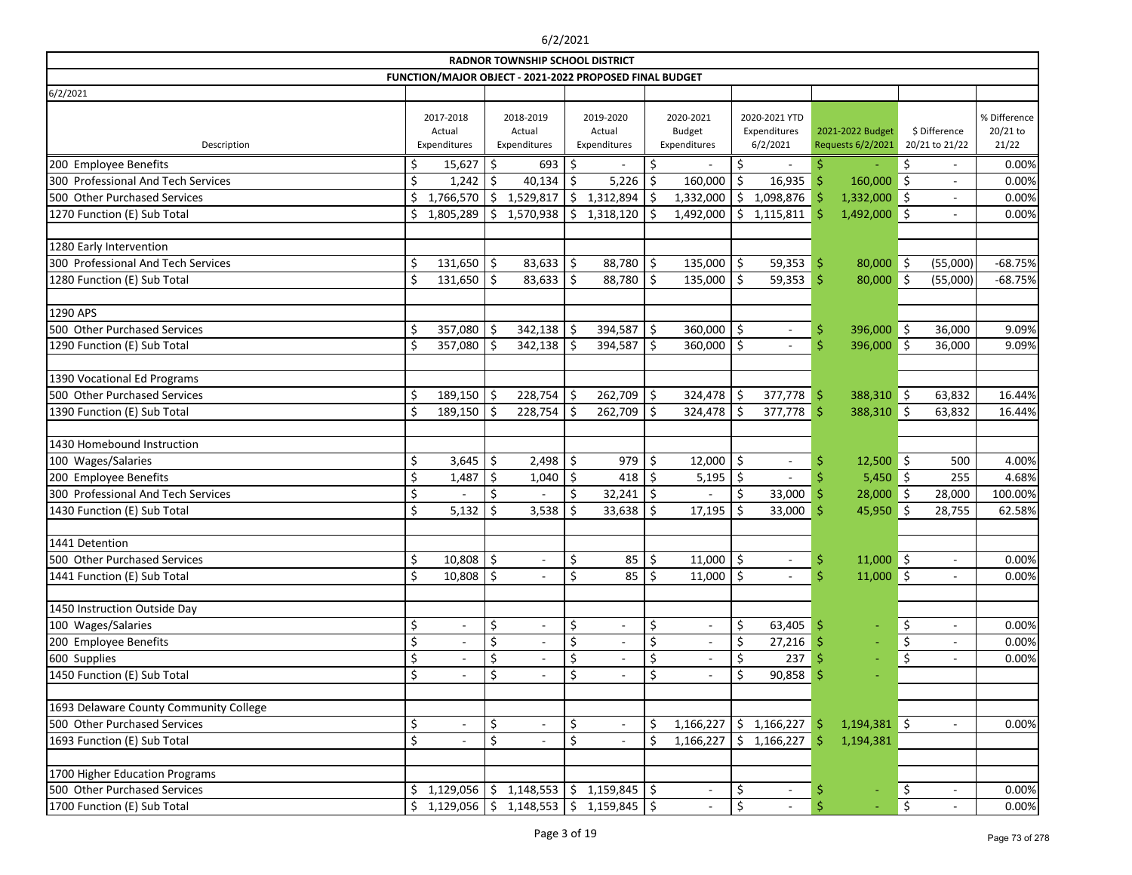|                                             |          |                                     |          | <b>RADNOR TOWNSHIP SCHOOL DISTRICT</b>                  |               |                                     |          |                                            |          |                                           |                    |                                       |         |                                 |                                   |
|---------------------------------------------|----------|-------------------------------------|----------|---------------------------------------------------------|---------------|-------------------------------------|----------|--------------------------------------------|----------|-------------------------------------------|--------------------|---------------------------------------|---------|---------------------------------|-----------------------------------|
|                                             |          |                                     |          | FUNCTION/MAJOR OBJECT - 2021-2022 PROPOSED FINAL BUDGET |               |                                     |          |                                            |          |                                           |                    |                                       |         |                                 |                                   |
| 6/2/2021                                    |          |                                     |          |                                                         |               |                                     |          |                                            |          |                                           |                    |                                       |         |                                 |                                   |
| Description                                 |          | 2017-2018<br>Actual<br>Expenditures |          | 2018-2019<br>Actual<br>Expenditures                     |               | 2019-2020<br>Actual<br>Expenditures |          | 2020-2021<br><b>Budget</b><br>Expenditures |          | 2020-2021 YTD<br>Expenditures<br>6/2/2021 |                    | 2021-2022 Budget<br>Requests 6/2/2021 |         | \$ Difference<br>20/21 to 21/22 | % Difference<br>20/21 to<br>21/22 |
| 200 Employee Benefits                       | \$,      | 15,627                              | \$       | 693                                                     | Ŝ             |                                     | \$       |                                            | \$       |                                           |                    |                                       | \$      | $\overline{\phantom{a}}$        | 0.00%                             |
| 300 Professional And Tech Services          | \$       | 1,242                               | \$.      | 40,134                                                  |               | 5,226                               |          | 160,000                                    | \$       | 16,935                                    | Ŝ                  | 160,000                               | Ś.      |                                 | 0.00%                             |
| 500 Other Purchased Services                | \$       | 1,766,570                           | \$       | 1,529,817                                               | Ŝ.            | 1,312,894                           |          | 1,332,000                                  | \$       | 1,098,876                                 |                    | $1,332,000$ \$                        |         | $\overline{\phantom{a}}$        | 0.00%                             |
| 1270 Function (E) Sub Total                 | \$       | 1,805,289                           | Ŝ.       | 1,570,938                                               | <sup>\$</sup> | 1,318,120                           |          | 1,492,000                                  | $\zeta$  | 1,115,811                                 | \$                 | 1,492,000                             | ∥\$     | $\overline{\phantom{a}}$        | 0.00%                             |
|                                             |          |                                     |          |                                                         |               |                                     |          |                                            |          |                                           |                    |                                       |         |                                 |                                   |
| 1280 Early Intervention                     |          |                                     |          |                                                         |               |                                     |          |                                            |          |                                           |                    |                                       |         |                                 |                                   |
| 300 Professional And Tech Services          | \$       | 131,650                             | \$       | 83,633                                                  | \$            | 88,780                              | \$       | 135,000                                    | \$       | 59,353                                    | \$                 | $80,000$ \$                           |         | (55,000)                        | $-68.75%$                         |
| 1280 Function (E) Sub Total                 | \$       | $131,650$ \$                        |          | 83,633                                                  | \$            | 88,780                              | Ś.       | $135,000$   \$                             |          | 59,353                                    | $\dot{\mathsf{S}}$ | $80,000$ \$                           |         | (55,000)                        | $-68.75%$                         |
|                                             |          |                                     |          |                                                         |               |                                     |          |                                            |          |                                           |                    |                                       |         |                                 |                                   |
| 1290 APS                                    |          |                                     |          |                                                         |               |                                     |          |                                            |          |                                           |                    |                                       |         |                                 |                                   |
| 500 Other Purchased Services                | \$       | 357,080                             | \$       | 342,138                                                 | \$,           | 394,587                             | \$       | 360,000                                    | \$       |                                           | \$                 | 396,000                               | \$      | 36,000                          | 9.09%                             |
| 1290 Function (E) Sub Total                 | \$       | 357,080                             | Ś        | 342,138                                                 |               | 394,587                             | Ś.       | 360,000                                    | \$       |                                           | Ś                  | 396,000                               | \$      | 36,000                          | 9.09%                             |
|                                             |          |                                     |          |                                                         |               |                                     |          |                                            |          |                                           |                    |                                       |         |                                 |                                   |
| 1390 Vocational Ed Programs                 |          |                                     |          |                                                         |               |                                     |          |                                            |          |                                           |                    |                                       |         |                                 |                                   |
| 500 Other Purchased Services                | \$       | $189,150$ \$                        |          | 228,754                                                 | \$            | 262,709                             | \$       | 324,478                                    | \$       | 377,778                                   | \$                 | 388,310 \$                            |         | 63,832                          | 16.44%                            |
| 1390 Function (E) Sub Total                 | \$       | 189,150                             | .S       | 228,754                                                 | \$            | 262,709                             | \$       | 324,478                                    | \$       | 377,778                                   | Ŝ                  | 388,310                               | $\zeta$ | 63,832                          | 16.44%                            |
|                                             |          |                                     |          |                                                         |               |                                     |          |                                            |          |                                           |                    |                                       |         |                                 |                                   |
| 1430 Homebound Instruction                  |          |                                     |          |                                                         |               |                                     |          |                                            |          |                                           |                    |                                       |         |                                 |                                   |
| 100 Wages/Salaries                          | \$       | 3,645                               | \$       | 2,498                                                   | \$            | 979                                 | \$       | 12,000                                     | \$       | $\overline{\phantom{a}}$                  |                    | $12,500$ \$                           |         | 500                             | 4.00%                             |
| 200 Employee Benefits                       | \$       | 1,487                               | \$       | 1,040                                                   | \$            | 418                                 |          | 5,195                                      | \$       |                                           |                    | $5,450$ \$                            |         | 255                             | 4.68%                             |
| 300 Professional And Tech Services          | \$       |                                     | \$       |                                                         | \$            | 32,241                              | \$       |                                            | \$       | 33,000                                    |                    | 28,000                                | ∥\$     | 28,000                          | 100.00%                           |
| 1430 Function (E) Sub Total                 | \$       | 5,132                               | Ŝ        | 3,538                                                   |               | 33,638                              | \$       | 17,195                                     | \$       | 33,000                                    | Ś                  | 45,950                                | \$      | 28,755                          | 62.58%                            |
|                                             |          |                                     |          |                                                         |               |                                     |          |                                            |          |                                           |                    |                                       |         |                                 |                                   |
| 1441 Detention                              |          |                                     |          |                                                         |               |                                     |          |                                            |          |                                           |                    |                                       |         |                                 |                                   |
| 500 Other Purchased Services                | Ŝ.       | $10,808$ \$                         |          | $\overline{\phantom{a}}$                                | \$            | 85                                  | \$       | $11,000$   \$                              |          |                                           | \$                 | $11,000$ \$                           |         |                                 | 0.00%                             |
| 1441 Function (E) Sub Total                 | \$       | $10,808$ \$                         |          |                                                         | \$            | 85                                  | \$       | 11,000                                     | \$       |                                           | \$                 | $11,000$ \$                           |         |                                 | 0.00%                             |
|                                             |          |                                     |          |                                                         |               |                                     |          |                                            |          |                                           |                    |                                       |         |                                 |                                   |
| 1450 Instruction Outside Day                |          |                                     |          |                                                         |               |                                     |          |                                            |          |                                           |                    |                                       |         |                                 |                                   |
| 100 Wages/Salaries                          | \$       | $\overline{\phantom{a}}$            | \$       | $\blacksquare$                                          | \$            | $\blacksquare$                      | \$       | $\overline{\phantom{a}}$                   | \$       | 63,405                                    | \$.                | ÷,                                    | \$      | $\overline{\phantom{a}}$        | 0.00%                             |
| 200 Employee Benefits                       | \$       | $\overline{\phantom{0}}$            | \$       |                                                         | \$            |                                     | \$       | $\overline{\phantom{a}}$                   | \$       | 27,216                                    |                    |                                       | \$      | $\overline{\phantom{a}}$        | 0.00%                             |
| 600 Supplies<br>1450 Function (E) Sub Total | \$<br>\$ |                                     | \$<br>\$ |                                                         | \$<br>\$      |                                     | \$<br>\$ | $\overline{\phantom{a}}$                   | \$<br>\$ | 237<br>90,858                             |                    |                                       | \$      | $\overline{\phantom{a}}$        | 0.00%                             |
|                                             |          |                                     |          |                                                         |               |                                     |          |                                            |          |                                           | \$                 |                                       |         |                                 |                                   |
| 1693 Delaware County Community College      |          |                                     |          |                                                         |               |                                     |          |                                            |          |                                           |                    |                                       |         |                                 |                                   |
| 500 Other Purchased Services                | \$       | $\overline{\phantom{a}}$            | \$       | $\overline{\phantom{a}}$                                | \$            | $\overline{\phantom{a}}$            | \$       | 1,166,227                                  |          | \$1,166,227                               |                    | $1,194,381$ \$                        |         |                                 | 0.00%                             |
| 1693 Function (E) Sub Total                 | \$       | $\overline{\phantom{a}}$            | \$       | $\overline{\phantom{a}}$                                | \$            | $\overline{\phantom{a}}$            | \$       | 1,166,227                                  |          | \$1,166,227                               | \$                 | 1,194,381                             |         |                                 |                                   |
|                                             |          |                                     |          |                                                         |               |                                     |          |                                            |          |                                           |                    |                                       |         |                                 |                                   |
| 1700 Higher Education Programs              |          |                                     |          |                                                         |               |                                     |          |                                            |          |                                           |                    |                                       |         |                                 |                                   |
| 500 Other Purchased Services                | \$.      | 1,129,056                           | \$.      | 1,148,553                                               | \$            | $1,159,845$ \$                      |          | $\overline{\phantom{a}}$                   | \$       |                                           |                    |                                       | \$      | $\overline{\phantom{a}}$        | 0.00%                             |
| 1700 Function (E) Sub Total                 | \$       | $1,129,056$ \$                      |          | 1,148,553                                               | \$            | $1,159,845$ \$                      |          |                                            | \$       |                                           | Ś                  |                                       | $\zeta$ |                                 | 0.00%                             |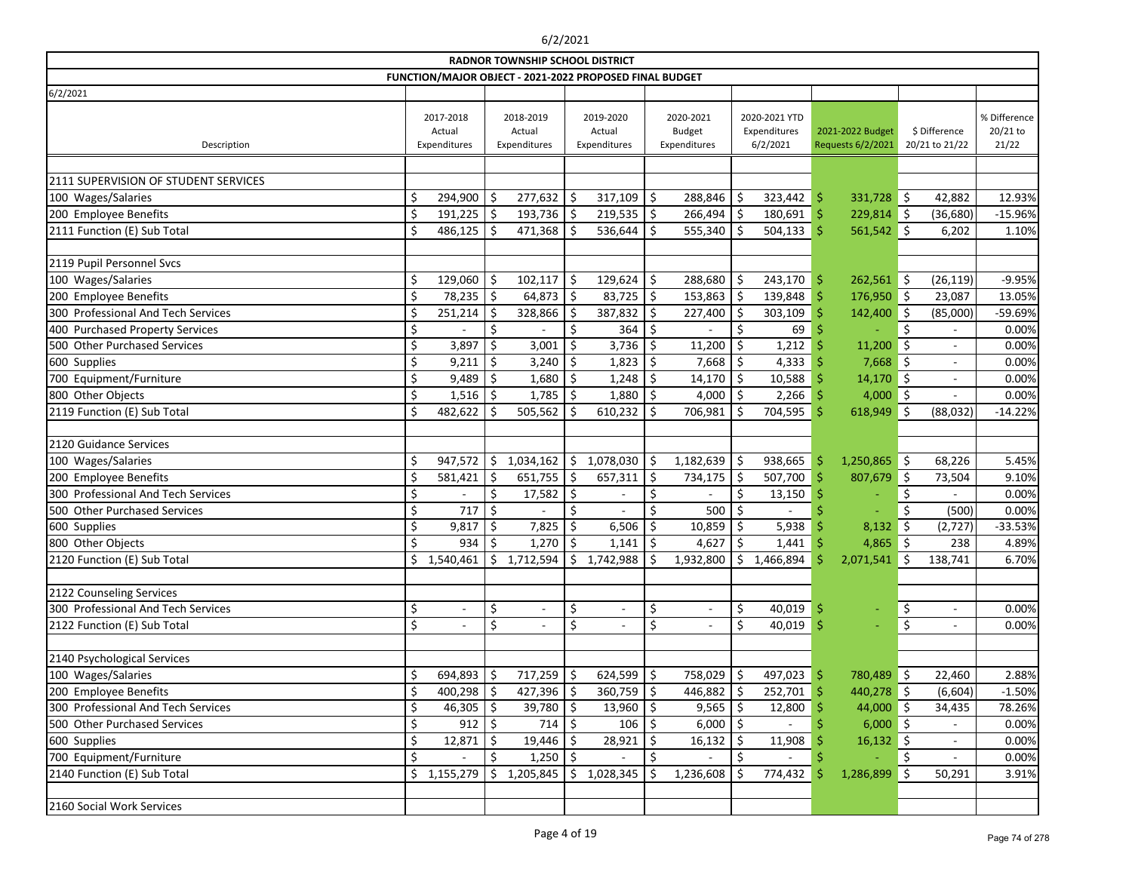|                                      |    |                                     |            | <b>RADNOR TOWNSHIP SCHOOL DISTRICT</b>                  |               |                                     |    |                                            |         |                                           |     |                                       |      |                                 |                                   |
|--------------------------------------|----|-------------------------------------|------------|---------------------------------------------------------|---------------|-------------------------------------|----|--------------------------------------------|---------|-------------------------------------------|-----|---------------------------------------|------|---------------------------------|-----------------------------------|
|                                      |    |                                     |            | FUNCTION/MAJOR OBJECT - 2021-2022 PROPOSED FINAL BUDGET |               |                                     |    |                                            |         |                                           |     |                                       |      |                                 |                                   |
| 6/2/2021                             |    |                                     |            |                                                         |               |                                     |    |                                            |         |                                           |     |                                       |      |                                 |                                   |
| Description                          |    | 2017-2018<br>Actual<br>Expenditures |            | 2018-2019<br>Actual<br>Expenditures                     |               | 2019-2020<br>Actual<br>Expenditures |    | 2020-2021<br><b>Budget</b><br>Expenditures |         | 2020-2021 YTD<br>Expenditures<br>6/2/2021 |     | 2021-2022 Budget<br>Requests 6/2/2021 |      | \$ Difference<br>20/21 to 21/22 | % Difference<br>20/21 to<br>21/22 |
|                                      |    |                                     |            |                                                         |               |                                     |    |                                            |         |                                           |     |                                       |      |                                 |                                   |
| 2111 SUPERVISION OF STUDENT SERVICES |    |                                     |            |                                                         |               |                                     |    |                                            |         |                                           |     |                                       |      |                                 |                                   |
| 100 Wages/Salaries                   |    | 294,900 \$                          |            | $277,632$ \$                                            |               | 317,109                             | Ŝ  | 288,846                                    | \$      | 323,442                                   | \$  | $331,728$ \$                          |      | 42,882                          | 12.93%                            |
| 200 Employee Benefits                | \$ | 191,225                             | $\vert$ \$ | 193,736                                                 | \$            | 219,535                             | \$ | 266,494                                    | \$      | 180,691                                   | \$  | 229,814 \$                            |      | (36, 680)                       | $-15.96%$                         |
| 2111 Function (E) Sub Total          | \$ | 486,125                             | .S         | 471,368                                                 |               | 536,644                             |    | 555,340                                    | \$      | 504, 133                                  | \$  | 561,542                               | \$   | 6,202                           | 1.10%                             |
|                                      |    |                                     |            |                                                         |               |                                     |    |                                            |         |                                           |     |                                       |      |                                 |                                   |
| 2119 Pupil Personnel Svcs            |    |                                     |            |                                                         |               |                                     |    |                                            |         |                                           |     |                                       |      |                                 |                                   |
| 100 Wages/Salaries                   | \$ | 129,060                             | -\$        | 102,117                                                 | \$.           | 129,624                             | \$ | 288,680                                    | \$      | 243,170                                   | -\$ | $262,561$ \$                          |      | (26, 119)                       | $-9.95%$                          |
| 200 Employee Benefits                | \$ | 78,235                              | $\vert$ \$ | 64,873                                                  | \$            | 83,725                              | \$ | 153,863                                    | \$      | 139,848                                   | Ŝ   | $176,950$ \$                          |      | 23,087                          | 13.05%                            |
| 300 Professional And Tech Services   | \$ | 251,214                             | \$.        | 328,866                                                 |               | 387,832                             |    | 227,400                                    | \$      | 303,109                                   |     | 142,400                               | \$   | (85,000)                        | -59.69%                           |
| 400 Purchased Property Services      | \$ |                                     | \$         |                                                         | \$            | 364                                 |    |                                            | \$      | 69                                        |     |                                       | Š.   |                                 | 0.00%                             |
| 500 Other Purchased Services         | \$ | 3,897                               | \$         | 3,001                                                   | Ŝ             | 3,736                               | Ŝ  | 11,200                                     | \$      | 1,212                                     |     | 11,200                                | Ŝ.   |                                 | 0.00%                             |
| 600 Supplies                         | \$ | 9,211                               | .S         | 3,240                                                   |               | 1,823                               |    | 7,668                                      | Ŝ.      | 4,333                                     |     | 7,668                                 | -Ś   | $\overline{\phantom{a}}$        | 0.00%                             |
| 700 Equipment/Furniture              | \$ | 9,489                               | \$         | 1,680                                                   | Ś.            | 1,248                               | Ś. | 14,170                                     | $\zeta$ | 10,588                                    |     | 14,170                                | ∥ \$ | $\blacksquare$                  | 0.00%                             |
| 800 Other Objects                    | \$ | 1,516                               | .S         | 1,785                                                   | <sup>\$</sup> | 1,880                               |    | 4,000                                      | \$      | 2,266                                     |     | 4,000                                 | ∥\$  |                                 | 0.00%                             |
| 2119 Function (E) Sub Total          | Ś  | 482,622                             |            | 505,562                                                 |               | 610,232                             |    | 706,981                                    | \$      | 704,595                                   | Ś   | 618,949                               | \$   | (88,032)                        | $-14.22%$                         |
|                                      |    |                                     |            |                                                         |               |                                     |    |                                            |         |                                           |     |                                       |      |                                 |                                   |
| 2120 Guidance Services               |    |                                     |            |                                                         |               |                                     |    |                                            |         |                                           |     |                                       |      |                                 |                                   |
| 100 Wages/Salaries                   | \$ | 947,572                             | \$         | 1,034,162                                               | \$            | 1,078,030                           | Ś. | 1,182,639                                  | \$      | 938,665                                   | S   | 1,250,865                             | ∥\$  | 68,226                          | 5.45%                             |
| 200 Employee Benefits                | \$ | 581,421                             | \$         | 651,755                                                 | $\zeta$       | 657,311                             | Ś. | 734,175                                    | \$      | 507,700                                   | Ś   | 807,679                               | \$   | 73,504                          | 9.10%                             |
| 300 Professional And Tech Services   | \$ |                                     | \$         | 17,582                                                  |               |                                     |    |                                            | \$      | 13,150                                    |     |                                       |      |                                 | 0.00%                             |
| 500 Other Purchased Services         | \$ | 717                                 | \$         |                                                         |               |                                     |    | 500                                        | \$      |                                           |     |                                       |      | (500)                           | 0.00%                             |
| 600 Supplies                         | \$ | 9,817                               | Ŝ          | 7,825                                                   |               | 6,506                               |    | 10,859                                     | Ŝ.      | 5,938                                     |     | 8,132                                 | Ŝ.   | (2,727)                         | $-33.53%$                         |
| 800 Other Objects                    | \$ | 934                                 | \$.        | 1,270                                                   | \$            | 1,141                               | Ś. | 4,627                                      | \$      | 1,441                                     |     | 4,865                                 | ∥\$  | 238                             | 4.89%                             |
| 2120 Function (E) Sub Total          | \$ | ,540,461<br>-1                      | Ŝ.         | 1,712,594                                               | Ś.            | 1,742,988                           | Ś. | 1,932,800                                  | Ś.      | 1,466,894                                 |     | 2,071,541                             | Š.   | 138,741                         | 6.70%                             |
|                                      |    |                                     |            |                                                         |               |                                     |    |                                            |         |                                           |     |                                       |      |                                 |                                   |
| 2122 Counseling Services             |    |                                     |            |                                                         |               |                                     |    |                                            |         |                                           |     |                                       |      |                                 |                                   |
| 300 Professional And Tech Services   | \$ | $\overline{\phantom{a}}$            | \$         | $\overline{\phantom{a}}$                                | \$            | $\blacksquare$                      | \$ | $\overline{\phantom{a}}$                   | \$      | 40,019                                    | \$  | $\equiv$                              | \$   | $\overline{\phantom{a}}$        | 0.00%                             |
| 2122 Function (E) Sub Total          | \$ | $\overline{\phantom{a}}$            | \$         | $\overline{\phantom{0}}$                                | \$            |                                     | \$ |                                            | \$      | 40,019                                    | Ŝ   |                                       | \$   | $\overline{\phantom{a}}$        | 0.00%                             |
|                                      |    |                                     |            |                                                         |               |                                     |    |                                            |         |                                           |     |                                       |      |                                 |                                   |
| 2140 Psychological Services          |    |                                     |            |                                                         |               |                                     |    |                                            |         |                                           |     |                                       |      |                                 |                                   |
| 100 Wages/Salaries                   | \$ | $694,893$ \$                        |            | $717,259$ \$                                            |               | $624,599$ \$                        |    | 758,029                                    | \$      | $497,023$ \$                              |     | 780,489 \$                            |      | 22,460                          | 2.88%                             |
| 200 Employee Benefits                | \$ | $400,298$ \$                        |            | $427,396$ \$                                            |               | 360,759                             | \$ | $446,882$ \$                               |         | $252,701$ \$                              |     | 440,278 \$                            |      | (6,604)                         | $-1.50%$                          |
| 300 Professional And Tech Services   | \$ | $46,305$ \$                         |            | $39,780$ \$                                             |               | $13,960$ \$                         |    | $9,565$   \$                               |         | 12,800                                    |     | $44,000$ \$                           |      | 34,435                          | 78.26%                            |
| 500 Other Purchased Services         | \$ | 912   \$                            |            | 714                                                     | \$            | 106                                 | Ŝ  | $6,000$   \$                               |         |                                           |     | $6,000$ \$                            |      |                                 | 0.00%                             |
| 600 Supplies                         | \$ | 12,871                              | \$         | 19,446                                                  | \$            | 28,921                              |    | 16,132                                     | \$      | 11,908                                    |     | $16,132$ \$                           |      | $\overline{\phantom{a}}$        | 0.00%                             |
| 700 Equipment/Furniture              | \$ |                                     | \$         | 1,250                                                   | \$            |                                     | \$ |                                            | \$      |                                           |     |                                       | \$   | $\overline{\phantom{a}}$        | 0.00%                             |
| 2140 Function (E) Sub Total          | \$ | 1,155,279                           | Ŝ          | 1,205,845                                               | Ŝ.            | 1,028,345                           |    | 1,236,608                                  | \$      | 774,432                                   |     | 1,286,899                             | \$   | 50,291                          | 3.91%                             |
|                                      |    |                                     |            |                                                         |               |                                     |    |                                            |         |                                           |     |                                       |      |                                 |                                   |
| 2160 Social Work Services            |    |                                     |            |                                                         |               |                                     |    |                                            |         |                                           |     |                                       |      |                                 |                                   |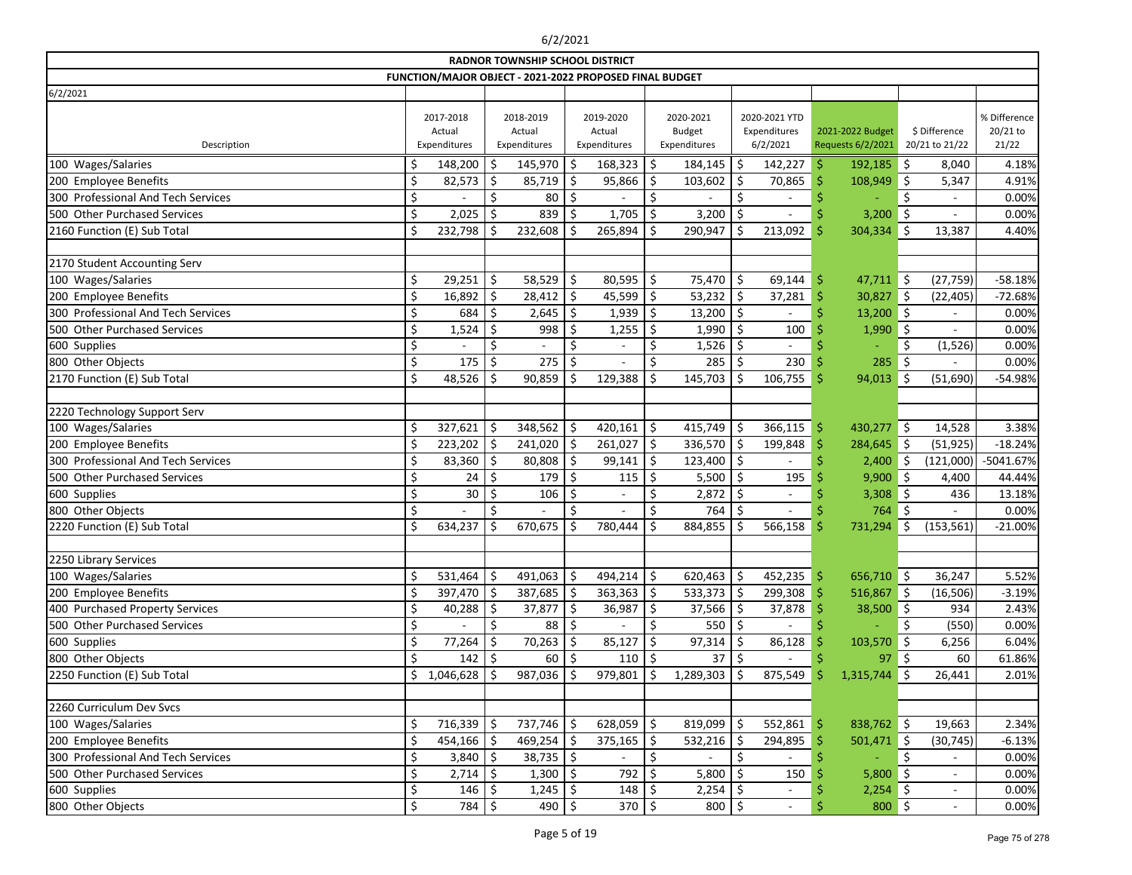|                                    |                                                         |     | <b>RADNOR TOWNSHIP SCHOOL DISTRICT</b> |     |                                     |            |                                            |    |                                           |                     |                                       |         |                                 |                                   |
|------------------------------------|---------------------------------------------------------|-----|----------------------------------------|-----|-------------------------------------|------------|--------------------------------------------|----|-------------------------------------------|---------------------|---------------------------------------|---------|---------------------------------|-----------------------------------|
|                                    | FUNCTION/MAJOR OBJECT - 2021-2022 PROPOSED FINAL BUDGET |     |                                        |     |                                     |            |                                            |    |                                           |                     |                                       |         |                                 |                                   |
| 6/2/2021                           |                                                         |     |                                        |     |                                     |            |                                            |    |                                           |                     |                                       |         |                                 |                                   |
| Description                        | 2017-2018<br>Actual<br>Expenditures                     |     | 2018-2019<br>Actual<br>Expenditures    |     | 2019-2020<br>Actual<br>Expenditures |            | 2020-2021<br><b>Budget</b><br>Expenditures |    | 2020-2021 YTD<br>Expenditures<br>6/2/2021 |                     | 2021-2022 Budget<br>Requests 6/2/2021 |         | \$ Difference<br>20/21 to 21/22 | % Difference<br>20/21 to<br>21/22 |
| 100 Wages/Salaries                 | \$<br>148,200                                           | \$  | 145,970                                | \$  | 168,323                             | \$         | 184,145                                    | \$ | 142,227                                   | \$                  | 192,185                               | \$      | 8,040                           | 4.18%                             |
| 200 Employee Benefits              | \$<br>82,573                                            | \$  | 85,719                                 | \$  | 95,866                              | Ŝ.         | 103,602                                    | \$ | 70,865                                    | Ŝ                   | 108,949                               | Ŝ.      | 5,347                           | 4.91%                             |
| 300 Professional And Tech Services | \$                                                      | Ś.  | 80                                     | \$  |                                     | \$         |                                            | \$ | $\overline{\phantom{a}}$                  |                     |                                       | Ś       | $\overline{\phantom{a}}$        | 0.00%                             |
| 500 Other Purchased Services       | \$<br>2,025                                             | \$  | 839                                    | \$  | 1,705                               | \$         | 3,200                                      | \$ |                                           |                     | 3,200                                 | Ŝ.      |                                 | 0.00%                             |
| 2160 Function (E) Sub Total        | \$<br>232,798                                           | \$  | 232,608                                | Ś   | 265,894                             | Ś          | 290,947                                    | Ś. | 213,092                                   | Ŝ                   | 304,334                               | Š.      | 13,387                          | 4.40%                             |
|                                    |                                                         |     |                                        |     |                                     |            |                                            |    |                                           |                     |                                       |         |                                 |                                   |
| 2170 Student Accounting Serv       |                                                         |     |                                        |     |                                     |            |                                            |    |                                           |                     |                                       |         |                                 |                                   |
| 100 Wages/Salaries                 | \$<br>$29,251$   \$                                     |     | $58,529$ \$                            |     | 80,595                              | \$         | 75,470                                     | \$ | 69,144                                    | \$.                 | $47,711$ \$                           |         | (27, 759)                       | $-58.18%$                         |
| 200 Employee Benefits              | \$<br>$16,892$ \$                                       |     | $28,412$ \$                            |     | 45,599                              | \$         | 53,232                                     | \$ | 37,281                                    | .\$                 | 30,827                                | 5 ا     | (22, 405)                       | $-72.68%$                         |
| 300 Professional And Tech Services | \$<br>684                                               | \$  | 2,645                                  | \$  | 1,939                               | \$         | 13,200                                     | \$ |                                           | Ś                   | $13,200$ \$                           |         |                                 | 0.00%                             |
| 500 Other Purchased Services       | \$<br>1,524                                             | \$  | 998                                    | \$  | 1,255                               | \$         | 1,990                                      | \$ | 100                                       |                     | 1,990                                 | $\zeta$ |                                 | 0.00%                             |
| 600 Supplies                       | \$                                                      | \$  |                                        | \$  |                                     |            | 1,526                                      | \$ |                                           |                     |                                       | Ś       | (1,526)                         | 0.00%                             |
| 800 Other Objects                  | \$<br>175                                               | Ŝ.  | 275                                    | Ś   |                                     |            | 285                                        |    | 230                                       |                     | 285                                   | Ŝ.      |                                 | 0.00%                             |
| 2170 Function (E) Sub Total        | \$<br>48,526                                            | Ŝ.  | 90,859                                 | .S  | 129,388                             | Ś          | 145,703                                    | Ŝ  | 106,755                                   | Š                   | 94,013                                | Ś       | (51,690)                        | -54.98%                           |
|                                    |                                                         |     |                                        |     |                                     |            |                                            |    |                                           |                     |                                       |         |                                 |                                   |
| 2220 Technology Support Serv       |                                                         |     |                                        |     |                                     |            |                                            |    |                                           |                     |                                       |         |                                 |                                   |
| 100 Wages/Salaries                 | \$<br>$327,621$ \$                                      |     | $348,562$ \$                           |     | $420,161$ \$                        |            | 415,749                                    | \$ | 366,115                                   | $\ddot{\mathsf{S}}$ | 430,277                               | $\zeta$ | 14,528                          | 3.38%                             |
| 200 Employee Benefits              | \$<br>$223,202$ \$                                      |     | $241,020$ \$                           |     | 261,027                             | \$         | 336,570                                    | \$ | 199,848                                   | Ś                   | 284,645 \$                            |         | (51, 925)                       | $-18.24%$                         |
| 300 Professional And Tech Services | \$<br>$83,360$   \$                                     |     | 80,808                                 | \$  | 99,141                              | $\vert$ \$ | 123,400                                    | \$ |                                           |                     | 2,400                                 | -\$     | (121,000)                       | $-5041.67%$                       |
| 500 Other Purchased Services       | \$<br>24                                                | \$  | 179                                    | \$  | 115                                 | \$         | 5,500                                      | \$ | 195                                       |                     | 9,900                                 | ∥\$     | 4,400                           | 44.44%                            |
| 600 Supplies                       | \$<br>$30\,$                                            | \$  | 106                                    | Ŝ   |                                     | \$         | 2,872                                      | \$ | $\overline{\phantom{0}}$                  |                     | 3,308                                 | \$      | 436                             | 13.18%                            |
| 800 Other Objects                  | \$                                                      | \$  |                                        | \$  |                                     | \$         | 764                                        | \$ |                                           | .S                  | 764                                   | Ŝ.      |                                 | 0.00%                             |
| 2220 Function (E) Sub Total        | \$<br>634,237                                           | \$  | 670,675                                | .S  | 780,444                             | Ś          | 884,855                                    | \$ | 566,158                                   | .S                  | 731,294                               | Ŝ.      | (153, 561)                      | $-21.00%$                         |
|                                    |                                                         |     |                                        |     |                                     |            |                                            |    |                                           |                     |                                       |         |                                 |                                   |
| 2250 Library Services              |                                                         |     |                                        |     |                                     |            |                                            |    |                                           |                     |                                       |         |                                 |                                   |
| 100 Wages/Salaries                 | \$<br>531,464                                           | \$  | 491,063   \$                           |     | $494,214$ \$                        |            | 620,463                                    | \$ | $452,235$ \$                              |                     | 656,710 \$                            |         | 36,247                          | 5.52%                             |
| 200 Employee Benefits              | \$<br>$397,470$ \$                                      |     | $387,685$ \$                           |     | $363,363$ \$                        |            | 533,373                                    | \$ | 299,308                                   | -S                  | 516,867 \$                            |         | (16, 506)                       | $-3.19%$                          |
| 400 Purchased Property Services    | 40,288                                                  | Ŝ   | $37,877$   \$                          |     | $36,987$ \$                         |            | 37,566                                     |    | 37,878                                    |                     | $38,500$ \$                           |         | 934                             | 2.43%                             |
| 500 Other Purchased Services       | \$<br>$\overline{\phantom{a}}$                          | \$  | 88   \$                                |     |                                     | \$         | 550                                        | \$ | $\frac{1}{2}$                             |                     |                                       | Ś       | (550)                           | 0.00%                             |
| 600 Supplies                       | \$<br>77,264                                            | -\$ | $70,263$   \$                          |     | 85,127                              | \$.        | 97,314                                     | \$ | 86,128                                    |                     | 103,570                               | -\$     | 6,256                           | 6.04%                             |
| 800 Other Objects                  | 142                                                     | -\$ | 60                                     | -\$ | 110                                 |            | 37                                         |    |                                           |                     | 97                                    | \$.     | 60                              | 61.86%                            |
| 2250 Function (E) Sub Total        | \$<br>1,046,628                                         | -S  | $987,036$ \$                           |     | $979,801$ \$                        |            | 1,289,303                                  | \$ | 875,549                                   | -S                  | 1,315,744                             | -Ŝ      | 26,441                          | 2.01%                             |
|                                    |                                                         |     |                                        |     |                                     |            |                                            |    |                                           |                     |                                       |         |                                 |                                   |
| 2260 Curriculum Dev Svcs           |                                                         |     |                                        |     |                                     |            |                                            |    |                                           |                     |                                       |         |                                 |                                   |
| 100 Wages/Salaries                 | $716,339$ \$                                            |     | $737,746$ \$                           |     | $628,059$ \$                        |            | 819,099                                    | \$ | $552,861$ \$                              |                     | $838,762$ \$                          |         | 19,663                          | 2.34%                             |
| 200 Employee Benefits              | \$<br>$454,166$ \$                                      |     | $469,254$ \$                           |     | $375,165$ \$                        |            | 532,216                                    | \$ | 294,895                                   | .S                  | $501,471$ \$                          |         | (30, 745)                       | $-6.13%$                          |
| 300 Professional And Tech Services | \$<br>$3,840$ \$                                        |     | $38,735$ \$                            |     |                                     | \$         |                                            | \$ |                                           |                     |                                       | \$      |                                 | 0.00%                             |
| 500 Other Purchased Services       | \$<br>2,714                                             | -\$ | $1,300$   \$                           |     | 792                                 | -S         | 5,800                                      | S  | 150                                       |                     | $5,800$ \$                            |         | $\overline{\phantom{a}}$        | 0.00%                             |
| 600 Supplies                       | \$<br>$146 \mid 5$                                      |     | $1,245$ \$                             |     | $148 \mid 5$                        |            | 2,254                                      | -Ş | $\overline{\phantom{a}}$                  |                     | $2,254$ \$                            |         | $\overline{\phantom{a}}$        | 0.00%                             |
| 800 Other Objects                  | \$<br>784 \$                                            |     | $490 \mid 5$                           |     | 370   \$                            |            | 800                                        | \$ | $\blacksquare$                            |                     | $800 \div$                            |         | $\overline{\phantom{a}}$        | 0.00%                             |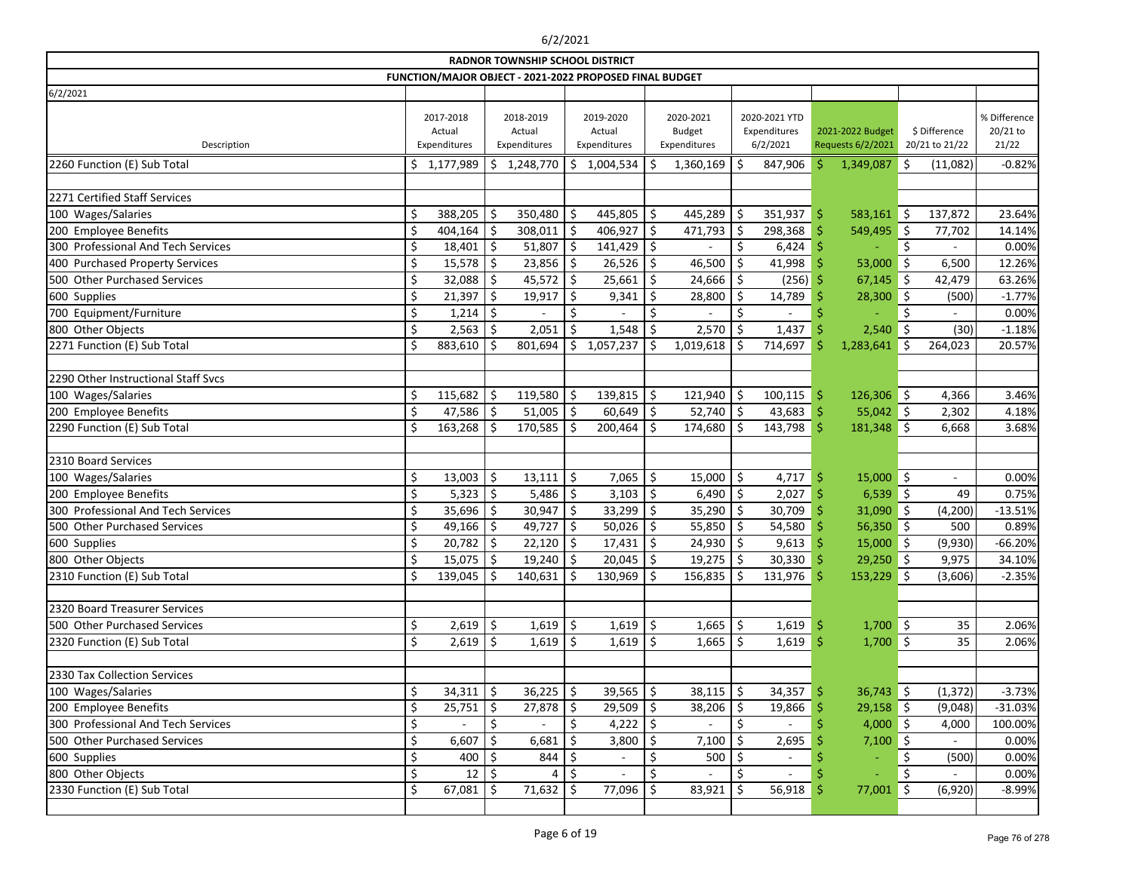|                                     |         |                                     |         | <b>RADNOR TOWNSHIP SCHOOL DISTRICT</b> |         |                                                         |                    |                                            |    |                                           |     |                                       |            |                                 |                                   |
|-------------------------------------|---------|-------------------------------------|---------|----------------------------------------|---------|---------------------------------------------------------|--------------------|--------------------------------------------|----|-------------------------------------------|-----|---------------------------------------|------------|---------------------------------|-----------------------------------|
|                                     |         |                                     |         |                                        |         | FUNCTION/MAJOR OBJECT - 2021-2022 PROPOSED FINAL BUDGET |                    |                                            |    |                                           |     |                                       |            |                                 |                                   |
| 6/2/2021                            |         |                                     |         |                                        |         |                                                         |                    |                                            |    |                                           |     |                                       |            |                                 |                                   |
| Description                         |         | 2017-2018<br>Actual<br>Expenditures |         | 2018-2019<br>Actual<br>Expenditures    |         | 2019-2020<br>Actual<br>Expenditures                     |                    | 2020-2021<br><b>Budget</b><br>Expenditures |    | 2020-2021 YTD<br>Expenditures<br>6/2/2021 |     | 2021-2022 Budget<br>Requests 6/2/2021 |            | \$ Difference<br>20/21 to 21/22 | % Difference<br>20/21 to<br>21/22 |
|                                     |         |                                     |         |                                        |         |                                                         |                    |                                            |    |                                           |     |                                       |            |                                 |                                   |
| 2260 Function (E) Sub Total         |         | \$1,177,989                         |         | \$1,248,770                            |         | \$1,004,534                                             |                    | 1,360,169                                  | \$ | 847,906                                   | Ŝ.  | 1,349,087                             | \$         | (11,082)                        | $-0.82%$                          |
| 2271 Certified Staff Services       |         |                                     |         |                                        |         |                                                         |                    |                                            |    |                                           |     |                                       |            |                                 |                                   |
| 100 Wages/Salaries                  | \$      | 388,205                             | $\zeta$ | 350,480 $\vert$ \$                     |         | 445,805                                                 | \$                 | 445,289                                    | \$ | 351,937                                   | \$  | 583,161                               | ∥\$        | 137,872                         | 23.64%                            |
| 200 Employee Benefits               | \$      | 404,164                             | \$      | $308,011$ \$                           |         | 406,927                                                 | Ś.                 | 471,793                                    | \$ | 298,368                                   | Ŝ   | 549,495                               | $\zeta$    | 77,702                          | 14.14%                            |
| 300 Professional And Tech Services  | \$      | 18,401                              | \$      | 51,807                                 | ∣\$     | 141,429                                                 | \$                 |                                            | \$ | 6,424                                     |     |                                       | \$         |                                 | 0.00%                             |
| 400 Purchased Property Services     | \$      | 15,578                              | \$      | $23,856$ \$                            |         | 26,526                                                  | \$                 | 46,500                                     | \$ | 41,998                                    | .S  | 53,000                                | \$         | 6,500                           | 12.26%                            |
| 500 Other Purchased Services        |         | 32,088                              | Ŝ.      | $45,572$   \$                          |         | 25,661                                                  | \$                 | 24,666                                     | \$ | (256)                                     |     | 67,145                                | <u>is</u>  | 42,479                          | 63.26%                            |
| 600 Supplies                        | \$      | 21,397                              | \$      | 19,917                                 | $\zeta$ | 9,341                                                   | \$                 | 28,800                                     | \$ | 14,789                                    |     | 28,300                                | $\zeta$    | (500)                           | $-1.77%$                          |
| 700 Equipment/Furniture             | \$      | 1,214                               | \$      |                                        | \$      |                                                         | \$                 |                                            | \$ |                                           |     |                                       | \$         |                                 | 0.00%                             |
| 800 Other Objects                   | \$      | 2,563                               | \$      | 2,051                                  |         | 1,548                                                   |                    | 2,570                                      | \$ | 1,437                                     |     | 2,540                                 | \$         | (30)                            | $-1.18%$                          |
| 2271 Function (E) Sub Total         |         | 883,610                             | Ŝ.      | 801,694                                | \$      | 1,057,237                                               | Ŝ.                 | 1,019,618                                  | \$ | 714,697                                   |     | 1,283,641                             | Ŝ.         | 264,023                         | 20.57%                            |
|                                     |         |                                     |         |                                        |         |                                                         |                    |                                            |    |                                           |     |                                       |            |                                 |                                   |
| 2290 Other Instructional Staff Svcs |         |                                     |         |                                        |         |                                                         |                    |                                            |    |                                           |     |                                       |            |                                 |                                   |
| 100 Wages/Salaries                  | \$      | 115,682                             | \$      | 119,580                                | \$      | 139,815                                                 | \$                 | 121,940                                    | \$ | 100, 115                                  | \$  | $126,306$ \$                          |            | 4,366                           | 3.46%                             |
| 200 Employee Benefits               |         | 47,586                              | \$      | $51,005$   \$                          |         | 60,649                                                  | \$                 | 52,740                                     | \$ | 43,683                                    | -\$ | $55,042$ \$                           |            | 2,302                           | 4.18%                             |
| 2290 Function (E) Sub Total         |         | 163,268                             | -Ś      | 170,585                                | -Ś      | 200,464                                                 | Ŝ.                 | 174,680                                    | \$ | 143,798                                   | Ŝ   | 181,348 \$                            |            | 6,668                           | 3.68%                             |
|                                     |         |                                     |         |                                        |         |                                                         |                    |                                            |    |                                           |     |                                       |            |                                 |                                   |
| 2310 Board Services                 |         |                                     |         |                                        |         |                                                         |                    |                                            |    |                                           |     |                                       |            |                                 |                                   |
| 100 Wages/Salaries                  | \$      | 13,003                              | \$      | $13,111$   \$                          |         | 7,065                                                   | \$                 | 15,000                                     | \$ | 4,717                                     | -Ŝ  | $15,000$ \$                           |            | $\overline{\phantom{a}}$        | 0.00%                             |
| 200 Employee Benefits               | \$      | 5,323                               | \$      | 5,486                                  | \$      | 3,103                                                   | \$                 | 6,490                                      | \$ | 2,027                                     |     | 6,539                                 | $\vert$ \$ | 49                              | 0.75%                             |
| 300 Professional And Tech Services  |         | 35,696                              | \$      | $30,947$ \$                            |         | 33,299                                                  | \$                 | 35,290                                     | \$ | 30,709                                    |     | $31,090$ \$                           |            | (4, 200)                        | $-13.51%$                         |
| 500 Other Purchased Services        |         | 49,166                              | \$      | 49,727                                 | -\$     | 50,026                                                  | Ś.                 | 55,850                                     | \$ | 54,580                                    |     | $56,350$ \$                           |            | 500                             | 0.89%                             |
| 600 Supplies                        |         | $20,782$ \$                         |         | $22,120$ \$                            |         | 17,431                                                  | -\$                | 24,930                                     | \$ | 9,613                                     |     | 15,000                                | ∥\$        | (9,930)                         | $-66.20%$                         |
| 800 Other Objects                   | $\zeta$ | 15,075                              | Ŝ.      | 19,240                                 | Ś       | 20,045                                                  | $\mathsf{\hat{S}}$ | 19,275                                     | Ś. | 30,330                                    |     | 29,250                                | Ś.         | 9,975                           | 34.10%                            |
| 2310 Function (E) Sub Total         | \$      | 139,045                             | \$      | $140,631$ \$                           |         | 130,969                                                 | \$                 | 156,835                                    | \$ | $131,976$ \$                              |     | $153,229$ \$                          |            | (3,606)                         | $-2.35%$                          |
|                                     |         |                                     |         |                                        |         |                                                         |                    |                                            |    |                                           |     |                                       |            |                                 |                                   |
| 2320 Board Treasurer Services       |         |                                     |         |                                        |         |                                                         |                    |                                            |    |                                           |     |                                       |            |                                 |                                   |
| 500 Other Purchased Services        | \$      | $2,619$ \$                          |         | $1,619$ \$                             |         | $1,619$ \$                                              |                    | $1,665$ \$                                 |    | 1,619                                     | -\$ | $1,700$ \$                            |            | 35                              | 2.06%                             |
| 2320 Function (E) Sub Total         |         | 2,619                               | -\$     | $1,619$ \$                             |         | $1,619$ \$                                              |                    | 1,665                                      | \$ | 1,619                                     | -Ŝ  | $1,700$ \$                            |            | 35                              | 2.06%                             |
|                                     |         |                                     |         |                                        |         |                                                         |                    |                                            |    |                                           |     |                                       |            |                                 |                                   |
| 2330 Tax Collection Services        |         |                                     |         |                                        |         |                                                         |                    |                                            |    |                                           |     |                                       |            |                                 |                                   |
| 100 Wages/Salaries                  |         | $34,311$   \$                       |         | $36,225$   \$                          |         | $39,565$   \$                                           |                    | $38,115$   \$                              |    | 34,357                                    | -S  | $36,743$ \$                           |            | (1, 372)                        | $-3.73%$                          |
| 200 Employee Benefits               |         | $25,751$ \$                         |         | $27,878$ \$                            |         | $29,509$ \$                                             |                    | 38,206                                     | \$ | 19,866                                    |     | $29,158$ \$                           |            | (9,048)                         | $-31.03%$                         |
| 300 Professional And Tech Services  |         |                                     | \$      |                                        | \$      | 4,222 $\frac{1}{2}$                                     |                    |                                            | \$ |                                           |     | $4,000$ \$                            |            | 4,000                           | 100.00%                           |
| 500 Other Purchased Services        |         | 6,607                               | \$      | 6,681                                  | \$.     | 3,800                                                   |                    | 7,100                                      | \$ | 2,695                                     |     | 7,100                                 | \$         |                                 | 0.00%                             |
| 600 Supplies                        |         | 400                                 | \$      | $844$ \$                               |         |                                                         |                    | 500                                        | \$ |                                           |     |                                       |            | (500)                           | 0.00%                             |
| 800 Other Objects                   |         | 12                                  | -Ş      | 4                                      | \$.     | $\overline{\phantom{a}}$                                |                    | $\overline{\phantom{a}}$                   |    | $\overline{\phantom{a}}$                  |     |                                       |            | $\blacksquare$                  | 0.00%                             |
| 2330 Function (E) Sub Total         | \$      | $67,081$ \$                         |         | $71,632$ \$                            |         | 77,096                                                  | \$                 | 83,921                                     | \$ | 56,918                                    | .S  | $77,001$ \$                           |            | (6,920)                         | $-8.99%$                          |
|                                     |         |                                     |         |                                        |         |                                                         |                    |                                            |    |                                           |     |                                       |            |                                 |                                   |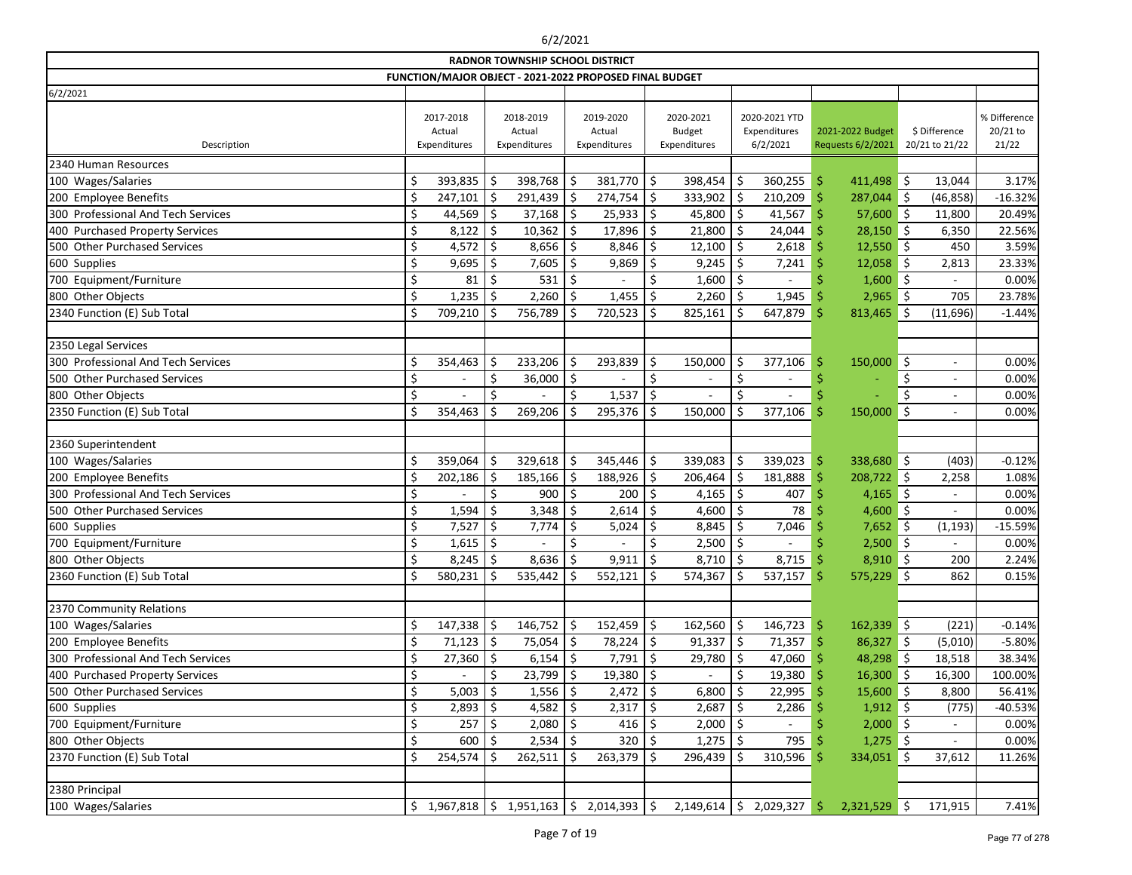|                                    |         |                                     |     | <b>RADNOR TOWNSHIP SCHOOL DISTRICT</b> |               |                                                         |               |                                            |                    |                                           |     |                                       |            |                                 |                                   |
|------------------------------------|---------|-------------------------------------|-----|----------------------------------------|---------------|---------------------------------------------------------|---------------|--------------------------------------------|--------------------|-------------------------------------------|-----|---------------------------------------|------------|---------------------------------|-----------------------------------|
|                                    |         |                                     |     |                                        |               | FUNCTION/MAJOR OBJECT - 2021-2022 PROPOSED FINAL BUDGET |               |                                            |                    |                                           |     |                                       |            |                                 |                                   |
| 6/2/2021                           |         |                                     |     |                                        |               |                                                         |               |                                            |                    |                                           |     |                                       |            |                                 |                                   |
| Description                        |         | 2017-2018<br>Actual<br>Expenditures |     | 2018-2019<br>Actual<br>Expenditures    |               | 2019-2020<br>Actual<br>Expenditures                     |               | 2020-2021<br><b>Budget</b><br>Expenditures |                    | 2020-2021 YTD<br>Expenditures<br>6/2/2021 |     | 2021-2022 Budget<br>Requests 6/2/2021 |            | \$ Difference<br>20/21 to 21/22 | % Difference<br>20/21 to<br>21/22 |
| 2340 Human Resources               |         |                                     |     |                                        |               |                                                         |               |                                            |                    |                                           |     |                                       |            |                                 |                                   |
| 100 Wages/Salaries                 | \$      | $393,835$ \$                        |     | 398,768                                | \$            | 381,770                                                 | \$            | 398,454                                    | $\zeta$            | 360,255                                   | \$  | 411,498                               | \$         | 13,044                          | 3.17%                             |
| 200 Employee Benefits              | \$      | 247,101                             | ∣\$ | 291,439                                | <sup>\$</sup> | 274,754                                                 | Ś.            | $333,902$ \$                               |                    | 210,209                                   | Ś   | 287,044 \$                            |            | (46, 858)                       | $-16.32%$                         |
| 300 Professional And Tech Services | \$      | 44,569                              | ∣\$ | 37,168                                 | \$            | 25,933                                                  | \$            | 45,800                                     | \$                 | 41,567                                    | Ś   | 57,600                                | $\vert$ \$ | 11,800                          | 20.49%                            |
| 400 Purchased Property Services    | \$      | 8,122                               | \$  | 10,362                                 | \$            | 17,896                                                  | Ś.            | 21,800                                     | \$                 | 24,044                                    |     | 28,150                                | $\zeta$    | 6,350                           | 22.56%                            |
| 500 Other Purchased Services       | \$      | 4,572                               | \$  | 8,656                                  | \$            | 8,846                                                   |               | 12,100                                     | $\zeta$            | 2,618                                     |     | $12,550$ \$                           |            | 450                             | 3.59%                             |
| 600 Supplies                       | \$      | $9,695$ \$                          |     | 7,605                                  | \$            | 9,869                                                   | \$            | 9,245                                      | \$                 | 7,241                                     |     | 12,058                                | S.         | 2,813                           | 23.33%                            |
| 700 Equipment/Furniture            | \$      | 81                                  | -S  | 531                                    | <sup>\$</sup> |                                                         |               | 1,600                                      | \$                 |                                           |     | $1,600$ \$                            |            |                                 | 0.00%                             |
| 800 Other Objects                  | \$      | 1,235                               | ∣\$ | 2,260                                  | \$            | 1,455                                                   | <sup>\$</sup> | 2,260                                      | \$                 | 1,945                                     |     | 2,965                                 | ∥\$        | 705                             | 23.78%                            |
| 2340 Function (E) Sub Total        | \$      | 709,210                             | S   | 756,789                                |               | 720,523                                                 |               | 825,161                                    | \$                 | 647,879                                   | S   | 813,465                               | Š.         | (11,696)                        | $-1.44%$                          |
|                                    |         |                                     |     |                                        |               |                                                         |               |                                            |                    |                                           |     |                                       |            |                                 |                                   |
| 2350 Legal Services                |         |                                     |     |                                        |               |                                                         |               |                                            |                    |                                           |     |                                       |            |                                 |                                   |
| 300 Professional And Tech Services | \$      | 354,463                             | \$. | 233,206                                |               | 293,839                                                 | \$            | 150,000                                    | \$                 | 377,106                                   | Ŝ   | 150,000                               | \$         | $\overline{\phantom{a}}$        | 0.00%                             |
| 500 Other Purchased Services       | \$      |                                     | \$  | 36,000                                 | \$            |                                                         | \$            |                                            | \$                 |                                           |     |                                       | \$         | $\overline{\phantom{a}}$        | 0.00%                             |
| 800 Other Objects                  | \$      |                                     | \$  |                                        | \$            | 1,537                                                   |               |                                            | \$                 |                                           |     |                                       |            | $\overline{\phantom{a}}$        | 0.00%                             |
| 2350 Function (E) Sub Total        | \$      | 354,463                             |     | 269,206                                |               | 295,376                                                 | Ś.            | 150,000                                    | \$                 | 377,106                                   | Ś   | 150,000                               | \$         | $\overline{\phantom{a}}$        | 0.00%                             |
|                                    |         |                                     |     |                                        |               |                                                         |               |                                            |                    |                                           |     |                                       |            |                                 |                                   |
| 2360 Superintendent                |         |                                     |     |                                        |               |                                                         |               |                                            |                    |                                           |     |                                       |            |                                 |                                   |
| 100 Wages/Salaries                 | \$      | 359,064                             | \$  | 329,618                                | \$            | 345,446                                                 | \$            | 339,083                                    | \$                 | 339,023                                   | \$  | 338,680                               | $\vert$ \$ | (403)                           | $-0.12%$                          |
| 200 Employee Benefits              | \$      | 202,186                             | Ś   | 185,166                                |               | 188,926                                                 | Ś.            | 206,464                                    | \$                 | 181,888                                   | Ś   | 208,722                               | $\zeta$    | 2,258                           | 1.08%                             |
| 300 Professional And Tech Services | \$      |                                     | \$  | 900                                    | \$            | 200                                                     | Ś.            | 4,165                                      | \$                 | 407                                       |     | 4,165                                 | $\vert$ \$ | $\blacksquare$                  | 0.00%                             |
| 500 Other Purchased Services       | \$      | 1,594                               | \$  | 3,348                                  | \$.           | 2,614                                                   | \$            | 4,600                                      | \$                 | 78                                        |     | 4,600                                 | ∥ \$       |                                 | 0.00%                             |
| 600 Supplies                       | \$      | 7,527                               | \$. | 7,774                                  |               | 5,024                                                   |               | 8,845                                      | \$                 | 7,046                                     |     | 7,652                                 | Ŝ.         | (1, 193)                        | $-15.59%$                         |
| 700 Equipment/Furniture            | \$      | 1,615                               | \$  |                                        | Ś.            |                                                         |               | 2,500                                      | \$                 |                                           |     | 2,500                                 | \$         |                                 | 0.00%                             |
| 800 Other Objects                  | $\zeta$ | 8,245                               | Ś.  | 8,636                                  |               | 9,911                                                   | $\zeta$       | 8,710                                      | $\dot{\mathsf{S}}$ | 8,715                                     |     | 8,910                                 | Ś.         | 200                             | 2.24%                             |
| 2360 Function (E) Sub Total        | \$      | $580,231$ \$                        |     | 535,442                                | \$            | 552,121                                                 | \$            | 574,367                                    | \$                 | $537,157$ \$                              |     | 575,229 \$                            |            | 862                             | 0.15%                             |
|                                    |         |                                     |     |                                        |               |                                                         |               |                                            |                    |                                           |     |                                       |            |                                 |                                   |
| 2370 Community Relations           |         |                                     |     |                                        |               |                                                         |               |                                            |                    |                                           |     |                                       |            |                                 |                                   |
| 100 Wages/Salaries                 | \$      | $147,338$ \$                        |     | $146,752$ \$                           |               | 152,459                                                 | \$            | 162,560                                    | \$                 | 146,723                                   | -\$ | $162,339$ \$                          |            | (221)                           | $-0.14%$                          |
| 200 Employee Benefits              | \$      | $71,123$   \$                       |     | 75,054                                 | \$.           | 78,224                                                  | \$            | $91,337$ \$                                |                    | 71,357                                    |     | $86,327$ \$                           |            | (5,010)                         | $-5.80%$                          |
| 300 Professional And Tech Services | \$      | $27,360$   \$                       |     | 6,154                                  | \$            | 7,791                                                   | \$            | $29,780$   \$                              |                    | 47,060                                    |     | 48,298 \$                             |            | 18,518                          | 38.34%                            |
| 400 Purchased Property Services    | \$      |                                     | Ş   | 23,799                                 | -Ş            | 19,380                                                  | \$            |                                            | \$                 | 19,380                                    |     | $16,300$ \$                           |            | 16,300                          | 100.00%                           |
| 500 Other Purchased Services       | \$      | 5,003                               |     | 1,556                                  |               | 2,472                                                   |               | 6,800                                      | \$                 | 22,995                                    |     | $15,600$ \$                           |            | 8,800                           | 56.41%                            |
| 600 Supplies                       | \$      | $2,893$ \$                          |     | 4,582 $\vert$ \$                       |               | 2,317                                                   | \$            | 2,687                                      | \$                 | 2,286                                     |     | $1,912$ \$                            |            | (775)                           | $-40.53%$                         |
| 700 Equipment/Furniture            | \$      | 257                                 | \$. | 2,080                                  | Ŝ             | 416                                                     |               | 2,000                                      | \$                 |                                           |     | $2,000$ \$                            |            |                                 | 0.00%                             |
| 800 Other Objects                  | \$      | 600                                 | -\$ | $2,534$ \$                             |               | 320                                                     |               | $1,275$ \$                                 |                    | 795                                       |     | $1,275$ \$                            |            | $\overline{\phantom{a}}$        | 0.00%                             |
| 2370 Function (E) Sub Total        | \$      | $254,574$ \$                        |     | 262,511                                | S             | 263,379                                                 | Ş             | 296,439                                    | \$.                | 310,596                                   | -Ş  | 334,051 \$                            |            | 37,612                          | 11.26%                            |
|                                    |         |                                     |     |                                        |               |                                                         |               |                                            |                    |                                           |     |                                       |            |                                 |                                   |
| 2380 Principal                     |         |                                     |     |                                        |               |                                                         |               |                                            |                    |                                           |     |                                       |            |                                 |                                   |
| 100 Wages/Salaries                 |         | \$1,967,818                         |     | $1,951,163$ \$                         |               | $2,014,393$   \$                                        |               | $2,149,614$ \$ 2,029,327                   |                    |                                           | -\$ | $2,321,529$ \$                        |            | 171,915                         | 7.41%                             |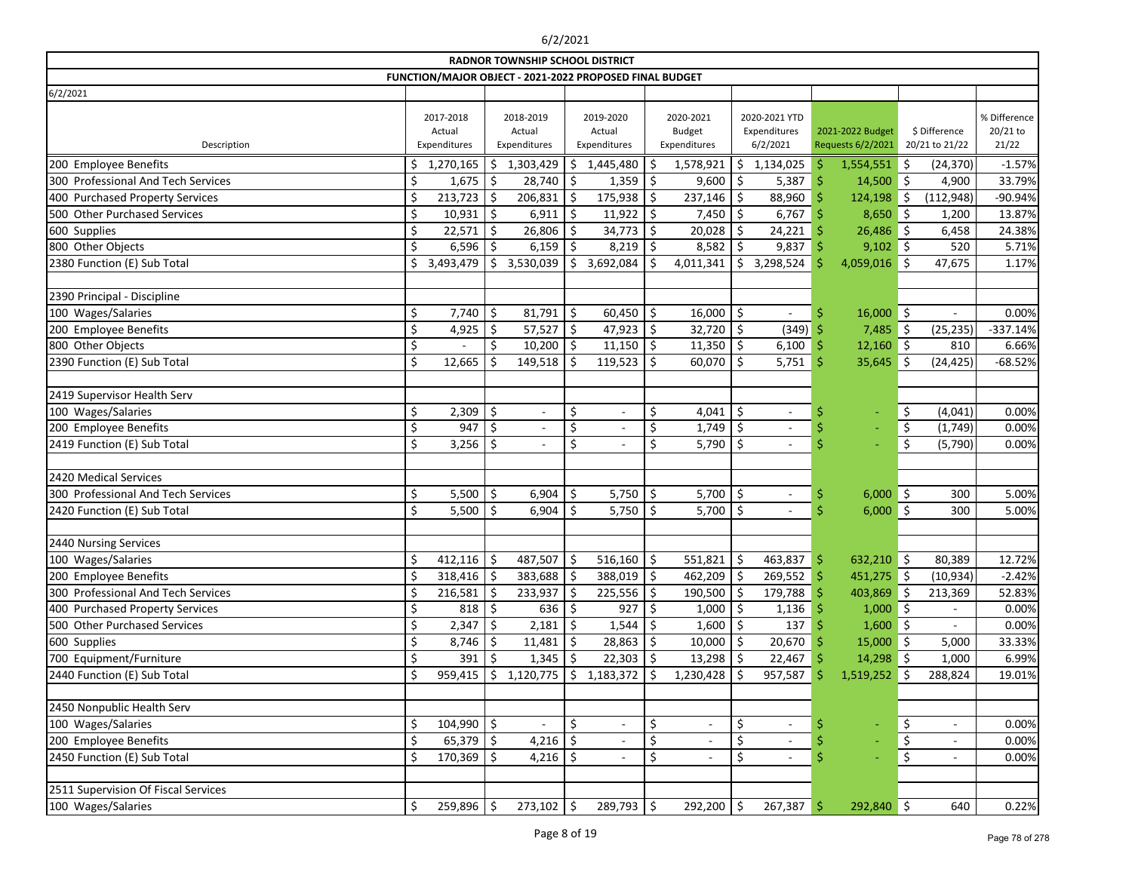|                                     |    |                                     |     | <b>RADNOR TOWNSHIP SCHOOL DISTRICT</b>                  |              |                                     |    |                                            |    |                                           |    |                                       |            |                                 |                                   |
|-------------------------------------|----|-------------------------------------|-----|---------------------------------------------------------|--------------|-------------------------------------|----|--------------------------------------------|----|-------------------------------------------|----|---------------------------------------|------------|---------------------------------|-----------------------------------|
|                                     |    |                                     |     | FUNCTION/MAJOR OBJECT - 2021-2022 PROPOSED FINAL BUDGET |              |                                     |    |                                            |    |                                           |    |                                       |            |                                 |                                   |
| 6/2/2021                            |    |                                     |     |                                                         |              |                                     |    |                                            |    |                                           |    |                                       |            |                                 |                                   |
| Description                         |    | 2017-2018<br>Actual<br>Expenditures |     | 2018-2019<br>Actual<br>Expenditures                     |              | 2019-2020<br>Actual<br>Expenditures |    | 2020-2021<br><b>Budget</b><br>Expenditures |    | 2020-2021 YTD<br>Expenditures<br>6/2/2021 |    | 2021-2022 Budget<br>Requests 6/2/2021 |            | \$ Difference<br>20/21 to 21/22 | % Difference<br>20/21 to<br>21/22 |
| 200 Employee Benefits               | \$ | 1,270,165                           | \$. | 1,303,429                                               | \$           | 1,445,480                           | Ŝ  | 1,578,921                                  |    | \$1,134,025                               |    | 1,554,551                             | \$         | (24, 370)                       | $-1.57%$                          |
| 300 Professional And Tech Services  |    | 1,675                               | Ŝ   | $28,740$ \$                                             |              | $1,359$ \$                          |    | 9,600                                      | \$ | 5,387                                     | Ŝ  | 14,500                                | $\vert$ \$ | 4,900                           | 33.79%                            |
| 400 Purchased Property Services     |    | 213,723                             |     | 206,831                                                 | $\vert$ \$   | $175,938$ \$                        |    | 237,146                                    | \$ | 88,960                                    | Ŝ  | 124,198                               | \$         | (112, 948)                      | -90.94%                           |
| 500 Other Purchased Services        | \$ | 10,931                              | \$  | 6,911                                                   | \$           | $11,922$ \$                         |    | 7,450                                      | \$ | 6,767                                     | Ŝ  | 8,650                                 | ∥\$        | 1,200                           | 13.87%                            |
| 600 Supplies                        | \$ | 22,571                              | Ś.  | 26,806                                                  | \$           | $34,773$ \$                         |    | 20,028                                     |    | 24,221                                    |    | 26,486                                | \$         | 6,458                           | 24.38%                            |
| 800 Other Objects                   | \$ | 6,596                               |     | 6,159                                                   |              | $8,219$ \$                          |    | 8,582                                      |    | 9,837                                     |    | $9,102$ \$                            |            | 520                             | 5.71%                             |
| 2380 Function (E) Sub Total         | \$ | 3,493,479                           | Ŝ.  | 3,530,039                                               | \$           | $3,692,084$   \$                    |    | 4,011,341                                  | \$ | 3,298,524                                 | S  | $4,059,016$ \$                        |            | 47,675                          | 1.17%                             |
|                                     |    |                                     |     |                                                         |              |                                     |    |                                            |    |                                           |    |                                       |            |                                 |                                   |
| 2390 Principal - Discipline         |    |                                     |     |                                                         |              |                                     |    |                                            |    |                                           |    |                                       |            |                                 |                                   |
| 100 Wages/Salaries                  | \$ | 7,740                               | \$  | $81,791$ \$                                             |              | $60,450$ \$                         |    | 16,000                                     | \$ |                                           | \$ | 16,000                                | $\vert$ \$ |                                 | 0.00%                             |
| 200 Employee Benefits               | \$ | 4,925                               | \$  | 57,527                                                  | -\$          | 47,923 $\vert$ \$                   |    | 32,720                                     |    | (349)                                     |    | 7,485                                 | ∣\$        | (25, 235)                       | $-337.14%$                        |
| 800 Other Objects                   | \$ |                                     | Ś.  | $10,200$   \$                                           |              | $11,150$ \$                         |    | 11,350                                     | \$ | 6,100                                     | Ŝ  | $12,160$ \$                           |            | 810                             | 6.66%                             |
| 2390 Function (E) Sub Total         | \$ | 12,665                              |     | 149,518                                                 | <sup>S</sup> | $119,523$   \$                      |    | 60,070                                     | Ŝ. | 5,751                                     | \$ | 35,645                                | Ś.         | (24, 425)                       | $-68.52%$                         |
|                                     |    |                                     |     |                                                         |              |                                     |    |                                            |    |                                           |    |                                       |            |                                 |                                   |
| 2419 Supervisor Health Serv         |    |                                     |     |                                                         |              |                                     |    |                                            |    |                                           |    |                                       |            |                                 |                                   |
| 100 Wages/Salaries                  | \$ | 2,309                               | \$  | $\sim$                                                  | \$           | $\overline{\phantom{a}}$            | \$ | 4,041                                      | \$ |                                           |    | $\blacksquare$                        | \$         | (4,041)                         | 0.00%                             |
| 200 Employee Benefits               | \$ | 947                                 |     |                                                         | \$           |                                     | \$ | 1,749                                      | \$ |                                           |    |                                       | \$         | (1,749)                         | 0.00%                             |
| 2419 Function (E) Sub Total         | \$ | 3,256                               | Ś   | $\blacksquare$                                          | \$           | $\overline{\phantom{a}}$            | \$ | 5,790                                      | \$ | $\overline{\phantom{a}}$                  |    |                                       | \$         | (5,790)                         | 0.00%                             |
|                                     |    |                                     |     |                                                         |              |                                     |    |                                            |    |                                           |    |                                       |            |                                 |                                   |
| 2420 Medical Services               |    |                                     |     |                                                         |              |                                     |    |                                            |    |                                           |    |                                       |            |                                 |                                   |
| 300 Professional And Tech Services  | \$ | 5,500                               | \$  | 6,904                                                   | \$           | 5,750 $\frac{1}{2}$                 |    | 5,700                                      | \$ |                                           | \$ | 6,000                                 | $\vert$ \$ | 300                             | 5.00%                             |
| 2420 Function (E) Sub Total         | Ś  | 5,500                               | \$  | $6,904$ \$                                              |              | 5,750 $ $ \$                        |    | 5,700                                      | \$ |                                           |    | 6,000                                 | $\vert$ \$ | 300                             | 5.00%                             |
|                                     |    |                                     |     |                                                         |              |                                     |    |                                            |    |                                           |    |                                       |            |                                 |                                   |
| 2440 Nursing Services               |    |                                     |     |                                                         |              |                                     |    |                                            |    |                                           |    |                                       |            |                                 |                                   |
| 100 Wages/Salaries                  | Ś  | 412,116                             | \$  | $487,507$ \$                                            |              | $516,160$ \$                        |    | 551,821                                    | \$ | 463,837                                   | \$ | 632,210                               | $\zeta$    | 80,389                          | 12.72%                            |
| 200 Employee Benefits               | \$ | 318,416                             | \$  | 383,688                                                 | -\$          | $388,019$ \$                        |    | 462,209                                    | \$ | $269,552$ \$                              |    | 451,275                               | - \$       | (10, 934)                       | $-2.42%$                          |
| 300 Professional And Tech Services  |    | 216,581                             | -Ŝ  | $233,937$ \$                                            |              | $225,556$ \$                        |    | 190,500                                    | \$ | 179,788                                   | -S | 403,869                               | ا \$       | 213,369                         | 52.83%                            |
| 400 Purchased Property Services     |    | 818                                 |     | $636$ \$                                                |              | $927$ \$                            |    | 1,000                                      |    | 1,136                                     |    | $1,000$ \$                            |            | $\overline{\phantom{a}}$        | 0.00%                             |
| 500 Other Purchased Services        | \$ | 2,347                               | -Ş  | $2,181$ \$                                              |              | $1,544$ \$                          |    | 1,600                                      | S  | 137                                       |    | $1,600$ \$                            |            |                                 | 0.00%                             |
| 600 Supplies                        | \$ | 8,746                               | S   | $11,481$ \$                                             |              | $28,863$ \$                         |    | 10,000                                     |    | 20,670                                    |    | 15,000                                | \$         | 5,000                           | 33.33%                            |
| 700 Equipment/Furniture             |    | 391                                 |     | $1,345$ \$                                              |              | $22,303$ \$                         |    | 13,298                                     |    | 22,467                                    |    | $14,298$ \$                           |            | 1,000                           | 6.99%                             |
| 2440 Function (E) Sub Total         |    | 959,415                             | \$  | $1,120,775$   \$                                        |              | $1,183,372$ \$                      |    | 1,230,428                                  |    | 957,587                                   |    | $1,519,252$ \$                        |            | 288,824                         | 19.01%                            |
|                                     |    |                                     |     |                                                         |              |                                     |    |                                            |    |                                           |    |                                       |            |                                 |                                   |
| 2450 Nonpublic Health Serv          |    |                                     |     |                                                         |              |                                     |    |                                            |    |                                           |    |                                       |            |                                 |                                   |
| 100 Wages/Salaries                  | \$ | 104,990                             | \$  |                                                         | \$           | $\overline{\phantom{a}}$            | \$ | $\overline{\phantom{a}}$                   | \$ |                                           |    |                                       | \$         | $\overline{\phantom{a}}$        | 0.00%                             |
| 200 Employee Benefits               |    | $65,379$ \$                         |     | 4,216 $\vert$ \$                                        |              |                                     | \$ |                                            |    |                                           |    |                                       | \$         | $\overline{\phantom{a}}$        | 0.00%                             |
| 2450 Function (E) Sub Total         |    | $170,369$ \$                        |     | $4,216$ \$                                              |              |                                     | \$ | $\overline{\phantom{a}}$                   | \$ | $\overline{\phantom{a}}$                  |    |                                       | \$         | $\overline{\phantom{a}}$        | 0.00%                             |
|                                     |    |                                     |     |                                                         |              |                                     |    |                                            |    |                                           |    |                                       |            |                                 |                                   |
| 2511 Supervision Of Fiscal Services |    |                                     |     |                                                         |              |                                     |    |                                            |    |                                           |    |                                       |            |                                 |                                   |
| 100 Wages/Salaries                  | \$ | $259,896$ \$                        |     | $273,102$ \$                                            |              | $289,793$ \$                        |    | 292,200                                    | \$ | 267,387                                   | \$ | 292,840 \$                            |            | 640                             | 0.22%                             |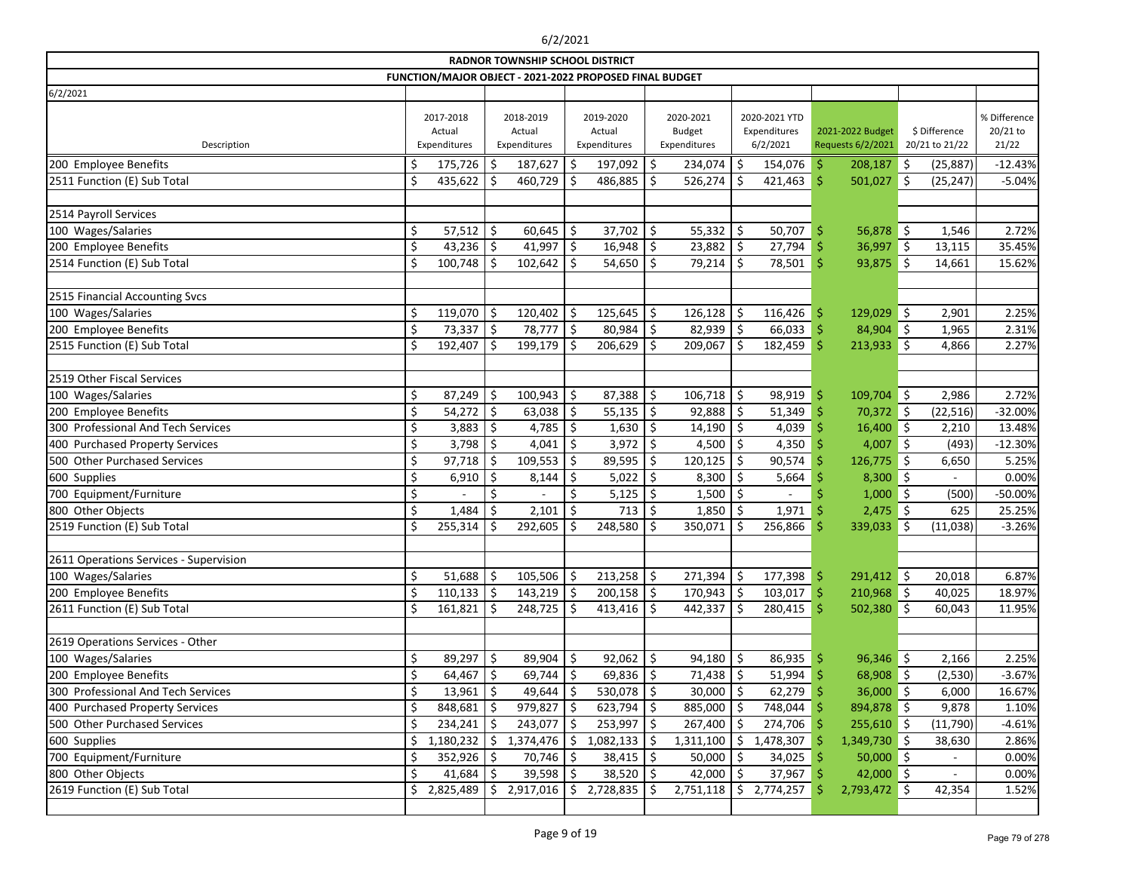| <b>RADNOR TOWNSHIP SCHOOL DISTRICT</b><br>FUNCTION/MAJOR OBJECT - 2021-2022 PROPOSED FINAL BUDGET |    |                                     |               |                                     |    |                                     |    |                                            |     |                                           |                    |                                       |            |                                 |                                   |
|---------------------------------------------------------------------------------------------------|----|-------------------------------------|---------------|-------------------------------------|----|-------------------------------------|----|--------------------------------------------|-----|-------------------------------------------|--------------------|---------------------------------------|------------|---------------------------------|-----------------------------------|
|                                                                                                   |    |                                     |               |                                     |    |                                     |    |                                            |     |                                           |                    |                                       |            |                                 |                                   |
| 6/2/2021                                                                                          |    |                                     |               |                                     |    |                                     |    |                                            |     |                                           |                    |                                       |            |                                 |                                   |
| Description                                                                                       |    | 2017-2018<br>Actual<br>Expenditures |               | 2018-2019<br>Actual<br>Expenditures |    | 2019-2020<br>Actual<br>Expenditures |    | 2020-2021<br><b>Budget</b><br>Expenditures |     | 2020-2021 YTD<br>Expenditures<br>6/2/2021 |                    | 2021-2022 Budget<br>Requests 6/2/2021 |            | \$ Difference<br>20/21 to 21/22 | % Difference<br>20/21 to<br>21/22 |
| 200 Employee Benefits                                                                             | \$ | 175,726                             | Ŝ             | 187,627                             |    | 197,092                             | \$ | 234,074                                    | \$  | 154,076                                   | \$                 | 208,187                               | \$         | (25, 887)                       | $-12.43%$                         |
| 2511 Function (E) Sub Total                                                                       | \$ | 435,622                             | -S            | 460,729                             | Ŝ. | 486,885                             | \$ | 526,274                                    | \$  | 421,463                                   | $\dot{\mathsf{S}}$ | 501,027                               | ∥\$        | (25, 247)                       | $-5.04%$                          |
|                                                                                                   |    |                                     |               |                                     |    |                                     |    |                                            |     |                                           |                    |                                       |            |                                 |                                   |
| 2514 Payroll Services                                                                             |    |                                     |               |                                     |    |                                     |    |                                            |     |                                           |                    |                                       |            |                                 |                                   |
| 100 Wages/Salaries                                                                                | \$ | 57,512                              | \$            | 60,645                              | \$ | 37,702                              | \$ | 55,332   \$                                |     | 50,707                                    | \$                 | $56,878$ \$                           |            | 1,546                           | 2.72%                             |
| 200 Employee Benefits                                                                             | \$ | 43,236                              |               | 41,997                              | \$ | 16,948                              | \$ | 23,882                                     | \$  | 27,794                                    | \$                 | 36,997                                | ∥\$        | 13,115                          | 35.45%                            |
| 2514 Function (E) Sub Total                                                                       | \$ | 100,748                             | Ŝ.            | 102,642                             | S  | 54,650                              | \$ | $79,214$ \$                                |     | 78,501                                    | $\dot{\mathsf{S}}$ | $93,875$ \$                           |            | 14,661                          | 15.62%                            |
|                                                                                                   |    |                                     |               |                                     |    |                                     |    |                                            |     |                                           |                    |                                       |            |                                 |                                   |
| 2515 Financial Accounting Svcs                                                                    |    |                                     |               |                                     |    |                                     |    |                                            |     |                                           |                    |                                       |            |                                 |                                   |
| 100 Wages/Salaries                                                                                | \$ | 119,070                             | Ś             | 120,402                             | Ś  | 125,645                             | \$ | 126,128                                    | \$  | 116,426                                   | \$                 | 129,029                               | \$         | 2,901                           | 2.25%                             |
| 200 Employee Benefits                                                                             | \$ | 73,337                              | \$            | 78,777                              |    | 80,984                              | \$ | 82,939                                     | \$  | 66,033                                    | -\$                | 84,904                                | $\vert$ \$ | 1,965                           | 2.31%                             |
| 2515 Function (E) Sub Total                                                                       | \$ | 192,407                             | \$            | 199,179                             | Ŝ. | 206,629                             | \$ | 209,067                                    | Ŝ.  | 182,459                                   | Ŝ                  | 213,933                               | \$         | 4,866                           | 2.27%                             |
|                                                                                                   |    |                                     |               |                                     |    |                                     |    |                                            |     |                                           |                    |                                       |            |                                 |                                   |
| 2519 Other Fiscal Services                                                                        |    |                                     |               |                                     |    |                                     |    |                                            |     |                                           |                    |                                       |            |                                 |                                   |
| 100 Wages/Salaries                                                                                | \$ | 87,249                              | Ś.            | 100,943                             | \$ | 87,388                              | \$ | 106,718                                    | \$  | 98,919                                    | \$                 | 109,704                               | $\vert$ \$ | 2,986                           | 2.72%                             |
| 200 Employee Benefits                                                                             | \$ | 54,272                              | \$            | 63,038                              | \$ | 55,135                              | \$ | 92,888                                     | \$  | 51,349                                    | Ŝ                  | 70,372 \$                             |            | (22, 516)                       | $-32.00%$                         |
| 300 Professional And Tech Services                                                                | \$ | 3,883                               | \$            | 4,785                               | \$ | $1,630$ \$                          |    | 14,190                                     | \$  | 4,039                                     | Ś                  | $16,400$ \$                           |            | 2,210                           | 13.48%                            |
| 400 Purchased Property Services                                                                   | \$ | 3,798                               | <sup>\$</sup> | 4,041                               | Ŝ  | 3,972                               | \$ | 4,500 $\vert$ \$                           |     | 4,350                                     |                    | 4,007                                 | - 5        | (493)                           | $-12.30%$                         |
| 500 Other Purchased Services                                                                      | \$ | 97,718                              | Ŝ             | 109,553                             | \$ | 89,595                              | \$ | 120,125                                    | \$  | 90,574                                    | Ś                  | 126,775                               | $\vert$ \$ | 6,650                           | 5.25%                             |
| 600 Supplies                                                                                      | \$ | 6,910                               | Ŝ             | 8,144                               | Ŝ  | 5,022                               | \$ | 8,300                                      | \$  | 5,664                                     |                    | 8,300                                 | $\vert$ \$ |                                 | 0.00%                             |
| 700 Equipment/Furniture                                                                           | \$ |                                     | \$            |                                     |    | 5,125                               |    | 1,500                                      | \$  |                                           |                    | 1,000                                 | $\zeta$    | (500)                           | -50.00%                           |
| 800 Other Objects                                                                                 | \$ | 1,484                               | \$            | 2,101                               | Ś. | 713                                 | \$ | 1,850                                      | \$  | 1,971                                     |                    | $2,475$ \$                            |            | 625                             | 25.25%                            |
| 2519 Function (E) Sub Total                                                                       | \$ | 255,314                             | <sup>\$</sup> | 292,605                             |    | 248,580                             | \$ | 350,071                                    | \$  | 256,866                                   | Ŝ                  | 339,033                               | Š.         | (11,038)                        | $-3.26%$                          |
|                                                                                                   |    |                                     |               |                                     |    |                                     |    |                                            |     |                                           |                    |                                       |            |                                 |                                   |
| 2611 Operations Services - Supervision                                                            |    |                                     |               |                                     |    |                                     |    |                                            |     |                                           |                    |                                       |            |                                 |                                   |
| 100 Wages/Salaries                                                                                | \$ | 51,688                              | \$            | 105,506                             | \$ | 213,258                             | \$ | 271,394                                    | \$  | $177,398$ \$                              |                    | 291,412 \$                            |            | 20,018                          | 6.87%                             |
| 200 Employee Benefits                                                                             | \$ | $110,133$   \$                      |               | $143,219$ \$                        |    | $200,158$ \$                        |    | $170,943$ \$                               |     | 103,017                                   | -\$                | 210,968 \$                            |            | 40,025                          | 18.97%                            |
| 2611 Function (E) Sub Total                                                                       | \$ | 161,821                             | Ŝ             | 248,725                             | Ŝ  | 413,416                             | \$ | $442,337$   \$                             |     | 280,415                                   | \$                 | $502,380$ \$                          |            | 60,043                          | 11.95%                            |
|                                                                                                   |    |                                     |               |                                     |    |                                     |    |                                            |     |                                           |                    |                                       |            |                                 |                                   |
| 2619 Operations Services - Other                                                                  |    |                                     |               |                                     |    |                                     |    |                                            |     |                                           |                    |                                       |            |                                 |                                   |
| 100 Wages/Salaries                                                                                | \$ | 89,297                              | \$            | 89,904                              | \$ | 92,062                              | \$ | 94,180                                     | \$  | 86,935                                    | -Ş                 | $96,346$ \$                           |            | 2,166                           | 2.25%                             |
| 200 Employee Benefits                                                                             |    | 64,467                              | \$            | 69,744                              | \$ | $69,836$ \$                         |    | $71,438$   \$                              |     | 51,994                                    | -S                 | $68,908$ \$                           |            | (2,530)                         | $-3.67%$                          |
| 300 Professional And Tech Services                                                                |    | 13,961                              | Ŝ             | 49,644                              |    | 530,078                             | \$ | $30,000$   \$                              |     | 62,279                                    |                    | $36,000$ \$                           |            | 6,000                           | 16.67%                            |
| 400 Purchased Property Services                                                                   | \$ | 848,681                             | -Ş            | $979,827$ \$                        |    | $623,794$ \$                        |    | $885,000$   \$                             |     | 748,044                                   |                    | 894,878 \$                            |            | 9,878                           | 1.10%                             |
| 500 Other Purchased Services                                                                      |    | 234,241                             |               | 243,077                             |    | 253,997                             | \$ | 267,400                                    | Ŝ.  | 274,706                                   |                    | $255,610$ \$                          |            | (11, 790)                       | $-4.61%$                          |
| 600 Supplies                                                                                      |    | 1,180,232                           | \$            | 1,374,476                           | \$ | 1,082,133                           |    | 1,311,100                                  | \$  | 1,478,307                                 |                    | $1,349,730$ \$                        |            | 38,630                          | 2.86%                             |
| 700 Equipment/Furniture                                                                           |    | 352,926                             | Ŝ             | 70,746                              |    | $38,415$ \$                         |    | 50,000                                     | \$  | 34,025                                    |                    | $50,000$ \$                           |            |                                 | 0.00%                             |
| 800 Other Objects                                                                                 |    | 41,684                              |               | 39,598                              |    | 38,520                              |    | 42,000                                     |     | 37,967                                    |                    | 42,000 \$                             |            | $\overline{\phantom{a}}$        | 0.00%                             |
| 2619 Function (E) Sub Total                                                                       | \$ | 2,825,489                           | \$            | 2,917,016                           | \$ | 2,728,835                           |    | 2,751,118                                  | \$. | 2,774,257                                 |                    | $2,793,472$ \$                        |            | 42,354                          | 1.52%                             |
|                                                                                                   |    |                                     |               |                                     |    |                                     |    |                                            |     |                                           |                    |                                       |            |                                 |                                   |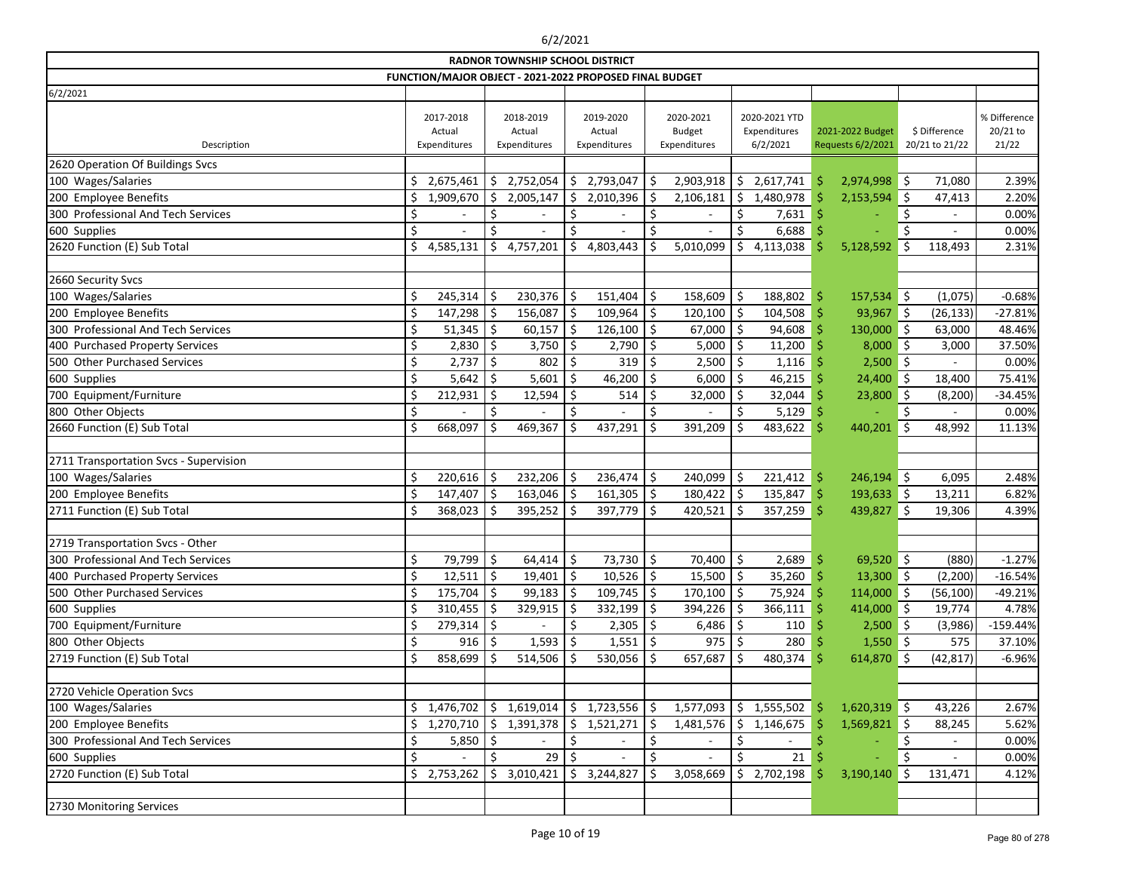|                                        |     |                                     |     | <b>RADNOR TOWNSHIP SCHOOL DISTRICT</b>                  |               |                                     |    |                                            |         |                                           |    |                                       |         |                                 |                                   |
|----------------------------------------|-----|-------------------------------------|-----|---------------------------------------------------------|---------------|-------------------------------------|----|--------------------------------------------|---------|-------------------------------------------|----|---------------------------------------|---------|---------------------------------|-----------------------------------|
|                                        |     |                                     |     | FUNCTION/MAJOR OBJECT - 2021-2022 PROPOSED FINAL BUDGET |               |                                     |    |                                            |         |                                           |    |                                       |         |                                 |                                   |
| 6/2/2021                               |     |                                     |     |                                                         |               |                                     |    |                                            |         |                                           |    |                                       |         |                                 |                                   |
| Description                            |     | 2017-2018<br>Actual<br>Expenditures |     | 2018-2019<br>Actual<br>Expenditures                     |               | 2019-2020<br>Actual<br>Expenditures |    | 2020-2021<br><b>Budget</b><br>Expenditures |         | 2020-2021 YTD<br>Expenditures<br>6/2/2021 |    | 2021-2022 Budget<br>Requests 6/2/2021 |         | \$ Difference<br>20/21 to 21/22 | % Difference<br>20/21 to<br>21/22 |
| 2620 Operation Of Buildings Svcs       |     |                                     |     |                                                         |               |                                     |    |                                            |         |                                           |    |                                       |         |                                 |                                   |
| 100 Wages/Salaries                     | \$  | 2,675,461                           | \$  | 2,752,054                                               | Ŝ.            | 2,793,047                           | Ś  | 2,903,918                                  | \$      | 2,617,741                                 | \$ | 2,974,998                             | ∥\$     | 71,080                          | 2.39%                             |
| 200 Employee Benefits                  | Ś   | 1,909,670                           | Ŝ.  | 2,005,147                                               | \$            | 2,010,396                           |    | 2,106,181                                  | \$      | 1,480,978                                 |    | 2,153,594                             | .S      | 47,413                          | 2.20%                             |
| 300 Professional And Tech Services     | \$  |                                     | \$  |                                                         | \$            |                                     | \$ |                                            | \$      | 7,631                                     |    |                                       | Ŝ.      |                                 | 0.00%                             |
| 600 Supplies                           | \$  |                                     | \$  |                                                         | \$            |                                     |    |                                            | \$      | 6,688                                     |    |                                       |         |                                 | 0.00%                             |
| 2620 Function (E) Sub Total            | \$  | 4,585,131                           | \$  | 4,757,201                                               | Ś             | 4,803,443                           |    | 5,010,099                                  | \$      | 4,113,038                                 |    | 5,128,592                             | Ś       | 118,493                         | 2.31%                             |
|                                        |     |                                     |     |                                                         |               |                                     |    |                                            |         |                                           |    |                                       |         |                                 |                                   |
| 2660 Security Svcs                     |     |                                     |     |                                                         |               |                                     |    |                                            |         |                                           |    |                                       |         |                                 |                                   |
| 100 Wages/Salaries                     | \$  | 245,314                             | \$  | 230,376                                                 | \$            | 151,404                             | \$ | 158,609                                    | \$      | 188,802                                   | \$ | 157,534                               | ∥\$     | (1,075)                         | $-0.68%$                          |
| 200 Employee Benefits                  | \$  | 147,298                             | \$  | 156,087                                                 | Ś.            | 109,964                             | Ś. | 120,100                                    | \$      | 104,508                                   | Ś  | 93,967                                | ∥\$     | (26, 133)                       | $-27.81%$                         |
| 300 Professional And Tech Services     | \$  | 51,345                              | \$  | 60,157                                                  | Ŝ             | 126,100                             | \$ | 67,000                                     | \$      | 94,608                                    |    | 130,000                               | ∥\$     | 63,000                          | 48.46%                            |
| 400 Purchased Property Services        | \$  | 2,830                               | \$  | 3,750                                                   | Ś.            | 2,790                               | \$ | 5,000                                      | \$      | 11,200                                    |    | 8,000                                 | ∥\$     | 3,000                           | 37.50%                            |
| 500 Other Purchased Services           | \$  | 2,737                               | \$  | 802                                                     |               | 319                                 |    | 2,500                                      | \$      | 1,116                                     |    | $2,500$ \$                            |         |                                 | 0.00%                             |
| 600 Supplies                           | \$  | $5,642$ \$                          |     | 5,601                                                   | \$            | 46,200                              | Ś. | 6,000                                      | $\zeta$ | 46,215                                    |    | 24,400                                | \$      | 18,400                          | 75.41%                            |
| 700 Equipment/Furniture                | \$  | 212,931                             | \$  | 12,594                                                  | Ś.            | 514                                 |    | 32,000                                     | \$      | 32,044                                    |    | 23,800                                | \$      | (8, 200)                        | $-34.45%$                         |
| 800 Other Objects                      | \$  |                                     | \$  |                                                         | \$            |                                     |    |                                            | \$      | 5,129                                     |    |                                       | \$      |                                 | 0.00%                             |
| 2660 Function (E) Sub Total            | \$  | 668,097                             | \$  | 469,367                                                 |               | 437,291                             |    | 391,209                                    | Ś.      | 483,622                                   | \$ | 440,201                               | \$      | 48,992                          | 11.13%                            |
|                                        |     |                                     |     |                                                         |               |                                     |    |                                            |         |                                           |    |                                       |         |                                 |                                   |
| 2711 Transportation Svcs - Supervision |     |                                     |     |                                                         |               |                                     |    |                                            |         |                                           |    |                                       |         |                                 |                                   |
| 100 Wages/Salaries                     | \$  | $220,616$ \$                        |     | 232,206                                                 | Ś             | 236,474                             | \$ | 240,099                                    | \$      | 221,412                                   | \$ | 246,194                               | $\zeta$ | 6,095                           | 2.48%                             |
| 200 Employee Benefits                  | \$  | 147,407                             | ∣\$ | 163,046                                                 | \$.           | 161,305                             | \$ | 180,422                                    | \$      | 135,847                                   | \$ | 193,633                               | ∥\$     | 13,211                          | 6.82%                             |
| 2711 Function (E) Sub Total            | \$  | 368,023                             | -S  | 395,252                                                 | <sup>\$</sup> | 397,779                             | \$ | 420,521                                    | Ŝ.      | 357,259                                   | Ś  | 439,827                               | \$      | 19,306                          | 4.39%                             |
|                                        |     |                                     |     |                                                         |               |                                     |    |                                            |         |                                           |    |                                       |         |                                 |                                   |
| 2719 Transportation Svcs - Other       |     |                                     |     |                                                         |               |                                     |    |                                            |         |                                           |    |                                       |         |                                 |                                   |
| 300 Professional And Tech Services     | \$  | 79,799                              | Ŝ.  | 64,414                                                  | Š.            | 73,730                              | Ś. | 70,400                                     | $\zeta$ | 2,689                                     | Ŝ. | 69,520                                | $\zeta$ | (880)                           | $-1.27%$                          |
| 400 Purchased Property Services        | \$  | $12,511$ \$                         |     | 19,401                                                  | \$            | 10,526                              | \$ | 15,500 $\vert$ \$                          |         | 35,260                                    | -Ş | $13,300$ \$                           |         | (2, 200)                        | $-16.54%$                         |
| 500 Other Purchased Services           | \$  | $175,704$   \$                      |     | $99,183$ \$                                             |               | 109,745                             | \$ | $170,100$ \$                               |         | $75,924$ \$                               |    | 114,000 \$                            |         | (56, 100)                       | $-49.21%$                         |
| 600 Supplies                           | \$  | $310,455$ \$                        |     | 329,915                                                 |               | 332,199                             |    | 394,226                                    | -\$     | 366,111                                   |    | 414,000 \$                            |         | 19,774                          | 4.78%                             |
| 700 Equipment/Furniture                | \$  | $279,314$ \$                        |     |                                                         |               | $2,305$   \$                        |    | $6,486$ \$                                 |         | 110                                       |    | $2,500$ \$                            |         | (3,986)                         | $-159.44%$                        |
| 800 Other Objects                      | \$  | 916                                 | .S  | 1,593                                                   |               | 1,551                               | S  | 975                                        | \$.     | 280                                       |    | $1,550$ \$                            |         | 575                             | 37.10%                            |
| 2719 Function (E) Sub Total            | \$  | 858,699                             |     | 514,506                                                 |               | 530,056                             |    | 657,687                                    |         | 480,374                                   |    | 614,870                               | \$      | (42, 817)                       | $-6.96%$                          |
|                                        |     |                                     |     |                                                         |               |                                     |    |                                            |         |                                           |    |                                       |         |                                 |                                   |
| 2720 Vehicle Operation Svcs            |     |                                     |     |                                                         |               |                                     |    |                                            |         |                                           |    |                                       |         |                                 |                                   |
| 100 Wages/Salaries                     | \$. | 1,476,702                           | \$  | 1,619,014                                               | \$            | 1,723,556                           | \$ | 1,577,093                                  |         | \$1,555,502                               | S  | $1,620,319$ \$                        |         | 43,226                          | 2.67%                             |
| 200 Employee Benefits                  | \$  | 1,270,710                           | \$  | 1,391,378                                               | Ŝ.            | 1,521,271                           |    | 1,481,576                                  | $\zeta$ | 1,146,675                                 |    | $1,569,821$ \$                        |         | 88,245                          | 5.62%                             |
| 300 Professional And Tech Services     | \$  | 5,850                               | \$. |                                                         |               |                                     |    |                                            | \$      |                                           |    |                                       |         |                                 | 0.00%                             |
| 600 Supplies                           | \$  |                                     | \$  | 29                                                      |               |                                     |    |                                            | \$      | 21                                        |    |                                       |         |                                 | 0.00%                             |
| 2720 Function (E) Sub Total            | \$  | 2,753,262                           | Ŝ.  | 3,010,421                                               | Ŝ.            | 3,244,827                           |    | 3,058,669                                  | \$.     | 2,702,198                                 |    | 3,190,140                             | Ŝ.      | 131,471                         | 4.12%                             |
|                                        |     |                                     |     |                                                         |               |                                     |    |                                            |         |                                           |    |                                       |         |                                 |                                   |
| 2730 Monitoring Services               |     |                                     |     |                                                         |               |                                     |    |                                            |         |                                           |    |                                       |         |                                 |                                   |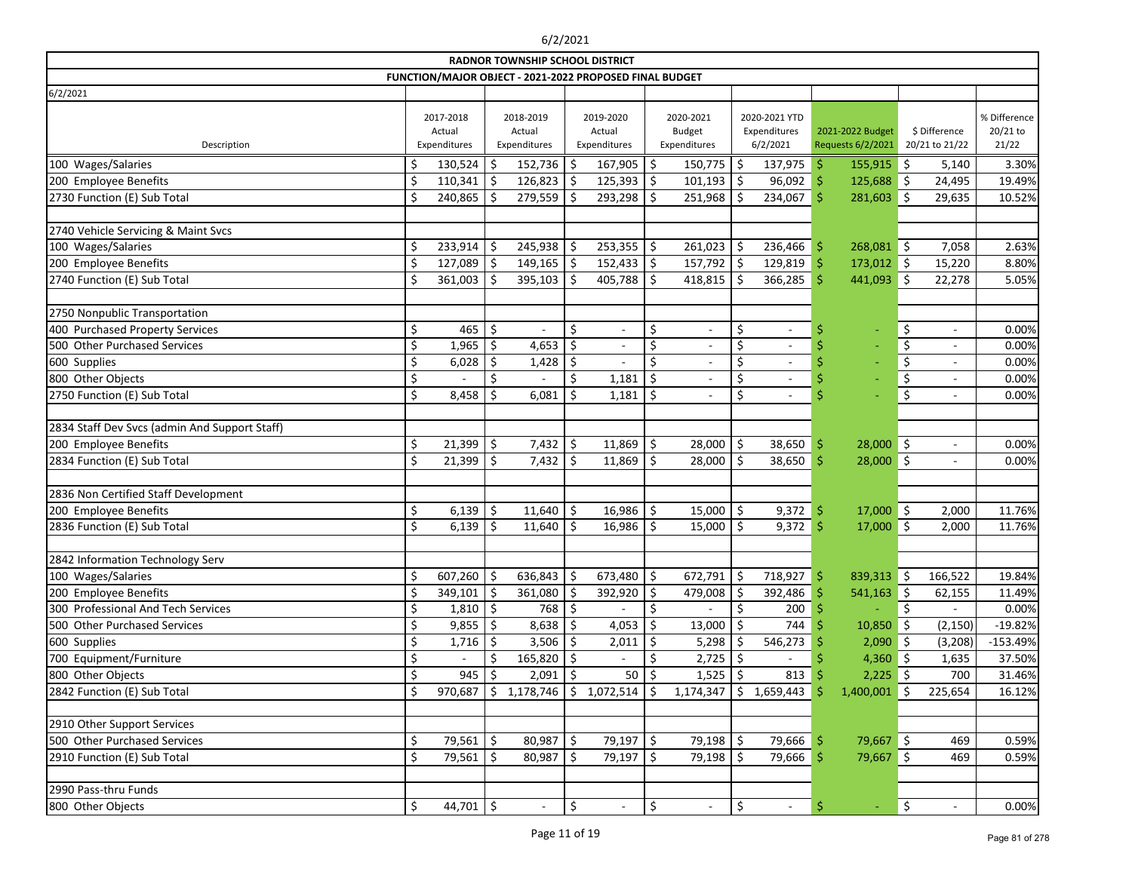|                                               |    |                                     |     | <b>RADNOR TOWNSHIP SCHOOL DISTRICT</b>                  |     |                                     |               |                                            |               |                                           |                    |                                       |            |                                 |                                   |
|-----------------------------------------------|----|-------------------------------------|-----|---------------------------------------------------------|-----|-------------------------------------|---------------|--------------------------------------------|---------------|-------------------------------------------|--------------------|---------------------------------------|------------|---------------------------------|-----------------------------------|
|                                               |    |                                     |     | FUNCTION/MAJOR OBJECT - 2021-2022 PROPOSED FINAL BUDGET |     |                                     |               |                                            |               |                                           |                    |                                       |            |                                 |                                   |
| 6/2/2021                                      |    |                                     |     |                                                         |     |                                     |               |                                            |               |                                           |                    |                                       |            |                                 |                                   |
| Description                                   |    | 2017-2018<br>Actual<br>Expenditures |     | 2018-2019<br>Actual<br>Expenditures                     |     | 2019-2020<br>Actual<br>Expenditures |               | 2020-2021<br><b>Budget</b><br>Expenditures |               | 2020-2021 YTD<br>Expenditures<br>6/2/2021 |                    | 2021-2022 Budget<br>Requests 6/2/2021 |            | \$ Difference<br>20/21 to 21/22 | % Difference<br>20/21 to<br>21/22 |
| 100 Wages/Salaries                            | Ś  | 130,524                             | \$. | 152,736                                                 |     | 167,905                             | \$            | 150,775                                    | \$            | 137,975                                   | \$                 | 155,915                               | \$         | 5,140                           | 3.30%                             |
| 200 Employee Benefits                         | \$ | $110,341$ \$                        |     | 126,823                                                 | -\$ | 125,393                             | \$            | 101,193                                    | \$            | 96,092                                    | \$                 | 125,688                               | ∥\$        | 24,495                          | 19.49%                            |
| 2730 Function (E) Sub Total                   | Ś. | 240,865                             | .S  | 279,559                                                 |     | 293,298                             | \$            | 251,968                                    | \$            | 234,067                                   | Ŝ.                 | 281,603                               | Ŝ.         | 29,635                          | 10.52%                            |
|                                               |    |                                     |     |                                                         |     |                                     |               |                                            |               |                                           |                    |                                       |            |                                 |                                   |
| 2740 Vehicle Servicing & Maint Svcs           |    |                                     |     |                                                         |     |                                     |               |                                            |               |                                           |                    |                                       |            |                                 |                                   |
| 100 Wages/Salaries                            | \$ | 233,914                             | \$  | 245,938                                                 | Ŝ   | 253,355                             | \$            | 261,023                                    | \$            | 236,466                                   | \$                 | 268,081 \$                            |            | 7,058                           | 2.63%                             |
| 200 Employee Benefits                         | \$ | $127,089$ \$                        |     | $149,165$ \$                                            |     | 152,433                             | \$            | $157,792$ \$                               |               | 129,819                                   | \$                 | $173,012$ \$                          |            | 15,220                          | 8.80%                             |
| 2740 Function (E) Sub Total                   | Ś. | 361,003                             | -Ś  | 395,103                                                 |     | 405,788                             | Ś.            | 418,815                                    | \$            | 366,285                                   | $\dot{\mathsf{S}}$ | 441,093                               | Ŝ.         | 22,278                          | 5.05%                             |
|                                               |    |                                     |     |                                                         |     |                                     |               |                                            |               |                                           |                    |                                       |            |                                 |                                   |
| 2750 Nonpublic Transportation                 |    |                                     |     |                                                         |     |                                     |               |                                            |               |                                           |                    |                                       |            |                                 |                                   |
| 400 Purchased Property Services               | \$ | 465                                 | \$  |                                                         | \$  | $\overline{\phantom{a}}$            | \$            | $\overline{\phantom{a}}$                   | \$            | $\overline{\phantom{a}}$                  | \$                 | $\overline{\phantom{a}}$              | \$         | $\overline{\phantom{a}}$        | 0.00%                             |
| 500 Other Purchased Services                  | \$ | 1,965                               | \$  | 4,653                                                   | Ś.  |                                     | \$            | $\overline{\phantom{a}}$                   | \$            |                                           |                    |                                       | \$         | $\overline{\phantom{a}}$        | 0.00%                             |
| 600 Supplies                                  | \$ | 6,028                               | .S  | 1,428                                                   | S   |                                     | Ś.            | $\overline{\phantom{a}}$                   | \$            | $\qquad \qquad -$                         |                    |                                       | \$         | $\overline{\phantom{a}}$        | 0.00%                             |
| 800 Other Objects                             | \$ |                                     | \$  |                                                         | \$  | 1,181                               | Ś.            | $\overline{\phantom{a}}$                   | \$            |                                           |                    |                                       | \$         | $\overline{\phantom{a}}$        | 0.00%                             |
| 2750 Function (E) Sub Total                   | \$ | 8,458                               |     | 6,081                                                   |     | 1,181                               | \$            | $\overline{\phantom{a}}$                   | \$            | $\overline{\phantom{a}}$                  | Ś                  |                                       | \$         | $\overline{\phantom{a}}$        | 0.00%                             |
|                                               |    |                                     |     |                                                         |     |                                     |               |                                            |               |                                           |                    |                                       |            |                                 |                                   |
| 2834 Staff Dev Svcs (admin And Support Staff) |    |                                     |     |                                                         |     |                                     |               |                                            |               |                                           |                    |                                       |            |                                 |                                   |
| 200 Employee Benefits                         | \$ | 21,399                              | Ŝ.  | 7,432                                                   | \$  | 11,869                              | \$            | $28,000$ \$                                |               | 38,650                                    | \$                 | $28,000$ \$                           |            | $\overline{\phantom{a}}$        | 0.00%                             |
| 2834 Function (E) Sub Total                   | \$ | 21,399                              | \$  | 7,432                                                   | \$  | 11,869                              | \$            | 28,000                                     | \$            | 38,650                                    | Ś                  | 28,000                                | $\vert$ \$ | $\overline{\phantom{a}}$        | 0.00%                             |
| 2836 Non Certified Staff Development          |    |                                     |     |                                                         |     |                                     |               |                                            |               |                                           |                    |                                       |            |                                 |                                   |
| 200 Employee Benefits                         | \$ | 6,139                               | \$  | 11,640                                                  | \$  | 16,986                              | \$            | 15,000                                     | $\frac{1}{2}$ | 9,372                                     | \$                 | $17,000$ \$                           |            | 2,000                           | 11.76%                            |
| 2836 Function (E) Sub Total                   | \$ | 6,139                               | S   | 11,640                                                  |     | 16,986                              | <sup>\$</sup> | 15,000                                     | \$            | 9,372                                     | \$                 | 17,000                                | Ŝ.         | 2,000                           | 11.76%                            |
|                                               |    |                                     |     |                                                         |     |                                     |               |                                            |               |                                           |                    |                                       |            |                                 |                                   |
| 2842 Information Technology Serv              |    |                                     |     |                                                         |     |                                     |               |                                            |               |                                           |                    |                                       |            |                                 |                                   |
| 100 Wages/Salaries                            | \$ | $607,260$ \$                        |     | 636,843                                                 | \$. | 673,480                             | \$            | $672,791$   \$                             |               | $718,927$ \$                              |                    | 839,313 \$                            |            | 166,522                         | 19.84%                            |
| 200 Employee Benefits                         | \$ | $349,101$ \$                        |     | 361,080                                                 |     | 392,920                             | Ş             | 479,008                                    | \$            | 392,486                                   | S                  | $541,163$ \$                          |            | 62,155                          | 11.49%                            |
| 300 Professional And Tech Services            | \$ | $1,810$ \$                          |     | 768                                                     |     |                                     | S             |                                            | \$            | 200                                       |                    |                                       |            |                                 | 0.00%                             |
| 500 Other Purchased Services                  | \$ | $9,855$ \$                          |     | 8,638                                                   | \$  | 4,053                               |               | 13,000                                     | \$            | 744                                       |                    | 10,850                                | \$         | (2, 150)                        | $-19.82%$                         |
| 600 Supplies                                  | \$ | 1,716                               | -S  | 3,506                                                   | \$  | 2,011                               |               | 5,298                                      |               | 546,273                                   |                    | $2,090$ \$                            |            | (3, 208)                        | $-153.49%$                        |
| 700 Equipment/Furniture                       | \$ |                                     | Ŝ   | 165,820                                                 | -\$ |                                     |               | $2,725$ \$                                 |               |                                           |                    | $4,360$ \$                            |            | 1,635                           | 37.50%                            |
| 800 Other Objects                             | \$ | 945                                 | \$  | $2,091$ \$                                              |     | 50                                  |               | $1,525$ \$                                 |               | 813                                       |                    | $2,225$ \$                            |            | 700                             | 31.46%                            |
| 2842 Function (E) Sub Total                   | \$ | 970,687                             | S   | 1,178,746                                               | S   | 1,072,514                           |               | 1,174,347                                  | \$.           | 1,659,443                                 |                    | 1,400,001                             | .S         | 225,654                         | 16.12%                            |
|                                               |    |                                     |     |                                                         |     |                                     |               |                                            |               |                                           |                    |                                       |            |                                 |                                   |
| 2910 Other Support Services                   |    |                                     |     |                                                         |     |                                     |               |                                            |               |                                           |                    |                                       |            |                                 |                                   |
| 500 Other Purchased Services                  | \$ | $79,561$   \$                       |     | 80,987                                                  | \$  | 79,197                              | \$            | $79,198$ \$                                |               | 79,666                                    | -\$                | $79,667$ \$                           |            | 469                             | 0.59%                             |
| 2910 Function (E) Sub Total                   | \$ | $79,561$   \$                       |     | 80,987                                                  | -\$ | 79,197                              | \$,           | $79,198$ \$                                |               | 79,666                                    | \$                 | 79,667 \$                             |            | 469                             | 0.59%                             |
|                                               |    |                                     |     |                                                         |     |                                     |               |                                            |               |                                           |                    |                                       |            |                                 |                                   |
| 2990 Pass-thru Funds                          |    |                                     |     |                                                         |     |                                     |               |                                            |               |                                           |                    |                                       |            |                                 |                                   |
| 800 Other Objects                             | \$ | 44,701 $\vert$ \$                   |     | $\overline{\phantom{a}}$                                | \$  | $\overline{\phantom{a}}$            | \$            |                                            | \$            |                                           | \$                 |                                       | \$         |                                 | 0.00%                             |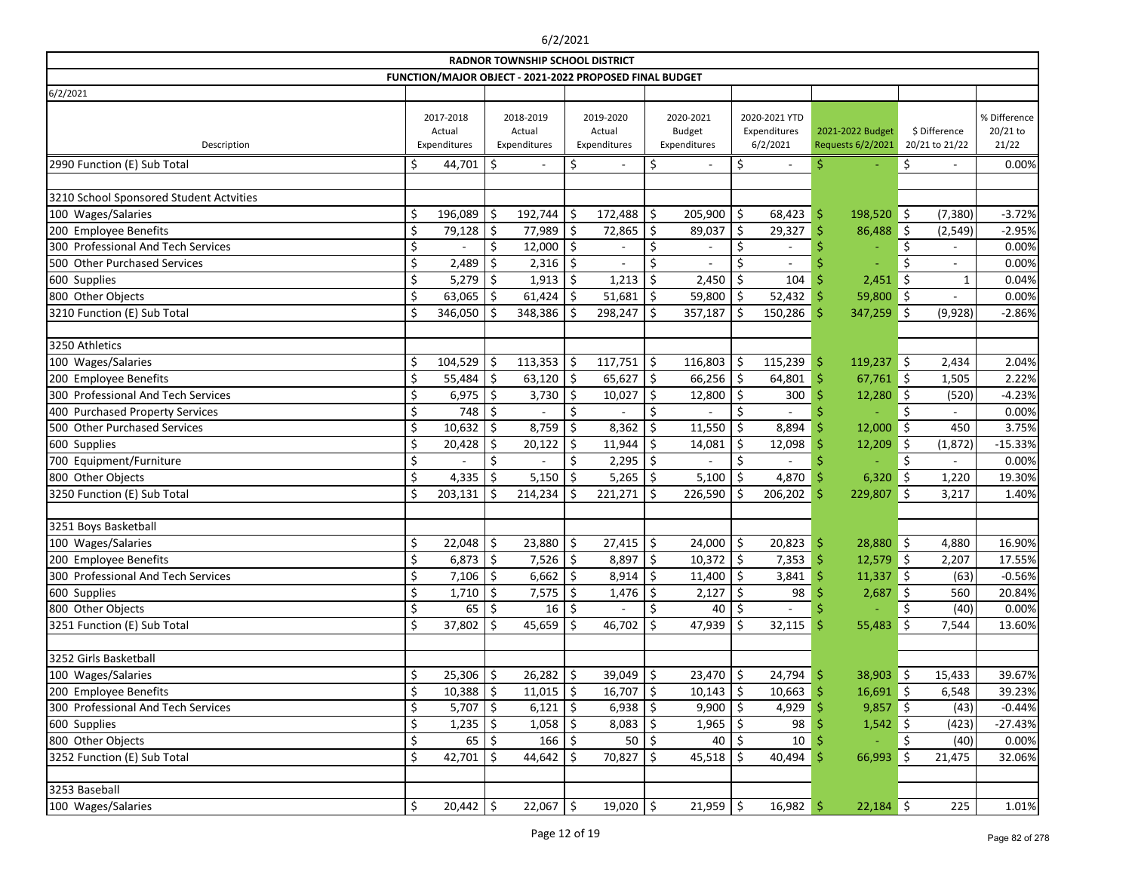|                                         |    |                                                         |               | <b>RADNOR TOWNSHIP SCHOOL DISTRICT</b> |               |                                     |         |                                            |         |                                           |     |                                       |            |                                 |                                   |
|-----------------------------------------|----|---------------------------------------------------------|---------------|----------------------------------------|---------------|-------------------------------------|---------|--------------------------------------------|---------|-------------------------------------------|-----|---------------------------------------|------------|---------------------------------|-----------------------------------|
|                                         |    | FUNCTION/MAJOR OBJECT - 2021-2022 PROPOSED FINAL BUDGET |               |                                        |               |                                     |         |                                            |         |                                           |     |                                       |            |                                 |                                   |
| 6/2/2021                                |    |                                                         |               |                                        |               |                                     |         |                                            |         |                                           |     |                                       |            |                                 |                                   |
| Description                             |    | 2017-2018<br>Actual<br>Expenditures                     |               | 2018-2019<br>Actual<br>Expenditures    |               | 2019-2020<br>Actual<br>Expenditures |         | 2020-2021<br><b>Budget</b><br>Expenditures |         | 2020-2021 YTD<br>Expenditures<br>6/2/2021 |     | 2021-2022 Budget<br>Requests 6/2/2021 |            | \$ Difference<br>20/21 to 21/22 | % Difference<br>20/21 to<br>21/22 |
| 2990 Function (E) Sub Total             | \$ | 44,701                                                  | \$            |                                        | \$            | $\sim$                              | \$      |                                            | \$      |                                           |     |                                       | \$         | $\blacksquare$                  | 0.00%                             |
|                                         |    |                                                         |               |                                        |               |                                     |         |                                            |         |                                           |     |                                       |            |                                 |                                   |
| 3210 School Sponsored Student Actvities |    |                                                         |               |                                        |               |                                     |         |                                            |         |                                           |     |                                       |            |                                 |                                   |
| 100 Wages/Salaries                      | \$ | 196,089                                                 | \$            | 192,744                                | \$            | 172,488                             | $\zeta$ | 205,900                                    | \$      | 68,423                                    | \$  | 198,520                               | ∣\$        | (7, 380)                        | $-3.72%$                          |
| 200 Employee Benefits                   | \$ | 79,128                                                  | Ŝ             | 77,989                                 |               | 72,865                              | \$      | 89,037                                     | \$      | 29,327                                    | Ŝ   | 86,488                                | \$         | (2, 549)                        | $-2.95%$                          |
| 300 Professional And Tech Services      | \$ |                                                         | \$            | 12,000                                 | Ś.            |                                     | \$      |                                            | \$      |                                           |     |                                       | Ś          |                                 | 0.00%                             |
| 500 Other Purchased Services            | \$ | 2,489                                                   |               | 2,316                                  |               |                                     |         |                                            |         |                                           |     |                                       |            |                                 | 0.00%                             |
| 600 Supplies                            | \$ | 5,279                                                   |               | 1,913                                  | Ś             | 1,213                               |         | 2,450                                      |         | 104                                       |     | 2,451                                 | Ś.         | $\mathbf{1}$                    | 0.04%                             |
| 800 Other Objects                       | Ś. | 63,065                                                  | \$.           | 61,424                                 | Ŝ             | 51,681                              | -\$     | 59,800                                     | \$      | 52,432                                    | -S  | 59,800                                | $\vert$ \$ |                                 | 0.00%                             |
| 3210 Function (E) Sub Total             | Ś. | 346,050                                                 |               | 348,386                                |               | 298,247                             | \$      | 357,187                                    | Ŝ.      | 150,286                                   | \$  | 347,259                               | Ś.         | (9,928)                         | $-2.86%$                          |
|                                         |    |                                                         |               |                                        |               |                                     |         |                                            |         |                                           |     |                                       |            |                                 |                                   |
| 3250 Athletics                          |    |                                                         |               |                                        |               |                                     |         |                                            |         |                                           |     |                                       |            |                                 |                                   |
| 100 Wages/Salaries                      | \$ | 104,529                                                 | \$            | 113,353                                | \$            | 117,751                             | \$      | 116,803                                    | \$      | 115,239                                   | \$  | 119,237                               | ∥\$        | 2,434                           | 2.04%                             |
| 200 Employee Benefits                   |    | 55,484                                                  | \$            | 63,120                                 | \$            | 65,627                              | \$      | 66,256                                     | \$      | 64,801                                    | Ś   | $67,761$ \$                           |            | 1,505                           | 2.22%                             |
| 300 Professional And Tech Services      | Ŝ  | 6,975                                                   |               | 3,730                                  |               | 10,027                              | \$      | 12,800                                     | Ŝ       | 300                                       |     | 12,280                                | \$         | (520)                           | $-4.23%$                          |
| 400 Purchased Property Services         | \$ | 748                                                     | Ŝ             |                                        | \$            |                                     | \$      |                                            | \$      |                                           |     |                                       | Ś.         |                                 | 0.00%                             |
| 500 Other Purchased Services            | \$ | 10,632                                                  | \$            | 8,759                                  |               | 8,362                               |         | 11,550                                     |         | 8,894                                     |     | 12,000                                | Ś.         | 450                             | 3.75%                             |
| 600 Supplies                            | \$ | 20,428                                                  |               | 20,122                                 |               | 11,944                              | \$      | 14,081                                     | \$      | 12,098                                    |     | 12,209                                | Ś          | (1,872)                         | $-15.33%$                         |
| 700 Equipment/Furniture                 | \$ |                                                         | \$            |                                        | \$            | 2,295                               | \$      |                                            |         |                                           |     |                                       | \$         |                                 | 0.00%                             |
| 800 Other Objects                       | \$ | 4,335                                                   |               | 5,150                                  |               | 5,265                               | -\$     | 5,100                                      | \$.     | 4,870                                     |     | 6,320                                 | Ŝ.         | 1,220                           | 19.30%                            |
| 3250 Function (E) Sub Total             | Ś  | 203,131                                                 | <sup>\$</sup> | 214,234                                |               | 221,271                             | Ŝ.      | 226,590                                    | \$      | 206,202                                   | Ś   | 229,807                               | $\zeta$    | 3,217                           | 1.40%                             |
|                                         |    |                                                         |               |                                        |               |                                     |         |                                            |         |                                           |     |                                       |            |                                 |                                   |
| 3251 Boys Basketball                    |    |                                                         |               |                                        |               |                                     |         |                                            |         |                                           |     |                                       |            |                                 |                                   |
| 100 Wages/Salaries                      | \$ | 22,048                                                  | \$            | 23,880                                 | \$            | $27,415$ \$                         |         | 24,000                                     | \$      | 20,823                                    | -\$ | 28,880                                | ∥\$        | 4,880                           | 16.90%                            |
| 200 Employee Benefits                   | ς  | 6,873                                                   | $\zeta$       | 7,526                                  | <sup>\$</sup> | 8,897                               | Ŝ.      | 10,372                                     | $\zeta$ | 7,353                                     | -Ś  | 12,579                                | $\zeta$    | 2,207                           | 17.55%                            |
| 300 Professional And Tech Services      | \$ | 7,106                                                   | \$            | 6,662                                  | \$            | 8,914                               | -\$     | 11,400                                     | \$      | 3,841                                     |     | $11,337$ \$                           |            | (63)                            | $-0.56%$                          |
| 600 Supplies                            |    | 1,710                                                   |               | 7,575                                  |               | 1,476                               |         | 2,127                                      |         | 98                                        |     | 2,687                                 | ∥\$        | 560                             | 20.84%                            |
| 800 Other Objects                       | \$ | 65                                                      |               | 16                                     |               |                                     |         | 40                                         | \$      |                                           |     |                                       | \$         | (40)                            | 0.00%                             |
| 3251 Function (E) Sub Total             |    | $37,802$   \$                                           |               | $45,659$   \$                          |               | $46,702$ \$                         |         | 47,939                                     | \$      | 32,115                                    | -Ş  | 55,483                                | - 1        | 7,544                           | 13.60%                            |
|                                         |    |                                                         |               |                                        |               |                                     |         |                                            |         |                                           |     |                                       |            |                                 |                                   |
| 3252 Girls Basketball                   |    |                                                         |               |                                        |               |                                     |         |                                            |         |                                           |     |                                       |            |                                 |                                   |
| 100 Wages/Salaries                      | \$ | 25,306                                                  | \$            | 26,282                                 | \$            | $39,049$ \$                         |         | 23,470                                     | -\$     | 24,794                                    | -S  | $38,903$ \$                           |            | 15,433                          | 39.67%                            |
| 200 Employee Benefits                   | \$ | 10,388                                                  | \$            | $11,015$ \$                            |               | $16,707$   \$                       |         | 10,143                                     | \$      | 10,663                                    | -Ŝ  | $16,691$ \$                           |            | 6,548                           | 39.23%                            |
| 300 Professional And Tech Services      | \$ | $5,707$ \$                                              |               | $6,121$ \$                             |               | $6,938$ \$                          |         | 9,900                                      | .S      | 4,929                                     |     | $9,857$ \$                            |            | (43)                            | $-0.44%$                          |
| 600 Supplies                            |    | 1,235                                                   |               | 1,058                                  |               | $8,083$ \$                          |         | 1,965                                      |         | 98                                        |     | $1,542$ \$                            |            | (423)                           | $-27.43%$                         |
| 800 Other Objects                       | \$ | 65                                                      |               | 166                                    |               | 50   \$                             |         | 40                                         |         | 10 <sup>1</sup>                           |     |                                       |            | (40)                            | 0.00%                             |
| 3252 Function (E) Sub Total             | \$ | 42,701                                                  |               | 44,642                                 |               | 70,827                              | -Ş      | 45,518                                     |         | 40,494                                    | -S  | 66,993                                | \$         | 21,475                          | 32.06%                            |
|                                         |    |                                                         |               |                                        |               |                                     |         |                                            |         |                                           |     |                                       |            |                                 |                                   |
| 3253 Baseball                           |    |                                                         |               |                                        |               |                                     |         |                                            |         |                                           |     |                                       |            |                                 |                                   |
| 100 Wages/Salaries                      | \$ | $20,442$ \$                                             |               | $22,067$ \$                            |               | 19,020 $\vert$ \$                   |         | $21,959$ \$                                |         | $16,982$ \$                               |     | $22,184$ \$                           |            | 225                             | 1.01%                             |
|                                         |    |                                                         |               |                                        |               |                                     |         |                                            |         |                                           |     |                                       |            |                                 |                                   |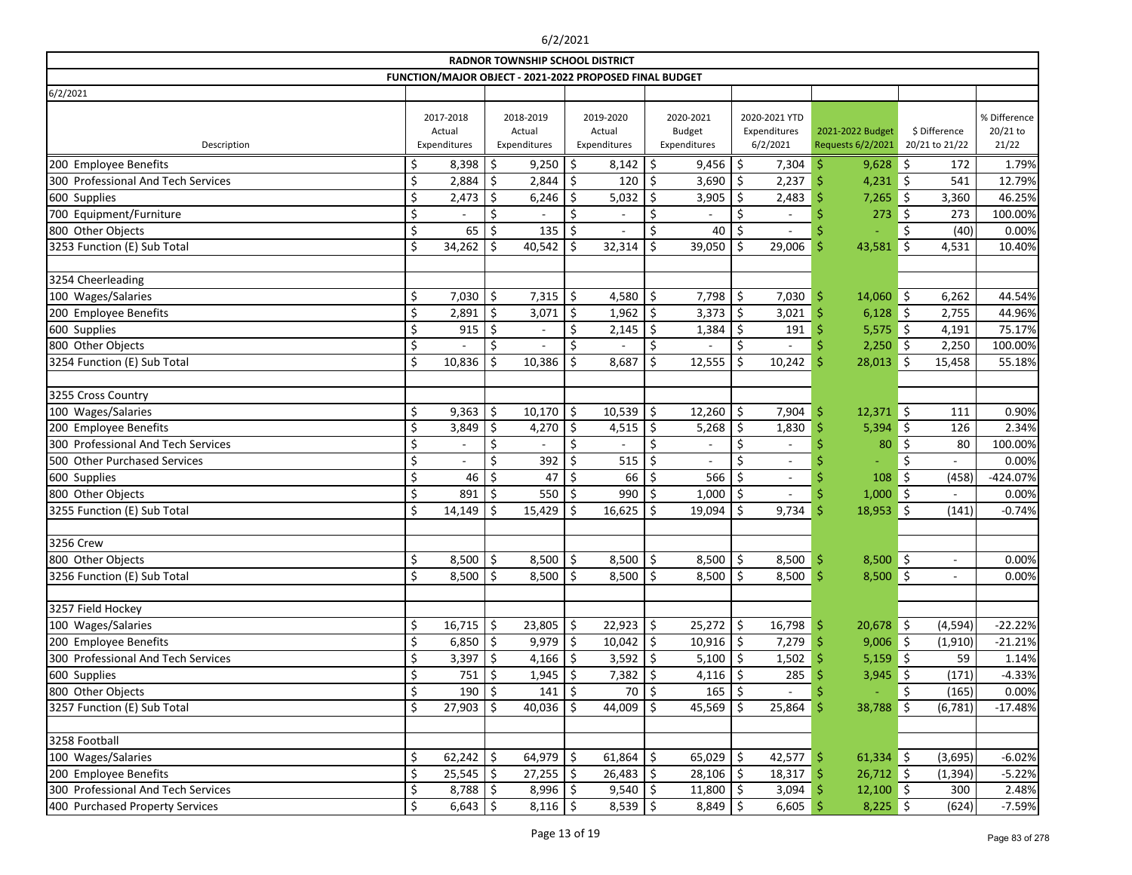| <b>RADNOR TOWNSHIP SCHOOL DISTRICT</b><br>FUNCTION/MAJOR OBJECT - 2021-2022 PROPOSED FINAL BUDGET |     |                                     |    |                                     |    |                                     |            |                                            |                                           |     |                                       |            |                                 |                                   |
|---------------------------------------------------------------------------------------------------|-----|-------------------------------------|----|-------------------------------------|----|-------------------------------------|------------|--------------------------------------------|-------------------------------------------|-----|---------------------------------------|------------|---------------------------------|-----------------------------------|
|                                                                                                   |     |                                     |    |                                     |    |                                     |            |                                            |                                           |     |                                       |            |                                 |                                   |
| 6/2/2021                                                                                          |     |                                     |    |                                     |    |                                     |            |                                            |                                           |     |                                       |            |                                 |                                   |
| Description                                                                                       |     | 2017-2018<br>Actual<br>Expenditures |    | 2018-2019<br>Actual<br>Expenditures |    | 2019-2020<br>Actual<br>Expenditures |            | 2020-2021<br><b>Budget</b><br>Expenditures | 2020-2021 YTD<br>Expenditures<br>6/2/2021 |     | 2021-2022 Budget<br>Requests 6/2/2021 |            | \$ Difference<br>20/21 to 21/22 | % Difference<br>20/21 to<br>21/22 |
| 200 Employee Benefits                                                                             | \$, | 8,398                               | \$ | 9,250                               | \$ | 8,142                               | \$         | 9,456                                      | \$<br>7,304                               | -Ŝ  | $9,628$ \$                            |            | 172                             | 1.79%                             |
| 300 Professional And Tech Services                                                                | \$  | 2,884                               | \$ | 2,844                               | \$ | 120                                 | \$         | 3,690                                      | \$<br>2,237                               | Ś   | $4,231$ \$                            |            | 541                             | 12.79%                            |
| 600 Supplies                                                                                      | \$  | 2,473                               | Ŝ. | 6,246                               | \$ | 5,032                               | Ŝ          | 3,905                                      | \$<br>2,483                               |     | 7,265                                 | \$         | 3,360                           | 46.25%                            |
| 700 Equipment/Furniture                                                                           | \$  |                                     | \$ |                                     | \$ |                                     | \$         |                                            | \$                                        |     | 273                                   | \$         | 273                             | 100.00%                           |
| 800 Other Objects                                                                                 | \$  | 65                                  | \$ | 135                                 | \$ |                                     | \$         | 40                                         | \$                                        |     |                                       | \$         | (40)                            | 0.00%                             |
| 3253 Function (E) Sub Total                                                                       | \$  | 34,262                              | \$ | 40,542                              | \$ | 32,314                              | \$         | 39,050                                     | \$<br>29,006                              | .\$ | 43,581                                | \$         | 4,531                           | 10.40%                            |
|                                                                                                   |     |                                     |    |                                     |    |                                     |            |                                            |                                           |     |                                       |            |                                 |                                   |
| 3254 Cheerleading                                                                                 |     |                                     |    |                                     |    |                                     |            |                                            |                                           |     |                                       |            |                                 |                                   |
| 100 Wages/Salaries                                                                                | \$  | 7,030                               | \$ | $7,315$ \$                          |    | 4,580                               | $\zeta$    | 7,798                                      | \$<br>7,030                               | .S  | $14,060$ \$                           |            | 6,262                           | 44.54%                            |
| 200 Employee Benefits                                                                             | \$  | 2,891                               | \$ | 3,071                               | \$ | 1,962                               | \$         | 3,373                                      | \$<br>3,021                               | Ś   | 6,128                                 | ∥\$        | 2,755                           | 44.96%                            |
| 600 Supplies                                                                                      | \$  | 915                                 | \$ | $\overline{\phantom{a}}$            | \$ | 2,145                               | \$         | 1,384                                      | \$<br>191                                 |     | 5,575                                 | $\vert$ \$ | 4,191                           | 75.17%                            |
| 800 Other Objects                                                                                 | \$  |                                     | \$ |                                     | \$ |                                     | \$         |                                            | \$                                        |     | $2,250$ \$                            |            | 2,250                           | 100.00%                           |
| 3254 Function (E) Sub Total                                                                       | \$  | 10,836                              | \$ | 10,386                              | S  | 8,687                               |            | 12,555                                     | \$<br>10,242                              | S   | 28,013                                | -Ś         | 15,458                          | 55.18%                            |
|                                                                                                   |     |                                     |    |                                     |    |                                     |            |                                            |                                           |     |                                       |            |                                 |                                   |
| 3255 Cross Country                                                                                |     |                                     |    |                                     |    |                                     |            |                                            |                                           |     |                                       |            |                                 |                                   |
| 100 Wages/Salaries                                                                                | \$  | 9,363                               | \$ | $10,170$   \$                       |    | 10,539                              | \$         | 12,260                                     | \$<br>7,904                               | \$  | $12,371$ \$                           |            | 111                             | 0.90%                             |
| 200 Employee Benefits                                                                             | \$  | 3,849                               | \$ | 4,270                               | \$ | 4,515                               | $\vert$ \$ | 5,268                                      | \$<br>1,830                               |     | 5,394                                 | ∥\$        | 126                             | 2.34%                             |
| 300 Professional And Tech Services                                                                | \$  | $\overline{\phantom{a}}$            | \$ |                                     |    |                                     |            | $\overline{\phantom{a}}$                   | \$<br>$\overline{\phantom{a}}$            |     | 80                                    | \$         | 80                              | 100.00%                           |
| 500 Other Purchased Services                                                                      | \$  |                                     | \$ | 392                                 | \$ | 515                                 | \$         |                                            | \$<br>$\overline{\phantom{a}}$            |     |                                       | \$         |                                 | 0.00%                             |
| 600 Supplies                                                                                      | \$  | 46                                  | \$ | 47                                  | \$ | 66                                  | \$         | 566                                        | \$<br>$\overline{\phantom{a}}$            |     | 108                                   | \$         | (458)                           | -424.07%                          |
| 800 Other Objects                                                                                 | \$  | 891                                 | \$ | 550                                 | \$ | 990                                 | \$         | 1,000                                      | \$<br>$\overline{\phantom{a}}$            |     | 1,000                                 | ∥\$        | $\overline{a}$                  | 0.00%                             |
| 3255 Function (E) Sub Total                                                                       |     | 14,149                              | \$ | 15,429                              | \$ | 16,625                              | ∣\$        | 19,094                                     | \$<br>9,734                               | Ś   | $18,953$ \$                           |            | (141)                           | $-0.74%$                          |
|                                                                                                   |     |                                     |    |                                     |    |                                     |            |                                            |                                           |     |                                       |            |                                 |                                   |
| 3256 Crew                                                                                         |     |                                     |    |                                     |    |                                     |            |                                            |                                           |     |                                       |            |                                 |                                   |
| 800 Other Objects                                                                                 | \$  | 8,500                               | \$ | 8,500                               | \$ | 8,500                               | \$         | 8,500                                      | $\zeta$<br>8,500                          | \$  | 8,500                                 | $\zeta$    |                                 | 0.00%                             |
| 3256 Function (E) Sub Total                                                                       | \$  | $8,500$ \$                          |    | $8,500$ \$                          |    | $8,500$   \$                        |            | 8,500                                      | \$<br>$8,500$ \$                          |     | $8,500$ \$                            |            |                                 | 0.00%                             |
|                                                                                                   |     |                                     |    |                                     |    |                                     |            |                                            |                                           |     |                                       |            |                                 |                                   |
| 3257 Field Hockey                                                                                 |     |                                     |    |                                     |    |                                     |            |                                            |                                           |     |                                       |            |                                 |                                   |
| 100 Wages/Salaries                                                                                | \$  | $16,715$ \$                         |    | $23,805$ \$                         |    | $22,923$ \$                         |            | $25,272$ \$                                | 16,798                                    | \$  | $20,678$ \$                           |            | (4, 594)                        | $-22.22%$                         |
| 200 Employee Benefits                                                                             | \$  | 6,850                               | \$ | $9,979$ \$                          |    | $10,042$ \$                         |            | 10,916                                     | \$<br>7,279                               |     | $9,006$ \$                            |            | (1, 910)                        | $-21.21%$                         |
| 300 Professional And Tech Services                                                                | \$  | $3,397$ \$                          |    | 4,166 $\vert$ \$                    |    | $3,592$ \$                          |            | 5,100                                      | \$<br>1,502                               |     | $5,159$ \$                            |            | 59                              | 1.14%                             |
| 600 Supplies                                                                                      | \$  | $751 \mid \xi$                      |    | $1,945$ \$                          |    | $7,382$ \$                          |            | 4,116                                      | 285<br>\$                                 |     | $3,945$ \$                            |            | (171)                           | $-4.33%$                          |
| 800 Other Objects                                                                                 | \$  | 190                                 | -S | 141                                 |    | 70                                  |            | 165                                        | -Ş                                        |     |                                       |            | (165)                           | 0.00%                             |
| 3257 Function (E) Sub Total                                                                       | \$  | $27,903$   \$                       |    | $40,036$   \$                       |    | 44,009 $\vert$ \$                   |            | 45,569                                     | \$<br>25,864                              |     | 38,788                                | $\vert$ \$ | (6, 781)                        | $-17.48%$                         |
|                                                                                                   |     |                                     |    |                                     |    |                                     |            |                                            |                                           |     |                                       |            |                                 |                                   |
| 3258 Football                                                                                     |     |                                     |    |                                     |    |                                     |            |                                            |                                           |     |                                       |            |                                 |                                   |
| 100 Wages/Salaries                                                                                | \$  | $62,242$ \$                         |    | $64,979$ \$                         |    | $61,864$   \$                       |            | $65,029$ \$                                | 42,577                                    | -\$ | $61,334$ \$                           |            | (3,695)                         | $-6.02%$                          |
| 200 Employee Benefits                                                                             | \$  | $25,545$   \$                       |    | $27,255$   \$                       |    | $26,483$   \$                       |            | $28,106$ \$                                | 18,317                                    |     | $26,712$ \$                           |            | (1, 394)                        | $-5.22%$                          |
| 300 Professional And Tech Services                                                                | \$  | $8,788$ \$                          |    | $8,996$ \$                          |    | $9,540$ \$                          |            | 11,800                                     | 3,094<br>\$                               |     | $12,100$ \$                           |            | 300                             | 2.48%                             |
| 400 Purchased Property Services                                                                   | \$  | $6,643$ \$                          |    | $8,116$ \$                          |    | $8,539$ \$                          |            | 8,849                                      | \$<br>6,605                               |     | $8,225$ \$                            |            | (624)                           | $-7.59%$                          |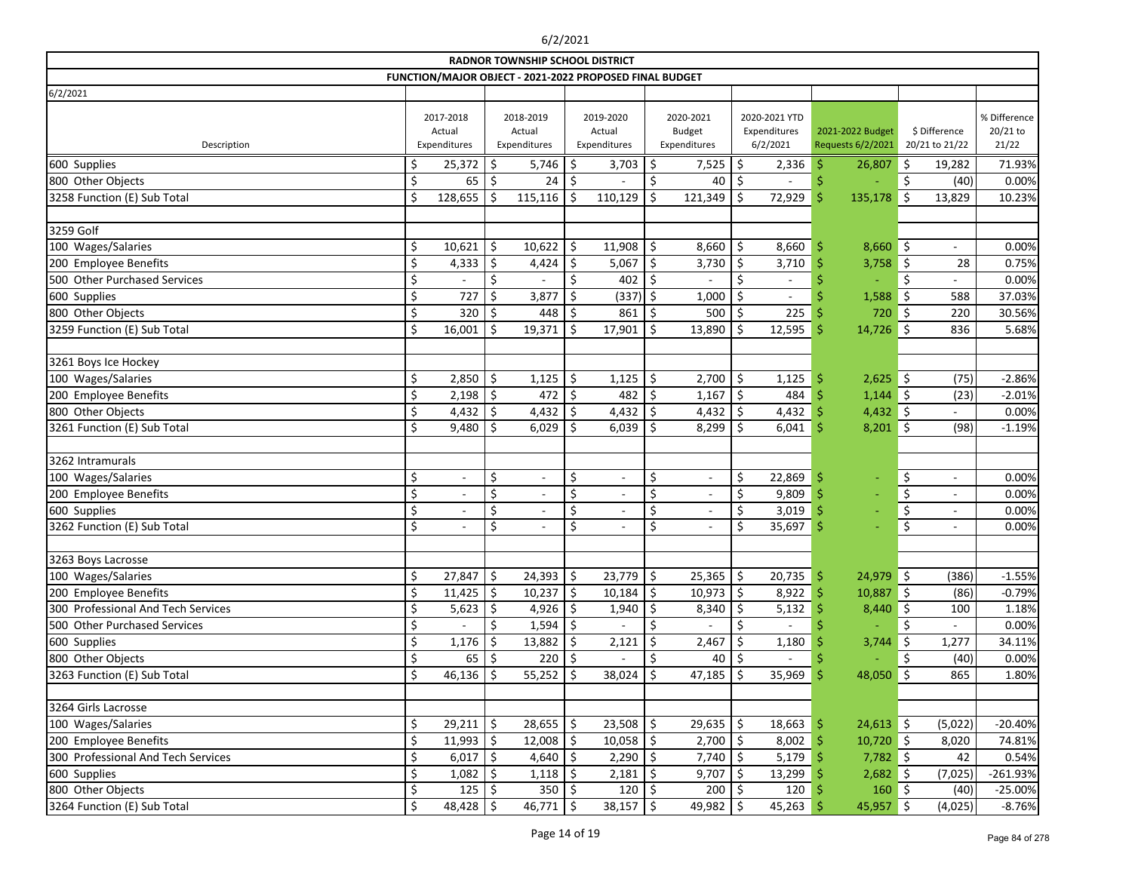| <b>RADNOR TOWNSHIP SCHOOL DISTRICT</b><br>FUNCTION/MAJOR OBJECT - 2021-2022 PROPOSED FINAL BUDGET |     |                                     |         |                                     |         |                                     |    |                                            |    |                                           |     |                                       |         |                                 |                                   |
|---------------------------------------------------------------------------------------------------|-----|-------------------------------------|---------|-------------------------------------|---------|-------------------------------------|----|--------------------------------------------|----|-------------------------------------------|-----|---------------------------------------|---------|---------------------------------|-----------------------------------|
|                                                                                                   |     |                                     |         |                                     |         |                                     |    |                                            |    |                                           |     |                                       |         |                                 |                                   |
| 6/2/2021                                                                                          |     |                                     |         |                                     |         |                                     |    |                                            |    |                                           |     |                                       |         |                                 |                                   |
| Description                                                                                       |     | 2017-2018<br>Actual<br>Expenditures |         | 2018-2019<br>Actual<br>Expenditures |         | 2019-2020<br>Actual<br>Expenditures |    | 2020-2021<br><b>Budget</b><br>Expenditures |    | 2020-2021 YTD<br>Expenditures<br>6/2/2021 |     | 2021-2022 Budget<br>Requests 6/2/2021 |         | \$ Difference<br>20/21 to 21/22 | % Difference<br>20/21 to<br>21/22 |
| 600 Supplies                                                                                      | \$, | 25,372                              | \$      | 5,746                               | \$      | 3,703                               | \$ | 7,525                                      | \$ | 2,336                                     | \$. | 26,807                                | \$      | 19,282                          | 71.93%                            |
| 800 Other Objects                                                                                 | \$  | 65                                  | $\zeta$ | 24                                  | \$      |                                     | \$ | 40                                         | \$ |                                           | \$  |                                       | \$      | (40)                            | 0.00%                             |
| 3258 Function (E) Sub Total                                                                       | \$  | 128,655                             | Š.      | $115,116$ \$                        |         | 110,129                             | Ś  | 121,349                                    | \$ | 72,929                                    | \$  | 135,178                               | -\$     | 13,829                          | 10.23%                            |
| 3259 Golf                                                                                         |     |                                     |         |                                     |         |                                     |    |                                            |    |                                           |     |                                       |         |                                 |                                   |
| 100 Wages/Salaries                                                                                | \$  | 10,621                              | \$      | 10,622                              | \$      | 11,908                              | \$ | 8,660                                      | \$ | 8,660                                     | \$. | $8,660$ \$                            |         | $-$                             | 0.00%                             |
| 200 Employee Benefits                                                                             | \$  | 4,333                               | \$      | 4,424                               | \$      | $5,067$ \$                          |    | 3,730                                      | \$ | 3,710                                     | S   | 3,758                                 | \$      | 28                              | 0.75%                             |
| 500 Other Purchased Services                                                                      | \$  |                                     | \$      |                                     | \$      | $402$   \$                          |    |                                            | \$ | $\overline{\phantom{a}}$                  |     |                                       | Ś       |                                 | 0.00%                             |
| 600 Supplies                                                                                      | \$  | 727                                 | \$      | 3,877                               | \$      | $(337)$ \$                          |    | 1,000                                      | \$ | $\overline{\phantom{a}}$                  |     | 1,588                                 | \$      | 588                             | 37.03%                            |
| 800 Other Objects                                                                                 | \$  | 320                                 | \$      | 448                                 | \$      | 861                                 | \$ | 500                                        | \$ | 225                                       |     | 720                                   | $\zeta$ | 220                             | 30.56%                            |
| 3259 Function (E) Sub Total                                                                       | \$  | 16,001                              | Ś.      | 19,371                              | \$      | 17,901                              | \$ | 13,890                                     | \$ | 12,595                                    | Ś   | 14,726                                | $\zeta$ | 836                             | 5.68%                             |
| 3261 Boys Ice Hockey                                                                              |     |                                     |         |                                     |         |                                     |    |                                            |    |                                           |     |                                       |         |                                 |                                   |
| 100 Wages/Salaries                                                                                | \$  | $2,850$ \$                          |         | $1,125$ \$                          |         | $1,125$ \$                          |    | 2,700                                      | \$ | 1,125                                     | .S  | $2,625$ \$                            |         | (75)                            | $-2.86%$                          |
| 200 Employee Benefits                                                                             | \$  | 2,198                               | \$      | 472                                 | \$      | 482                                 | \$ | 1,167                                      | \$ | 484                                       | Š   | $1,144$ \$                            |         | (23)                            | $-2.01%$                          |
| 800 Other Objects                                                                                 | \$  | 4,432                               | \$      | 4,432                               | \$      | 4,432                               | \$ | 4,432                                      | \$ | 4,432                                     |     | $4,432$ \$                            |         |                                 | 0.00%                             |
| 3261 Function (E) Sub Total                                                                       | Ś   | 9,480                               | \$      | 6,029                               | $\zeta$ | 6,039                               | \$ | 8,299                                      | Ś. | 6,041                                     | Ŝ   | $8,201$ \$                            |         | (98)                            | $-1.19%$                          |
| 3262 Intramurals                                                                                  |     |                                     |         |                                     |         |                                     |    |                                            |    |                                           |     |                                       |         |                                 |                                   |
| 100 Wages/Salaries                                                                                | \$  | $\overline{\phantom{a}}$            | \$      | $\overline{\phantom{a}}$            | \$      | $\overline{\phantom{a}}$            | \$ | $\overline{\phantom{a}}$                   | \$ | 22,869                                    | .\$ | ٠                                     | \$      | $\overline{\phantom{a}}$        | 0.00%                             |
| 200 Employee Benefits                                                                             | \$  |                                     | \$      | $\overline{\phantom{a}}$            | \$      | $\overline{\phantom{a}}$            | \$ |                                            | \$ | 9,809                                     |     |                                       | $\zeta$ |                                 | 0.00%                             |
| 600 Supplies                                                                                      | \$  |                                     | \$      |                                     | \$      |                                     | \$ |                                            | \$ | 3,019                                     | .\$ |                                       | \$      | $\overline{\phantom{a}}$        | 0.00%                             |
| 3262 Function (E) Sub Total                                                                       | \$  | $\overline{\phantom{a}}$            | \$      | $\overline{\phantom{a}}$            | \$      | $\overline{\phantom{a}}$            | \$ | $\overline{\phantom{a}}$                   | \$ | 35,697                                    | .S  | ÷                                     | \$      | $\overline{\phantom{a}}$        | 0.00%                             |
| 3263 Boys Lacrosse                                                                                |     |                                     |         |                                     |         |                                     |    |                                            |    |                                           |     |                                       |         |                                 |                                   |
| 100 Wages/Salaries                                                                                | \$  | 27,847                              | \$      | $24,393$ \$                         |         | $23,779$ \$                         |    | 25,365                                     | \$ | 20,735                                    | \$  | $24,979$ \$                           |         | (386)                           | $-1.55%$                          |
| 200 Employee Benefits                                                                             | \$  | $11,425$ \$                         |         | $10,237$ \$                         |         | $10,184$ \$                         |    | 10,973                                     | \$ | 8,922                                     | -\$ | $10,887$ \$                           |         | (86)                            | $-0.79%$                          |
| 300 Professional And Tech Services                                                                | \$  | 5,623                               | -\$     | $4,926$ \$                          |         | 1,940                               | .S | 8,340                                      | \$ | 5,132                                     |     | $8,440$ \$                            |         | 100                             | 1.18%                             |
| 500 Other Purchased Services                                                                      | \$  |                                     | \$      | $1,594$ \$                          |         | $\overline{\phantom{a}}$            | \$ |                                            | \$ | $\frac{1}{2}$                             |     |                                       | Ś       |                                 | 0.00%                             |
| 600 Supplies                                                                                      | \$  | 1,176                               | -\$     | $13,882$   \$                       |         | 2,121                               | -S | 2,467                                      |    | 1,180                                     |     | 3,744                                 | \$      | 1,277                           | 34.11%                            |
| 800 Other Objects                                                                                 | \$  | 65                                  | \$      | 220   \$                            |         |                                     |    | 40                                         |    |                                           |     |                                       |         | (40)                            | 0.00%                             |
| 3263 Function (E) Sub Total                                                                       | \$  | 46,136                              | \$      | $55,252$   \$                       |         | $38,024$ \$                         |    | 47,185                                     | \$ | 35,969                                    | Ŝ   | $48,050$ \$                           |         | 865                             | 1.80%                             |
| 3264 Girls Lacrosse                                                                               |     |                                     |         |                                     |         |                                     |    |                                            |    |                                           |     |                                       |         |                                 |                                   |
| 100 Wages/Salaries                                                                                | \$  | $29,211$ \$                         |         | $28,655$ $\frac{1}{5}$              |         | $23,508$   \$                       |    | 29,635                                     | \$ | 18,663                                    | -S  | $24,613$ \$                           |         | (5,022)                         | $-20.40%$                         |
| 200 Employee Benefits                                                                             | \$  | $11,993$ \$                         |         | $12,008$ \$                         |         | $10,058$ \$                         |    | 2,700                                      | \$ | 8,002                                     | \$  | $10,720$ \$                           |         | 8,020                           | 74.81%                            |
| 300 Professional And Tech Services                                                                | \$  | $6,017$ \$                          |         | $4,640$ \$                          |         | $2,290$ \$                          |    | 7,740                                      | \$ | 5,179                                     | -\$ | $7,782$ \$                            |         | 42                              | 0.54%                             |
| 600 Supplies                                                                                      | \$  | 1,082                               | -S      | $1,118$ \$                          |         | $2,181$   \$                        |    | 9,707                                      |    | 13,299                                    |     | $2,682$ \$                            |         | (7,025)                         | $-261.93%$                        |
| 800 Other Objects                                                                                 | \$  | $125 \mid \xi$                      |         | 350   \$                            |         | $120  $ \$                          |    | 200                                        | \$ | 120                                       |     | $160 \mid 5$                          |         | (40)                            | $-25.00%$                         |
| 3264 Function (E) Sub Total                                                                       | \$  | $48,428$ \$                         |         | $46,771$   \$                       |         | $38,157$ \$                         |    | 49,982                                     | \$ | 45,263                                    |     | $45,957$ \$                           |         | (4,025)                         | $-8.76%$                          |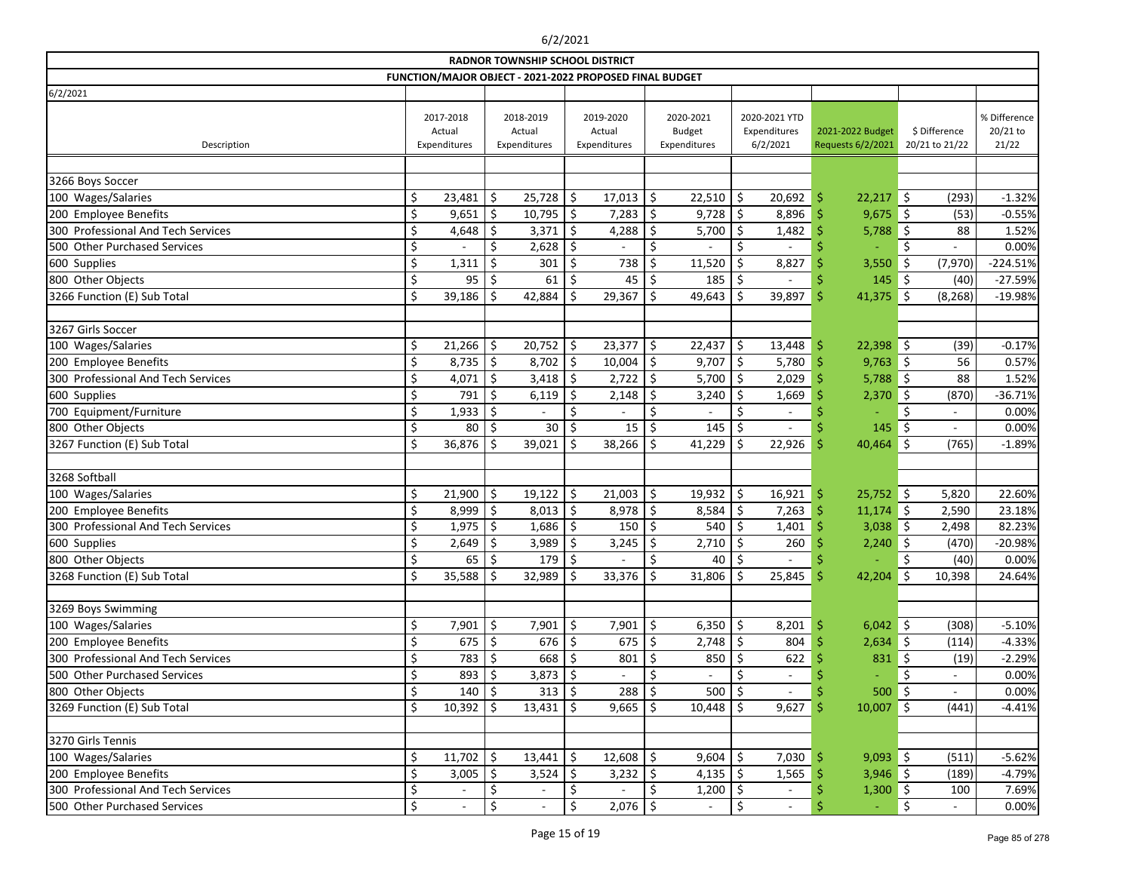|                                    |                                     |            |                                     | <b>RADNOR TOWNSHIP SCHOOL DISTRICT</b> |                                     |                                                         |                                            |        |                                           |       |                                       |                                 |                          |                                   |
|------------------------------------|-------------------------------------|------------|-------------------------------------|----------------------------------------|-------------------------------------|---------------------------------------------------------|--------------------------------------------|--------|-------------------------------------------|-------|---------------------------------------|---------------------------------|--------------------------|-----------------------------------|
|                                    |                                     |            |                                     |                                        |                                     | FUNCTION/MAJOR OBJECT - 2021-2022 PROPOSED FINAL BUDGET |                                            |        |                                           |       |                                       |                                 |                          |                                   |
| 6/2/2021                           |                                     |            |                                     |                                        |                                     |                                                         |                                            |        |                                           |       |                                       |                                 |                          |                                   |
| Description                        | 2017-2018<br>Actual<br>Expenditures |            | 2018-2019<br>Actual<br>Expenditures |                                        | 2019-2020<br>Actual<br>Expenditures |                                                         | 2020-2021<br><b>Budget</b><br>Expenditures |        | 2020-2021 YTD<br>Expenditures<br>6/2/2021 |       | 2021-2022 Budget<br>Requests 6/2/2021 | \$ Difference<br>20/21 to 21/22 |                          | % Difference<br>20/21 to<br>21/22 |
| 3266 Boys Soccer                   |                                     |            |                                     |                                        |                                     |                                                         |                                            |        |                                           |       |                                       |                                 |                          |                                   |
| 100 Wages/Salaries                 |                                     | 23,481     | \$                                  | 25,728                                 | \$                                  | 17,013                                                  | \$                                         | 22,510 | \$<br>20,692                              |       | $22,217$ \$<br>\$                     |                                 | (293)                    | $-1.32%$                          |
| 200 Employee Benefits              | \$                                  | 9,651      | \$                                  | 10,795                                 | \$                                  | 7,283                                                   | \$                                         | 9,728  | \$<br>8,896                               |       | 9,675<br>.\$                          | - 5                             | (53)                     | $-0.55%$                          |
| 300 Professional And Tech Services |                                     | 4,648      | .\$                                 | 3,371                                  | \$                                  | 4,288                                                   | \$                                         | 5,700  | \$<br>1,482                               |       | 5,788                                 | \$                              | 88                       | 1.52%                             |
| 500 Other Purchased Services       | \$                                  |            | \$                                  | 2,628                                  | Ś.                                  |                                                         | \$                                         |        | $\zeta$                                   |       |                                       | Ś.                              |                          | 0.00%                             |
| 600 Supplies                       | \$                                  | 1,311      | \$                                  | 301                                    | \$                                  | 738                                                     | \$                                         | 11,520 | \$<br>8,827                               |       | 3,550                                 | \$                              | (7, 970)                 | $-224.51%$                        |
| 800 Other Objects                  |                                     | 95         |                                     | 61                                     | \$                                  | 45                                                      | \$                                         | 185    | \$                                        |       | 145                                   | -\$                             | (40)                     | $-27.59%$                         |
| 3266 Function (E) Sub Total        | \$                                  | 39,186     |                                     | 42,884                                 |                                     | 29,367                                                  | Ś.                                         | 49,643 | \$<br>39,897                              |       | 41,375<br>Ŝ                           | Ŝ.                              | (8, 268)                 | $-19.98%$                         |
|                                    |                                     |            |                                     |                                        |                                     |                                                         |                                            |        |                                           |       |                                       |                                 |                          |                                   |
| 3267 Girls Soccer                  |                                     |            |                                     |                                        |                                     |                                                         |                                            |        |                                           |       |                                       |                                 |                          |                                   |
| 100 Wages/Salaries                 | \$                                  | 21,266     | \$                                  | 20,752                                 | \$                                  | 23,377                                                  | \$                                         | 22,437 | \$<br>13,448                              |       | $22,398$ \$<br>.\$                    |                                 | (39)                     | $-0.17%$                          |
| 200 Employee Benefits              |                                     | 8,735      | \$                                  | 8,702                                  | \$                                  | 10,004                                                  | \$                                         | 9,707  | \$<br>5,780                               |       | $9,763$ \$                            |                                 | 56                       | 0.57%                             |
| 300 Professional And Tech Services | \$                                  | 4,071      | $\zeta$                             | 3,418                                  | \$                                  | 2,722                                                   | \$                                         | 5,700  | \$<br>2,029                               |       | 5,788                                 | - 5                             | 88                       | 1.52%                             |
| 600 Supplies                       | \$                                  | 791        | \$                                  | 6,119                                  | Ŝ.                                  | 2,148                                                   | Ś.                                         | 3,240  | \$<br>1,669                               |       | 2,370                                 | \$                              | (870)                    | $-36.71%$                         |
| 700 Equipment/Furniture            | \$                                  | 1,933      | .\$                                 |                                        | \$                                  |                                                         | \$                                         |        | \$                                        |       |                                       | Ś                               | $\overline{\phantom{a}}$ | 0.00%                             |
| 800 Other Objects                  | \$                                  | 80         | \$                                  | 30                                     | \$                                  | 15                                                      | \$                                         | 145    | \$                                        |       | 145                                   | \$                              |                          | 0.00%                             |
| 3267 Function (E) Sub Total        |                                     | 36,876     | Ś                                   | 39,021                                 | Ŝ.                                  | 38,266                                                  | Š.                                         | 41,229 | \$<br>22,926                              |       | 40,464<br>S                           | \$                              | (765)                    | $-1.89%$                          |
|                                    |                                     |            |                                     |                                        |                                     |                                                         |                                            |        |                                           |       |                                       |                                 |                          |                                   |
| 3268 Softball                      |                                     |            |                                     |                                        |                                     |                                                         |                                            |        |                                           |       |                                       |                                 |                          |                                   |
| 100 Wages/Salaries                 | \$                                  | 21,900     | \$                                  | 19,122                                 | \$                                  | 21,003                                                  | \$                                         | 19,932 | \$<br>16,921                              |       | $25,752$ \$<br>\$                     |                                 | 5,820                    | 22.60%                            |
| 200 Employee Benefits              |                                     | 8,999      | \$                                  | 8,013                                  | $\zeta$                             | 8,978                                                   | $\zeta$                                    | 8,584  | \$<br>7,263                               |       | Š<br>11,174                           | ∥\$                             | 2,590                    | 23.18%                            |
| 300 Professional And Tech Services |                                     | 1,975      | \$                                  | 1,686                                  | \$                                  | 150                                                     | \$.                                        | 540    | \$<br>1,401                               |       | 3,038                                 | ∥\$                             | 2,498                    | 82.23%                            |
| 600 Supplies                       |                                     | 2,649      | .\$                                 | 3,989                                  | \$                                  | 3,245                                                   | \$                                         | 2,710  |                                           | 260   | 2,240                                 | Ŝ.                              | (470)                    | $-20.98%$                         |
| 800 Other Objects                  | $\zeta$                             | 65         | Ś.                                  | 179                                    | $\mathsf{\dot{S}}$                  |                                                         | Ś.                                         | 40     | Ś.                                        |       |                                       | $\zeta$                         | (40)                     | 0.00%                             |
| 3268 Function (E) Sub Total        | \$                                  | 35,588     | \$                                  | 32,989                                 | \$                                  | 33,376                                                  | $\zeta$                                    | 31,806 | $\zeta$<br>25,845                         |       | $42,204$ \$<br>\$                     |                                 | 10,398                   | 24.64%                            |
|                                    |                                     |            |                                     |                                        |                                     |                                                         |                                            |        |                                           |       |                                       |                                 |                          |                                   |
| 3269 Boys Swimming                 |                                     |            |                                     |                                        |                                     |                                                         |                                            |        |                                           |       |                                       |                                 |                          |                                   |
| 100 Wages/Salaries                 | \$                                  | $7,901$ \$ |                                     | $7,901$ \$                             |                                     | $7,901$ \$                                              |                                            | 6,350  | \$                                        | 8,201 | $6,042$ \$<br>-S                      |                                 | (308)                    | $-5.10%$                          |
| 200 Employee Benefits              |                                     | 675        | \$                                  | 676                                    | \$                                  | 675                                                     | \$.                                        | 2,748  | \$                                        | 804   | $2,634$ \$                            |                                 | (114)                    | $-4.33%$                          |
| 300 Professional And Tech Services |                                     | 783        |                                     | 668                                    | \$                                  | 801                                                     | \$                                         | 850    |                                           | 622   | $831 \;$ \$                           |                                 | (19)                     | $-2.29%$                          |
| 500 Other Purchased Services       |                                     | 893        | \$,                                 | 3,873                                  | \$                                  |                                                         |                                            |        |                                           |       |                                       | \$                              |                          | 0.00%                             |
| 800 Other Objects                  |                                     | 140        | .S                                  | 313                                    | -S                                  | 288                                                     | -S                                         | 500    | \$<br>$\overline{\phantom{a}}$            |       | $500 \, \text{S}$                     |                                 | $\overline{\phantom{a}}$ | 0.00%                             |
| 3269 Function (E) Sub Total        | \$                                  | 10,392     | -\$                                 | $13,431$   \$                          |                                     | $9,665$ \$                                              |                                            | 10,448 | \$<br>9,627                               |       | 10,007<br>-S                          | $\vert$ \$                      | (441)                    | $-4.41%$                          |
| 3270 Girls Tennis                  |                                     |            |                                     |                                        |                                     |                                                         |                                            |        |                                           |       |                                       |                                 |                          |                                   |
| 100 Wages/Salaries                 |                                     | 11,702     | \$                                  | $13,441$ \$                            |                                     | $12,608$ \$                                             |                                            | 9,604  | \$                                        | 7,030 | $9,093$ \$<br>\$                      |                                 | (511)                    | $-5.62%$                          |
| 200 Employee Benefits              |                                     | 3,005      | Ŝ                                   | 3,524                                  | -\$                                 | $3,232$ \$                                              |                                            | 4,135  | \$                                        | 1,565 | $3,946$ \$                            |                                 | (189)                    | $-4.79%$                          |
| 300 Professional And Tech Services | \$                                  |            | \$                                  |                                        | \$                                  |                                                         | \$                                         | 1,200  | \$                                        |       | $1,300$ \$                            |                                 | 100                      | 7.69%                             |
| 500 Other Purchased Services       | \$                                  |            | \$                                  |                                        |                                     | $2,076$ \$                                              |                                            |        | \$<br>$\overline{\phantom{a}}$            |       | $\equiv$                              | $\zeta$                         |                          | 0.00%                             |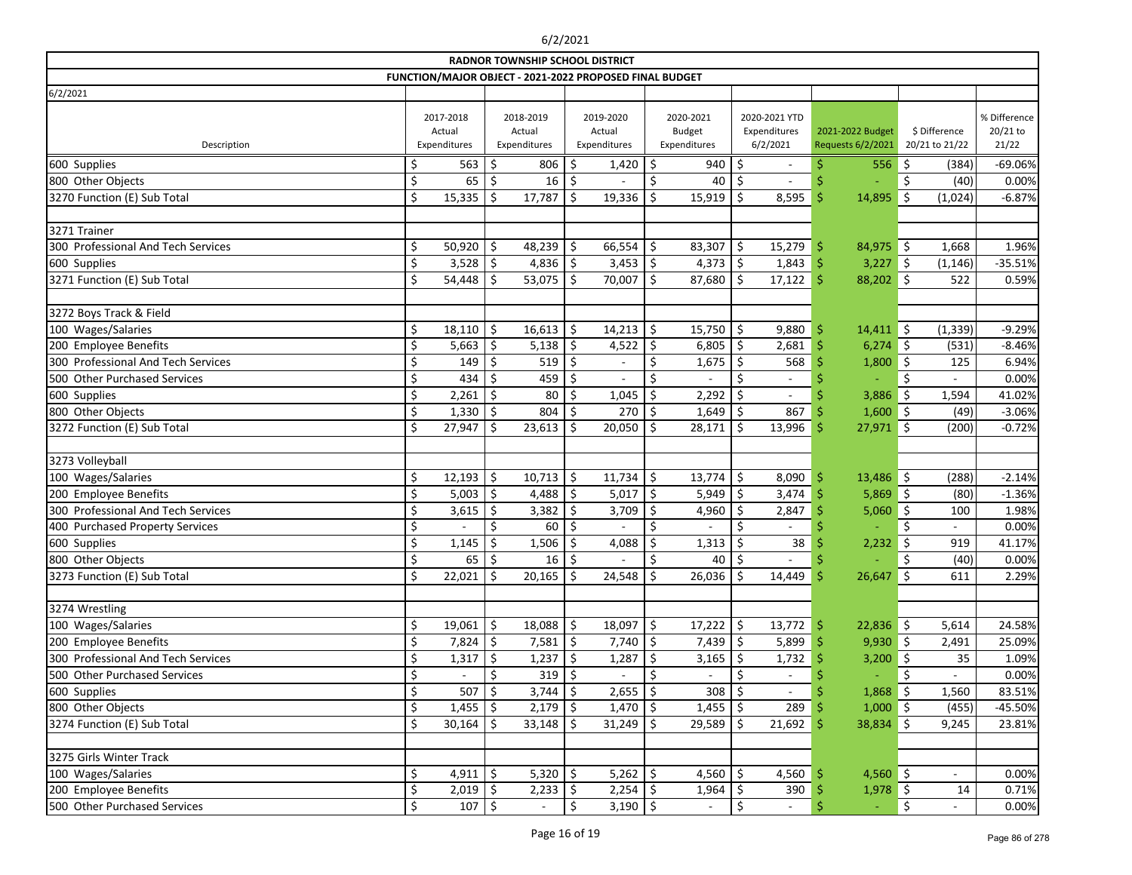|                                    |     |                                     |                                     | <b>RADNOR TOWNSHIP SCHOOL DISTRICT</b>                  |         |                                     |             |                                            |         |                                           |     |                                       |                                 |                          |                                   |
|------------------------------------|-----|-------------------------------------|-------------------------------------|---------------------------------------------------------|---------|-------------------------------------|-------------|--------------------------------------------|---------|-------------------------------------------|-----|---------------------------------------|---------------------------------|--------------------------|-----------------------------------|
|                                    |     |                                     |                                     | FUNCTION/MAJOR OBJECT - 2021-2022 PROPOSED FINAL BUDGET |         |                                     |             |                                            |         |                                           |     |                                       |                                 |                          |                                   |
| 6/2/2021                           |     |                                     |                                     |                                                         |         |                                     |             |                                            |         |                                           |     |                                       |                                 |                          |                                   |
| Description                        |     | 2017-2018<br>Actual<br>Expenditures | 2018-2019<br>Actual<br>Expenditures |                                                         |         | 2019-2020<br>Actual<br>Expenditures |             | 2020-2021<br><b>Budget</b><br>Expenditures |         | 2020-2021 YTD<br>Expenditures<br>6/2/2021 |     | 2021-2022 Budget<br>Requests 6/2/2021 | \$ Difference<br>20/21 to 21/22 |                          | % Difference<br>20/21 to<br>21/22 |
| 600 Supplies                       |     | 563                                 | \$                                  | 806                                                     | \$      | 1,420                               | \$          | 940                                        | \$      |                                           |     | 556                                   | \$                              | (384)                    | $-69.06%$                         |
| 800 Other Objects                  | \$  | 65                                  |                                     | 16                                                      | \$.     |                                     |             | 40                                         | S       |                                           |     |                                       |                                 | (40)                     | 0.00%                             |
| 3270 Function (E) Sub Total        | \$  | 15,335                              | -Ś                                  | 17,787                                                  | \$      | 19,336                              | .S          | 15,919                                     | \$      | 8,595                                     |     | 14,895                                | \$                              | (1,024)                  | $-6.87%$                          |
| 3271 Trainer                       |     |                                     |                                     |                                                         |         |                                     |             |                                            |         |                                           |     |                                       |                                 |                          |                                   |
| 300 Professional And Tech Services | \$  | 50,920                              | \$                                  | 48,239                                                  | \$      | 66,554                              | $\zeta$     | 83,307                                     | \$      | 15,279                                    | -\$ | $84,975$ \$                           |                                 | 1,668                    | 1.96%                             |
| 600 Supplies                       | S   | 3,528                               | Ŝ.                                  | 4,836                                                   | -\$     | 3,453                               | \$          | 4,373                                      | \$      | 1,843                                     |     | 3,227                                 | \$                              | (1, 146)                 | $-35.51%$                         |
| 3271 Function (E) Sub Total        | Ś   | 54,448                              | -Ś                                  | 53,075                                                  | \$.     | 70,007                              | \$          | 87,680                                     | \$      | 17,122                                    |     | 88,202                                | $\zeta$                         | 522                      | 0.59%                             |
| 3272 Boys Track & Field            |     |                                     |                                     |                                                         |         |                                     |             |                                            |         |                                           |     |                                       |                                 |                          |                                   |
| 100 Wages/Salaries                 | \$  | 18,110                              | \$                                  | 16,613                                                  | $\zeta$ | 14,213                              | $\zeta$     | 15,750                                     | \$      | 9,880                                     | .S  | $14,411$ \$                           |                                 | (1, 339)                 | $-9.29%$                          |
| 200 Employee Benefits              |     | 5,663                               | Ŝ.                                  | 5,138                                                   | -\$     | 4,522                               | \$          | 6,805                                      | \$      | 2,681                                     |     | 6,274                                 | \$                              | (531)                    | $-8.46%$                          |
| 300 Professional And Tech Services |     | 149                                 | <sup>S</sup>                        | 519                                                     | \$      |                                     | \$          | 1,675                                      | Ś       | 568                                       |     | 1,800                                 | -\$                             | 125                      | 6.94%                             |
| 500 Other Purchased Services       |     | 434                                 | S.                                  | 459                                                     | \$,     |                                     |             |                                            | \$      |                                           |     |                                       | \$                              |                          | 0.00%                             |
| 600 Supplies                       | .\$ | 2,261                               | Ŝ.                                  | 80                                                      | \$      | 1,045                               | \$          | 2,292                                      | \$      | $\overline{a}$                            |     | 3,886                                 | \$                              | 1,594                    | 41.02%                            |
| 800 Other Objects                  | \$  | 1,330                               | \$                                  | 804                                                     | \$      | 270                                 | $\zeta$     | 1,649                                      | \$      | 867                                       |     | $1,600$ \$                            |                                 | (49)                     | $-3.06%$                          |
| 3272 Function (E) Sub Total        | Ś   | 27,947                              | -Ŝ                                  | 23,613                                                  | .S      | 20,050                              | .S          | 28,171                                     | \$      | 13,996                                    |     | 27,971                                | \$                              | (200)                    | $-0.72%$                          |
| 3273 Volleyball                    |     |                                     |                                     |                                                         |         |                                     |             |                                            |         |                                           |     |                                       |                                 |                          |                                   |
| 100 Wages/Salaries                 | \$  | 12,193                              | \$                                  | $10,713$ \$                                             |         | 11,734                              | \$          | 13,774                                     | \$      | 8,090                                     | -\$ | $13,486$ \$                           |                                 | (288)                    | $-2.14%$                          |
| 200 Employee Benefits              |     | 5,003                               | \$                                  | 4,488 $\frac{1}{2}$                                     |         | 5,017                               | $\zeta$     | 5,949                                      | \$      | 3,474                                     |     | 5,869                                 | - 15                            | (80)                     | $-1.36%$                          |
| 300 Professional And Tech Services | \$  | 3,615                               | Ŝ.                                  | 3,382                                                   | -\$     | 3,709                               | \$.         | 4,960                                      | \$      | 2,847                                     |     | 5,060                                 | \$                              | 100                      | 1.98%                             |
| 400 Purchased Property Services    | \$  |                                     | Ś.                                  | 60                                                      | \$      |                                     | Ś           |                                            |         |                                           |     |                                       |                                 |                          | 0.00%                             |
| 600 Supplies                       | \$  | 1,145                               | S                                   | 1,506                                                   | \$,     | 4,088                               |             | 1,313                                      | \$      | 38                                        |     | 2,232                                 | \$                              | 919                      | 41.17%                            |
| 800 Other Objects                  | Ś   | $65 \mid 5$                         |                                     | $16 \underline{\ }$ \$                                  |         | $\overline{\phantom{a}}$            | <b>&lt;</b> | 40                                         | $\zeta$ |                                           |     |                                       | Ś                               | (40)                     | 0.00%                             |
| 3273 Function (E) Sub Total        | \$  | 22,021                              | $\zeta$                             | $20,165$ \$                                             |         | 24,548                              | $\zeta$     | 26,036                                     | $\zeta$ | $14,449$ \$                               |     | $26,647$ \$                           |                                 | 611                      | 2.29%                             |
| 3274 Wrestling                     |     |                                     |                                     |                                                         |         |                                     |             |                                            |         |                                           |     |                                       |                                 |                          |                                   |
| 100 Wages/Salaries                 |     | 19,061                              | \$                                  | 18,088                                                  | \$      | 18,097                              | \$          | 17,222                                     | \$      | $13,772$ \$                               |     | $22,836$ \$                           |                                 | 5,614                    | 24.58%                            |
| 200 Employee Benefits              |     | 7,824                               | -\$                                 | $7,581$ \$                                              |         | $7,740$ \$                          |             | 7,439                                      | \$      | 5,899                                     |     | $9,930$ \$                            |                                 | 2,491                    | 25.09%                            |
| 300 Professional And Tech Services |     | 1,317                               | -\$                                 | $1,237$ \$                                              |         | 1,287                               | -\$         | 3,165                                      | \$      | 1,732                                     |     | $3,200$ \$                            |                                 | 35                       | 1.09%                             |
| 500 Other Purchased Services       |     |                                     |                                     | 319                                                     | .S      |                                     | \$          |                                            | \$      |                                           |     |                                       | \$                              |                          | 0.00%                             |
| 600 Supplies                       |     | 507                                 |                                     | 3,744                                                   | -\$     | 2,655                               |             | 308                                        |         | $\overline{\phantom{a}}$                  |     | 1,868                                 | \$                              | 1,560                    | 83.51%                            |
| 800 Other Objects                  |     | 1,455                               | -S                                  | $2,179$ \$                                              |         | $1,470$   \$                        |             | 1,455                                      | -Ş      | 289                                       |     | $1,000$ \$                            |                                 | (455)                    | $-45.50%$                         |
| 3274 Function (E) Sub Total        | Ŝ   | 30,164                              | Ŝ                                   | $33,148$ \$                                             |         | 31,249                              | -Ŝ          | 29,589                                     | Ŝ.      | 21,692                                    |     | 38,834 \$                             |                                 | 9,245                    | 23.81%                            |
| 3275 Girls Winter Track            |     |                                     |                                     |                                                         |         |                                     |             |                                            |         |                                           |     |                                       |                                 |                          |                                   |
| 100 Wages/Salaries                 | \$  | 4,911                               | -\$                                 | 5,320 $\frac{1}{2}$                                     |         | $5,262$ \$                          |             | 4,560                                      | \$      | 4,560                                     |     | $4,560$ \$                            |                                 | $\blacksquare$           | 0.00%                             |
| 200 Employee Benefits              |     | $2,019$ \$                          |                                     | $2,233$ \$                                              |         | $2,254$ \$                          |             | 1,964                                      | \$      | 390                                       |     | $1,978$ \$                            |                                 | 14                       | 0.71%                             |
| 500 Other Purchased Services       | \$  | $107 \mid \xi$                      |                                     | $\sim$                                                  | \$      | $3,190$ \$                          |             | $\blacksquare$                             | \$      | $\sim$                                    |     | $\omega$                              | \$                              | $\overline{\phantom{a}}$ | 0.00%                             |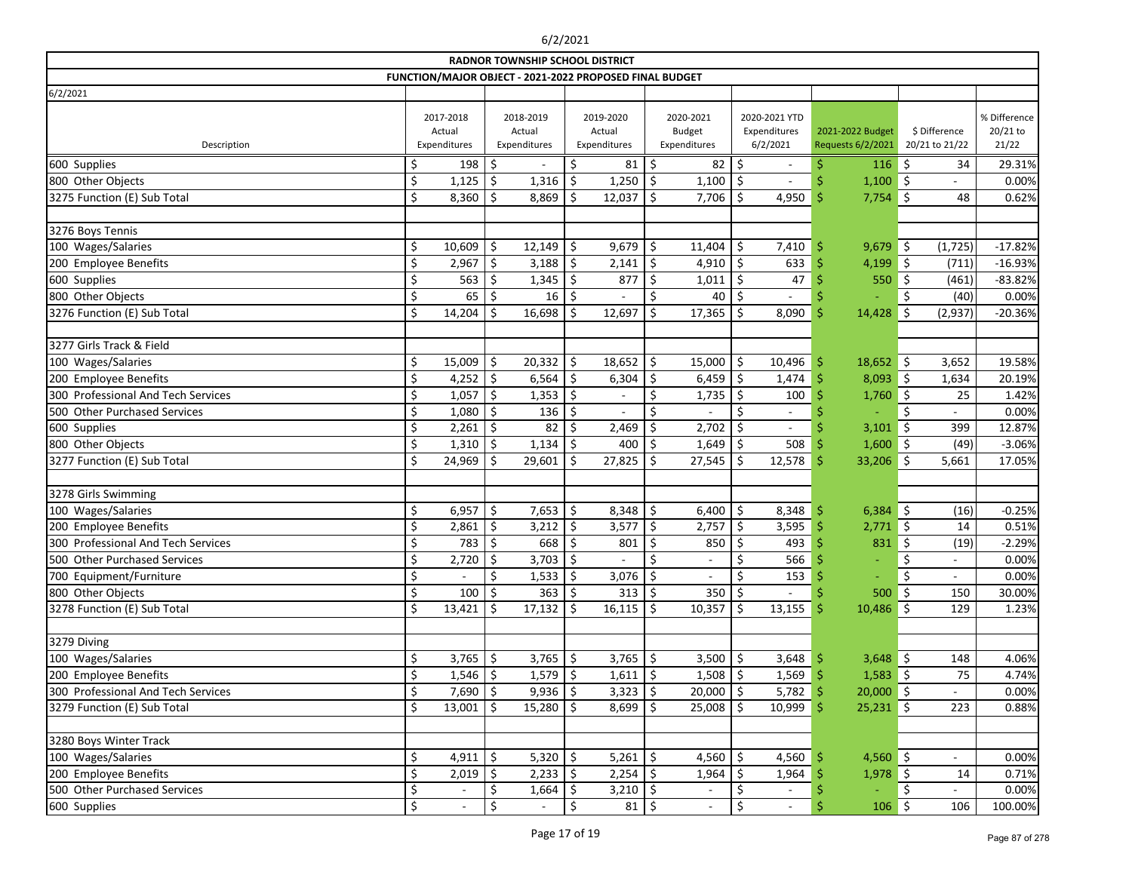| FUNCTION/MAJOR OBJECT - 2021-2022 PROPOSED FINAL BUDGET<br>6/2/2021<br>% Difference<br>2020-2021<br>2020-2021 YTD<br>2017-2018<br>2018-2019<br>2019-2020<br>20/21 to<br><b>Budget</b><br>Expenditures<br>\$ Difference<br>Actual<br>Actual<br>2021-2022 Budget<br>Actual<br>Expenditures<br>6/2/2021<br>Requests 6/2/2021<br>20/21 to 21/22<br>21/22<br>Expenditures<br>Expenditures<br>Description<br>Expenditures<br>29.31%<br>600 Supplies<br>198<br>\$<br>81<br>82<br>\$<br>116<br>\$<br>34<br>S.<br>\$<br>\$<br>\$<br>\$<br>1,250<br>Ŝ<br>1,100<br>800 Other Objects<br>1,125<br>1,316<br>Ś.<br>1,100<br>-Ś<br>0.00%<br>Ś<br>\$<br>3275 Function (E) Sub Total<br>8,360<br>Ŝ.<br>8,869<br>12,037<br>Ś.<br>7,706<br>$7,754$ \$<br>48<br>0.62%<br>.S<br>4,950<br>Ŝ<br>3276 Boys Tennis<br>100 Wages/Salaries<br>\$<br>\$<br>\$<br>10,609<br>\$<br>12,149<br>9,679<br>\$<br>11,404<br>7,410<br>9,679<br>\$<br>(1, 725)<br>$-17.82%$<br>.S<br>$\zeta$<br>$\zeta$<br>2,967<br>$3,188$ \$<br>\$<br>200 Employee Benefits<br>2,141<br>4,910<br>633<br>4,199<br>-\$<br>(711)<br>$-16.93%$<br>563<br>1,345<br>877<br>$-83.82%$<br>600 Supplies<br>1,011<br>Ŝ.<br>47<br>550<br>\$<br>(461)<br>S.<br>-Ŝ<br>800 Other Objects<br>\$<br>65<br>16 5<br>40<br>\$<br>0.00%<br>\$<br>Ś<br>(40)<br>3276 Function (E) Sub Total<br>\$<br>14,204<br>16,698<br>12,697<br>17,365<br>\$<br>8,090<br>14,428<br>\$<br>$-20.36%$<br>\$<br>Ś<br>(2,937)<br>.S<br>3277 Girls Track & Field<br>100 Wages/Salaries<br>\$<br>15,009<br>\$<br>$20,332$   \$<br>18,652<br>\$<br>15,000<br>\$<br>$18,652$ \$<br>10,496<br>Ŝ<br>3,652<br>19.58%<br>$6,564$ \$<br>200 Employee Benefits<br>\$<br>4,252 $\frac{1}{2}$<br>6,304<br>\$<br>6,459<br>\$<br>1,474<br>$\vert$ \$<br>1,634<br>20.19%<br>8,093<br>300 Professional And Tech Services<br>1,057<br>\$<br>1,353<br>\$<br>\$<br>25<br>\$<br>1,735<br>\$<br>100<br>1,760<br>1.42% | <b>RADNOR TOWNSHIP SCHOOL DISTRICT</b> |    |       |    |     |    |  |    |  |    |  |  |    |  |       |
|------------------------------------------------------------------------------------------------------------------------------------------------------------------------------------------------------------------------------------------------------------------------------------------------------------------------------------------------------------------------------------------------------------------------------------------------------------------------------------------------------------------------------------------------------------------------------------------------------------------------------------------------------------------------------------------------------------------------------------------------------------------------------------------------------------------------------------------------------------------------------------------------------------------------------------------------------------------------------------------------------------------------------------------------------------------------------------------------------------------------------------------------------------------------------------------------------------------------------------------------------------------------------------------------------------------------------------------------------------------------------------------------------------------------------------------------------------------------------------------------------------------------------------------------------------------------------------------------------------------------------------------------------------------------------------------------------------------------------------------------------------------------------------------------------------------------------------------------------------------------------------------------------|----------------------------------------|----|-------|----|-----|----|--|----|--|----|--|--|----|--|-------|
|                                                                                                                                                                                                                                                                                                                                                                                                                                                                                                                                                                                                                                                                                                                                                                                                                                                                                                                                                                                                                                                                                                                                                                                                                                                                                                                                                                                                                                                                                                                                                                                                                                                                                                                                                                                                                                                                                                      |                                        |    |       |    |     |    |  |    |  |    |  |  |    |  |       |
|                                                                                                                                                                                                                                                                                                                                                                                                                                                                                                                                                                                                                                                                                                                                                                                                                                                                                                                                                                                                                                                                                                                                                                                                                                                                                                                                                                                                                                                                                                                                                                                                                                                                                                                                                                                                                                                                                                      |                                        |    |       |    |     |    |  |    |  |    |  |  |    |  |       |
|                                                                                                                                                                                                                                                                                                                                                                                                                                                                                                                                                                                                                                                                                                                                                                                                                                                                                                                                                                                                                                                                                                                                                                                                                                                                                                                                                                                                                                                                                                                                                                                                                                                                                                                                                                                                                                                                                                      |                                        |    |       |    |     |    |  |    |  |    |  |  |    |  |       |
|                                                                                                                                                                                                                                                                                                                                                                                                                                                                                                                                                                                                                                                                                                                                                                                                                                                                                                                                                                                                                                                                                                                                                                                                                                                                                                                                                                                                                                                                                                                                                                                                                                                                                                                                                                                                                                                                                                      |                                        |    |       |    |     |    |  |    |  |    |  |  |    |  |       |
|                                                                                                                                                                                                                                                                                                                                                                                                                                                                                                                                                                                                                                                                                                                                                                                                                                                                                                                                                                                                                                                                                                                                                                                                                                                                                                                                                                                                                                                                                                                                                                                                                                                                                                                                                                                                                                                                                                      |                                        |    |       |    |     |    |  |    |  |    |  |  |    |  |       |
|                                                                                                                                                                                                                                                                                                                                                                                                                                                                                                                                                                                                                                                                                                                                                                                                                                                                                                                                                                                                                                                                                                                                                                                                                                                                                                                                                                                                                                                                                                                                                                                                                                                                                                                                                                                                                                                                                                      |                                        |    |       |    |     |    |  |    |  |    |  |  |    |  |       |
|                                                                                                                                                                                                                                                                                                                                                                                                                                                                                                                                                                                                                                                                                                                                                                                                                                                                                                                                                                                                                                                                                                                                                                                                                                                                                                                                                                                                                                                                                                                                                                                                                                                                                                                                                                                                                                                                                                      |                                        |    |       |    |     |    |  |    |  |    |  |  |    |  |       |
|                                                                                                                                                                                                                                                                                                                                                                                                                                                                                                                                                                                                                                                                                                                                                                                                                                                                                                                                                                                                                                                                                                                                                                                                                                                                                                                                                                                                                                                                                                                                                                                                                                                                                                                                                                                                                                                                                                      |                                        |    |       |    |     |    |  |    |  |    |  |  |    |  |       |
|                                                                                                                                                                                                                                                                                                                                                                                                                                                                                                                                                                                                                                                                                                                                                                                                                                                                                                                                                                                                                                                                                                                                                                                                                                                                                                                                                                                                                                                                                                                                                                                                                                                                                                                                                                                                                                                                                                      |                                        |    |       |    |     |    |  |    |  |    |  |  |    |  |       |
|                                                                                                                                                                                                                                                                                                                                                                                                                                                                                                                                                                                                                                                                                                                                                                                                                                                                                                                                                                                                                                                                                                                                                                                                                                                                                                                                                                                                                                                                                                                                                                                                                                                                                                                                                                                                                                                                                                      |                                        |    |       |    |     |    |  |    |  |    |  |  |    |  |       |
|                                                                                                                                                                                                                                                                                                                                                                                                                                                                                                                                                                                                                                                                                                                                                                                                                                                                                                                                                                                                                                                                                                                                                                                                                                                                                                                                                                                                                                                                                                                                                                                                                                                                                                                                                                                                                                                                                                      |                                        |    |       |    |     |    |  |    |  |    |  |  |    |  |       |
|                                                                                                                                                                                                                                                                                                                                                                                                                                                                                                                                                                                                                                                                                                                                                                                                                                                                                                                                                                                                                                                                                                                                                                                                                                                                                                                                                                                                                                                                                                                                                                                                                                                                                                                                                                                                                                                                                                      |                                        |    |       |    |     |    |  |    |  |    |  |  |    |  |       |
|                                                                                                                                                                                                                                                                                                                                                                                                                                                                                                                                                                                                                                                                                                                                                                                                                                                                                                                                                                                                                                                                                                                                                                                                                                                                                                                                                                                                                                                                                                                                                                                                                                                                                                                                                                                                                                                                                                      |                                        |    |       |    |     |    |  |    |  |    |  |  |    |  |       |
|                                                                                                                                                                                                                                                                                                                                                                                                                                                                                                                                                                                                                                                                                                                                                                                                                                                                                                                                                                                                                                                                                                                                                                                                                                                                                                                                                                                                                                                                                                                                                                                                                                                                                                                                                                                                                                                                                                      |                                        |    |       |    |     |    |  |    |  |    |  |  |    |  |       |
|                                                                                                                                                                                                                                                                                                                                                                                                                                                                                                                                                                                                                                                                                                                                                                                                                                                                                                                                                                                                                                                                                                                                                                                                                                                                                                                                                                                                                                                                                                                                                                                                                                                                                                                                                                                                                                                                                                      |                                        |    |       |    |     |    |  |    |  |    |  |  |    |  |       |
|                                                                                                                                                                                                                                                                                                                                                                                                                                                                                                                                                                                                                                                                                                                                                                                                                                                                                                                                                                                                                                                                                                                                                                                                                                                                                                                                                                                                                                                                                                                                                                                                                                                                                                                                                                                                                                                                                                      |                                        |    |       |    |     |    |  |    |  |    |  |  |    |  |       |
|                                                                                                                                                                                                                                                                                                                                                                                                                                                                                                                                                                                                                                                                                                                                                                                                                                                                                                                                                                                                                                                                                                                                                                                                                                                                                                                                                                                                                                                                                                                                                                                                                                                                                                                                                                                                                                                                                                      |                                        |    |       |    |     |    |  |    |  |    |  |  |    |  |       |
|                                                                                                                                                                                                                                                                                                                                                                                                                                                                                                                                                                                                                                                                                                                                                                                                                                                                                                                                                                                                                                                                                                                                                                                                                                                                                                                                                                                                                                                                                                                                                                                                                                                                                                                                                                                                                                                                                                      |                                        |    |       |    |     |    |  |    |  |    |  |  |    |  |       |
| $\overline{\phantom{a}}$                                                                                                                                                                                                                                                                                                                                                                                                                                                                                                                                                                                                                                                                                                                                                                                                                                                                                                                                                                                                                                                                                                                                                                                                                                                                                                                                                                                                                                                                                                                                                                                                                                                                                                                                                                                                                                                                             | 500 Other Purchased Services           | \$ | 1,080 | \$ | 136 | \$ |  | \$ |  | \$ |  |  | \$ |  | 0.00% |
| $2,261$ \$<br>82<br>2,469<br>2,702<br>\$<br>-\$<br>600 Supplies<br>3,101<br>399<br>12.87%<br>\$<br>$\overline{\phantom{a}}$                                                                                                                                                                                                                                                                                                                                                                                                                                                                                                                                                                                                                                                                                                                                                                                                                                                                                                                                                                                                                                                                                                                                                                                                                                                                                                                                                                                                                                                                                                                                                                                                                                                                                                                                                                          |                                        |    |       |    |     |    |  |    |  |    |  |  |    |  |       |
| 800 Other Objects<br>1,310<br>1,134<br>400<br>\$<br>508<br>1,600<br>∥ \$<br>(49)<br>$-3.06%$<br>.\$<br>Ŝ.<br>-\$<br>1,649                                                                                                                                                                                                                                                                                                                                                                                                                                                                                                                                                                                                                                                                                                                                                                                                                                                                                                                                                                                                                                                                                                                                                                                                                                                                                                                                                                                                                                                                                                                                                                                                                                                                                                                                                                            |                                        |    |       |    |     |    |  |    |  |    |  |  |    |  |       |
| 3277 Function (E) Sub Total<br>\$<br>24,969<br>29,601<br>27,825<br>27,545<br>\$<br>12,578<br>33,206<br>\$<br>17.05%<br>Ŝ.<br>\$.<br>\$<br>5,661                                                                                                                                                                                                                                                                                                                                                                                                                                                                                                                                                                                                                                                                                                                                                                                                                                                                                                                                                                                                                                                                                                                                                                                                                                                                                                                                                                                                                                                                                                                                                                                                                                                                                                                                                      |                                        |    |       |    |     |    |  |    |  |    |  |  |    |  |       |
|                                                                                                                                                                                                                                                                                                                                                                                                                                                                                                                                                                                                                                                                                                                                                                                                                                                                                                                                                                                                                                                                                                                                                                                                                                                                                                                                                                                                                                                                                                                                                                                                                                                                                                                                                                                                                                                                                                      |                                        |    |       |    |     |    |  |    |  |    |  |  |    |  |       |
| 3278 Girls Swimming                                                                                                                                                                                                                                                                                                                                                                                                                                                                                                                                                                                                                                                                                                                                                                                                                                                                                                                                                                                                                                                                                                                                                                                                                                                                                                                                                                                                                                                                                                                                                                                                                                                                                                                                                                                                                                                                                  |                                        |    |       |    |     |    |  |    |  |    |  |  |    |  |       |
| $\zeta$<br>$7,653$ \$<br>\$<br>100 Wages/Salaries<br>\$<br>6,957<br>8,348<br>\$<br>6,400<br>8,348<br>(16)<br>$-0.25%$<br>6,384<br>∥ \$<br>S                                                                                                                                                                                                                                                                                                                                                                                                                                                                                                                                                                                                                                                                                                                                                                                                                                                                                                                                                                                                                                                                                                                                                                                                                                                                                                                                                                                                                                                                                                                                                                                                                                                                                                                                                          |                                        |    |       |    |     |    |  |    |  |    |  |  |    |  |       |
| 200 Employee Benefits<br>3,577<br>\$<br>0.51%<br>2,861<br>\$<br>$3,212$   \$<br>\$<br>2,757<br>3,595<br>2,771<br>∥ \$<br>14                                                                                                                                                                                                                                                                                                                                                                                                                                                                                                                                                                                                                                                                                                                                                                                                                                                                                                                                                                                                                                                                                                                                                                                                                                                                                                                                                                                                                                                                                                                                                                                                                                                                                                                                                                          |                                        |    |       |    |     |    |  |    |  |    |  |  |    |  |       |
| 300 Professional And Tech Services<br>668<br>783<br>\$<br>\$<br>801<br>850<br>493<br>831<br>\$<br>(19)<br>$-2.29%$<br>\$                                                                                                                                                                                                                                                                                                                                                                                                                                                                                                                                                                                                                                                                                                                                                                                                                                                                                                                                                                                                                                                                                                                                                                                                                                                                                                                                                                                                                                                                                                                                                                                                                                                                                                                                                                             |                                        |    |       |    |     |    |  |    |  |    |  |  |    |  |       |
| Ś.<br>Ŝ.<br>Ś.<br>Ś<br>Ś.<br>Ś<br>2,720<br>3,703<br>0.00%<br>500 Other Purchased Services<br>566                                                                                                                                                                                                                                                                                                                                                                                                                                                                                                                                                                                                                                                                                                                                                                                                                                                                                                                                                                                                                                                                                                                                                                                                                                                                                                                                                                                                                                                                                                                                                                                                                                                                                                                                                                                                     |                                        |    |       |    |     |    |  |    |  |    |  |  |    |  |       |
| \$<br>\$<br>\$<br>$1,533$   \$<br>\$<br>700 Equipment/Furniture<br>3,076<br>\$<br>153<br>0.00%<br>$\overline{\phantom{a}}$<br>÷,<br>$\overline{\phantom{a}}$                                                                                                                                                                                                                                                                                                                                                                                                                                                                                                                                                                                                                                                                                                                                                                                                                                                                                                                                                                                                                                                                                                                                                                                                                                                                                                                                                                                                                                                                                                                                                                                                                                                                                                                                         |                                        |    |       |    |     |    |  |    |  |    |  |  |    |  |       |
| 800 Other Objects<br>\$<br>100   \$<br>$363 \mid 5$<br>313   \$<br>350   \$<br>500<br>$\vert$ \$<br>150<br>30.00%                                                                                                                                                                                                                                                                                                                                                                                                                                                                                                                                                                                                                                                                                                                                                                                                                                                                                                                                                                                                                                                                                                                                                                                                                                                                                                                                                                                                                                                                                                                                                                                                                                                                                                                                                                                    |                                        |    |       |    |     |    |  |    |  |    |  |  |    |  |       |
| 3278 Function (E) Sub Total<br>\$<br>$10,357$ \$<br>$\zeta$<br>$10,486$ \$<br>$13,421$   \$<br>$17,132$   \$<br>16,115<br>13,155<br>129<br>1.23%<br>-\$                                                                                                                                                                                                                                                                                                                                                                                                                                                                                                                                                                                                                                                                                                                                                                                                                                                                                                                                                                                                                                                                                                                                                                                                                                                                                                                                                                                                                                                                                                                                                                                                                                                                                                                                              |                                        |    |       |    |     |    |  |    |  |    |  |  |    |  |       |
|                                                                                                                                                                                                                                                                                                                                                                                                                                                                                                                                                                                                                                                                                                                                                                                                                                                                                                                                                                                                                                                                                                                                                                                                                                                                                                                                                                                                                                                                                                                                                                                                                                                                                                                                                                                                                                                                                                      |                                        |    |       |    |     |    |  |    |  |    |  |  |    |  |       |
| 3279 Diving                                                                                                                                                                                                                                                                                                                                                                                                                                                                                                                                                                                                                                                                                                                                                                                                                                                                                                                                                                                                                                                                                                                                                                                                                                                                                                                                                                                                                                                                                                                                                                                                                                                                                                                                                                                                                                                                                          |                                        |    |       |    |     |    |  |    |  |    |  |  |    |  |       |
| 100 Wages/Salaries<br>\$<br>$3,765$ \$<br>$3,765$ \$<br>$3,500$   \$<br>4.06%<br>$3,765$ \$<br>3,648<br>$3,648$ \$<br>148<br>-S                                                                                                                                                                                                                                                                                                                                                                                                                                                                                                                                                                                                                                                                                                                                                                                                                                                                                                                                                                                                                                                                                                                                                                                                                                                                                                                                                                                                                                                                                                                                                                                                                                                                                                                                                                      |                                        |    |       |    |     |    |  |    |  |    |  |  |    |  |       |
| $1,546$ \$<br>1,508<br>1,569<br>$1,583$ \$<br>200 Employee Benefits<br>$1,579$ \$<br>$1,611$ \$<br>\$<br>75<br>4.74%<br>-Ş                                                                                                                                                                                                                                                                                                                                                                                                                                                                                                                                                                                                                                                                                                                                                                                                                                                                                                                                                                                                                                                                                                                                                                                                                                                                                                                                                                                                                                                                                                                                                                                                                                                                                                                                                                           |                                        |    |       |    |     |    |  |    |  |    |  |  |    |  |       |
| $20,000$ \$<br>300 Professional And Tech Services<br>$7,690$ \$<br>$9,936$ \$<br>3,323<br>$20,000$   \$<br>0.00%<br>5,782<br>S<br>-S                                                                                                                                                                                                                                                                                                                                                                                                                                                                                                                                                                                                                                                                                                                                                                                                                                                                                                                                                                                                                                                                                                                                                                                                                                                                                                                                                                                                                                                                                                                                                                                                                                                                                                                                                                 |                                        |    |       |    |     |    |  |    |  |    |  |  |    |  |       |
| \$<br>3279 Function (E) Sub Total<br>$13,001$   \$<br>$15,280$   \$<br>$8,699$ \$<br>25,008<br>10,999<br>$25,231$ \$<br>223<br>0.88%<br>\$<br>-Ś                                                                                                                                                                                                                                                                                                                                                                                                                                                                                                                                                                                                                                                                                                                                                                                                                                                                                                                                                                                                                                                                                                                                                                                                                                                                                                                                                                                                                                                                                                                                                                                                                                                                                                                                                     |                                        |    |       |    |     |    |  |    |  |    |  |  |    |  |       |
| 3280 Boys Winter Track                                                                                                                                                                                                                                                                                                                                                                                                                                                                                                                                                                                                                                                                                                                                                                                                                                                                                                                                                                                                                                                                                                                                                                                                                                                                                                                                                                                                                                                                                                                                                                                                                                                                                                                                                                                                                                                                               |                                        |    |       |    |     |    |  |    |  |    |  |  |    |  |       |
| 4,911 $\frac{1}{5}$<br>5,320 $ $ \$<br>100 Wages/Salaries<br>\$<br>$5,261$ \$<br>4,560 $\frac{1}{2}$<br>4,560<br>$4,560$ \$<br>0.00%<br>S<br>$\overline{\phantom{a}}$                                                                                                                                                                                                                                                                                                                                                                                                                                                                                                                                                                                                                                                                                                                                                                                                                                                                                                                                                                                                                                                                                                                                                                                                                                                                                                                                                                                                                                                                                                                                                                                                                                                                                                                                |                                        |    |       |    |     |    |  |    |  |    |  |  |    |  |       |
| 200 Employee Benefits<br>\$<br>$1,978$ \$<br>2,019<br>$2,233$   \$<br>2,254<br>1,964<br>\$<br>1,964<br>0.71%<br>-\$<br>14<br>S                                                                                                                                                                                                                                                                                                                                                                                                                                                                                                                                                                                                                                                                                                                                                                                                                                                                                                                                                                                                                                                                                                                                                                                                                                                                                                                                                                                                                                                                                                                                                                                                                                                                                                                                                                       |                                        |    |       |    |     |    |  |    |  |    |  |  |    |  |       |
| \$<br>500 Other Purchased Services<br>\$<br>\$<br>$1,664$ \$<br>$3,210$ \$<br>\$<br>0.00%<br>$\overline{\phantom{a}}$<br>$\overline{\phantom{a}}$<br>$\overline{\phantom{a}}$<br>$\overline{\phantom{a}}$                                                                                                                                                                                                                                                                                                                                                                                                                                                                                                                                                                                                                                                                                                                                                                                                                                                                                                                                                                                                                                                                                                                                                                                                                                                                                                                                                                                                                                                                                                                                                                                                                                                                                            |                                        |    |       |    |     |    |  |    |  |    |  |  |    |  |       |
| $\zeta$<br>\$<br>\$<br>$\vert$ \$<br>\$<br>$81  $ \$<br>Ŝ<br>106<br>100.00%<br>600 Supplies<br>106<br>$\overline{\phantom{a}}$<br>$\overline{\phantom{a}}$<br>$\overline{\phantom{a}}$                                                                                                                                                                                                                                                                                                                                                                                                                                                                                                                                                                                                                                                                                                                                                                                                                                                                                                                                                                                                                                                                                                                                                                                                                                                                                                                                                                                                                                                                                                                                                                                                                                                                                                               |                                        |    |       |    |     |    |  |    |  |    |  |  |    |  |       |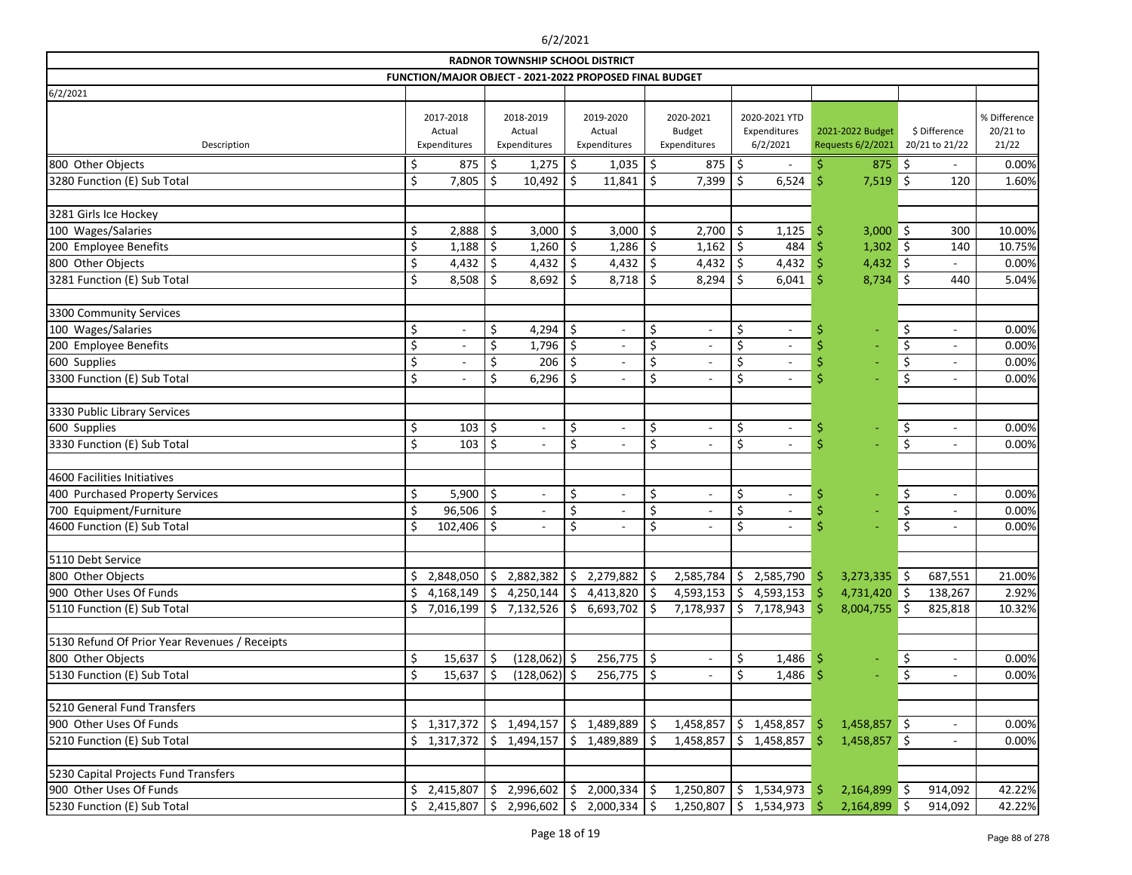|                                               |     |                                     |                                     | <b>RADNOR TOWNSHIP SCHOOL DISTRICT</b>                  |                                     |                          |                                            |                          |                                           |                                       |                          |                                 |                          |                                   |
|-----------------------------------------------|-----|-------------------------------------|-------------------------------------|---------------------------------------------------------|-------------------------------------|--------------------------|--------------------------------------------|--------------------------|-------------------------------------------|---------------------------------------|--------------------------|---------------------------------|--------------------------|-----------------------------------|
|                                               |     |                                     |                                     | FUNCTION/MAJOR OBJECT - 2021-2022 PROPOSED FINAL BUDGET |                                     |                          |                                            |                          |                                           |                                       |                          |                                 |                          |                                   |
| 6/2/2021                                      |     |                                     |                                     |                                                         |                                     |                          |                                            |                          |                                           |                                       |                          |                                 |                          |                                   |
| Description                                   |     | 2017-2018<br>Actual<br>Expenditures | 2018-2019<br>Actual<br>Expenditures |                                                         | 2019-2020<br>Actual<br>Expenditures |                          | 2020-2021<br><b>Budget</b><br>Expenditures |                          | 2020-2021 YTD<br>Expenditures<br>6/2/2021 | 2021-2022 Budget<br>Requests 6/2/2021 |                          | \$ Difference<br>20/21 to 21/22 |                          | % Difference<br>20/21 to<br>21/22 |
| 800 Other Objects                             | \$  | 875                                 | \$                                  | 1,275                                                   | \$                                  | 1,035                    | \$                                         | 875                      | \$                                        | \$.                                   | $875$ \$                 |                                 | $\overline{\phantom{a}}$ | 0.00%                             |
| 3280 Function (E) Sub Total                   | \$  | 7,805                               | Ś.                                  | 10,492                                                  | \$                                  | 11,841                   | \$                                         | 7,399                    | \$<br>6,524                               | Ŝ                                     | 7,519                    | -\$                             | 120                      | 1.60%                             |
|                                               |     |                                     |                                     |                                                         |                                     |                          |                                            |                          |                                           |                                       |                          |                                 |                          |                                   |
| 3281 Girls Ice Hockey                         |     |                                     |                                     |                                                         |                                     |                          |                                            |                          |                                           |                                       |                          |                                 |                          |                                   |
| 100 Wages/Salaries                            | \$  | 2,888                               | \$                                  | 3,000                                                   | \$                                  | 3,000                    | \$                                         | 2,700                    | \$<br>1,125                               | \$.                                   | $3,000$ \$               |                                 | 300                      | 10.00%                            |
| 200 Employee Benefits                         | \$  | 1,188                               | \$                                  | 1,260                                                   | \$                                  | 1,286                    | \$                                         | 1,162                    | \$<br>484                                 |                                       | $1,302$ \$               |                                 | 140                      | 10.75%                            |
| 800 Other Objects                             | \$  | 4,432                               | \$                                  | 4,432 $\frac{1}{2}$                                     |                                     | 4,432 $\frac{1}{2}$      |                                            | 4,432                    | \$<br>4,432                               |                                       | $4,432$ \$               |                                 |                          | 0.00%                             |
| 3281 Function (E) Sub Total                   | \$  | 8,508                               | .S                                  | 8,692                                                   | Ŝ.                                  | 8,718                    | .S                                         | 8,294                    | \$<br>6,041                               | -Ŝ                                    | $8,734$ \$               |                                 | 440                      | 5.04%                             |
|                                               |     |                                     |                                     |                                                         |                                     |                          |                                            |                          |                                           |                                       |                          |                                 |                          |                                   |
| 3300 Community Services                       |     |                                     |                                     |                                                         |                                     |                          |                                            |                          |                                           |                                       |                          |                                 |                          |                                   |
| 100 Wages/Salaries                            | \$  | $\overline{\phantom{a}}$            | \$                                  | 4,294                                                   | \$                                  | $\overline{\phantom{a}}$ | \$                                         | $\overline{\phantom{a}}$ | \$<br>$\overline{\phantom{a}}$            | -S                                    | $\overline{\phantom{0}}$ | \$                              | $\overline{\phantom{a}}$ | 0.00%                             |
| 200 Employee Benefits                         | \$  |                                     | \$                                  | 1,796                                                   | \$                                  |                          | \$                                         |                          | \$                                        | \$                                    |                          | \$                              | $\overline{\phantom{a}}$ | 0.00%                             |
| 600 Supplies                                  | \$  | $\overline{\phantom{a}}$            | \$                                  | 206                                                     |                                     | $\overline{\phantom{a}}$ | \$                                         | $\overline{\phantom{a}}$ | \$<br>$\overline{\phantom{a}}$            |                                       |                          | \$                              | $\overline{\phantom{a}}$ | 0.00%                             |
| 3300 Function (E) Sub Total                   | \$  | $\blacksquare$                      | \$                                  | 6,296                                                   | .S                                  | $\blacksquare$           | \$                                         | $\overline{\phantom{a}}$ | \$<br>$\overline{\phantom{a}}$            |                                       |                          | \$                              | $\overline{\phantom{a}}$ | 0.00%                             |
|                                               |     |                                     |                                     |                                                         |                                     |                          |                                            |                          |                                           |                                       |                          |                                 |                          |                                   |
| 3330 Public Library Services                  |     |                                     |                                     |                                                         |                                     |                          |                                            |                          |                                           |                                       |                          |                                 |                          |                                   |
| 600 Supplies                                  | \$  | 103                                 | $\zeta$                             | $\sim$                                                  | \$                                  | $\overline{\phantom{a}}$ | \$                                         | $\frac{1}{2}$            | \$<br>$\overline{\phantom{a}}$            | \$                                    |                          | \$                              | $\overline{\phantom{a}}$ | 0.00%                             |
| 3330 Function (E) Sub Total                   | \$  | 103                                 | \$                                  | $\overline{\phantom{a}}$                                | \$                                  | $\overline{\phantom{a}}$ | \$                                         | $\overline{\phantom{a}}$ | \$<br>$\overline{\phantom{a}}$            | \$                                    |                          | \$                              | $\overline{\phantom{a}}$ | 0.00%                             |
|                                               |     |                                     |                                     |                                                         |                                     |                          |                                            |                          |                                           |                                       |                          |                                 |                          |                                   |
| 4600 Facilities Initiatives                   |     |                                     |                                     |                                                         |                                     |                          |                                            |                          |                                           |                                       |                          |                                 |                          |                                   |
| 400 Purchased Property Services               | \$  | 5,900                               | \$                                  | $\overline{\phantom{a}}$                                | \$                                  | $\overline{\phantom{a}}$ | \$                                         | $\overline{\phantom{a}}$ | \$<br>$\overline{\phantom{a}}$            | \$                                    |                          | \$                              | $\overline{\phantom{a}}$ | 0.00%                             |
| 700 Equipment/Furniture                       | \$  | 96,506                              | $\zeta$                             |                                                         | \$                                  | $\overline{a}$           | \$                                         | $\overline{\phantom{a}}$ | \$                                        | \$                                    |                          | \$                              | $\overline{\phantom{a}}$ | 0.00%                             |
| 4600 Function (E) Sub Total                   | \$  | 102,406                             | Ŝ.                                  | $\overline{\phantom{a}}$                                | \$                                  | $\overline{\phantom{a}}$ | \$                                         | $\overline{\phantom{a}}$ | \$<br>$\overline{\phantom{a}}$            | Ś                                     |                          | \$                              | $\overline{\phantom{a}}$ | 0.00%                             |
|                                               |     |                                     |                                     |                                                         |                                     |                          |                                            |                          |                                           |                                       |                          |                                 |                          |                                   |
| 5110 Debt Service                             |     |                                     |                                     |                                                         |                                     |                          |                                            |                          |                                           |                                       |                          |                                 |                          |                                   |
| 800 Other Objects                             |     | 2,848,050                           |                                     | 2,882,382                                               | \$                                  | 2,279,882                |                                            | 2,585,784                | \$<br>2,585,790                           | -S                                    | $3,273,335$ \$           |                                 | 687,551                  | 21.00%                            |
| 900 Other Uses Of Funds                       | \$  | 4,168,149                           | Ŝ.                                  | 4,250,144                                               | Ŝ.                                  | 4,413,820                |                                            | 4,593,153                | \$<br>4,593,153                           | -S                                    | 4,731,420 \$             |                                 | 138,267                  | 2.92%                             |
| 5110 Function (E) Sub Total                   |     | 7,016,199                           | Ŝ                                   | 7,132,526                                               | Ŝ                                   | 6,693,702                | -Ŝ                                         | 7,178,937                | \$<br>7,178,943                           | -Ŝ                                    | 8,004,755 \$             |                                 | 825,818                  | 10.32%                            |
|                                               |     |                                     |                                     |                                                         |                                     |                          |                                            |                          |                                           |                                       |                          |                                 |                          |                                   |
| 5130 Refund Of Prior Year Revenues / Receipts |     |                                     |                                     |                                                         |                                     |                          |                                            |                          |                                           |                                       |                          |                                 |                          |                                   |
| 800 Other Objects                             | \$  | 15,637                              | \$                                  | $(128,062)$ \$                                          |                                     | $256,775$   \$           |                                            |                          | \$<br>1,486                               | -S                                    |                          | \$                              | $\overline{\phantom{a}}$ | 0.00%                             |
| 5130 Function (E) Sub Total                   | \$  | 15,637                              | \$.                                 | $(128,062)$ \$                                          |                                     | $256,775$   \$           |                                            |                          | \$<br>1,486                               | -S                                    |                          | \$                              | $\overline{\phantom{a}}$ | 0.00%                             |
|                                               |     |                                     |                                     |                                                         |                                     |                          |                                            |                          |                                           |                                       |                          |                                 |                          |                                   |
| 5210 General Fund Transfers                   |     |                                     |                                     |                                                         |                                     |                          |                                            |                          |                                           |                                       |                          |                                 |                          |                                   |
| 900 Other Uses Of Funds                       |     | \$1,317,372                         | \$                                  | 1,494,157                                               | Ŝ.                                  | 1,489,889                |                                            | 1,458,857                | \$<br>1,458,857                           |                                       | $1,458,857$ \$           |                                 | $\overline{\phantom{a}}$ | 0.00%                             |
| 5210 Function (E) Sub Total                   | \$. | 1,317,372                           | \$                                  | 1,494,157                                               | \$                                  | 1,489,889                |                                            | 1,458,857                | \$<br>1,458,857                           | -Ŝ                                    | $1,458,857$ \$           |                                 | $\overline{\phantom{a}}$ | 0.00%                             |
|                                               |     |                                     |                                     |                                                         |                                     |                          |                                            |                          |                                           |                                       |                          |                                 |                          |                                   |
| 5230 Capital Projects Fund Transfers          |     |                                     |                                     |                                                         |                                     |                          |                                            |                          |                                           |                                       |                          |                                 |                          |                                   |
| 900 Other Uses Of Funds                       | \$. | 2,415,807                           | \$                                  | 2,996,602                                               | \$                                  | $2,000,334$   \$         |                                            | 1,250,807                | \$<br>1,534,973                           | -S                                    | 2,164,899                | - 15                            | 914,092                  | 42.22%                            |
| 5230 Function (E) Sub Total                   | \$. | 2,415,807                           | \$                                  | 2,996,602                                               | \$                                  | $2,000,334$   \$         |                                            | 1,250,807                | \$<br>1,534,973                           |                                       | $2,164,899$ \$           |                                 | 914,092                  | 42.22%                            |